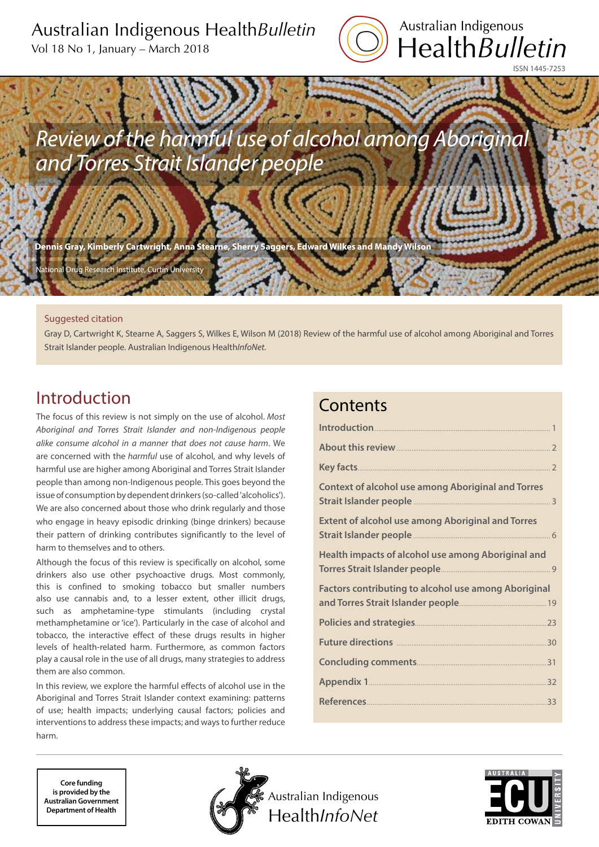# Australian Indigenous Health*Bulletin*

Vol 18 No 1, January – March 2018



*Review of the harmful use of alcohol among Aboriginal and Torres Strait Islander people*

**Dennis Gray, Kimberly Cartwright, Anna Stearne, Sherry Saggers, Edward Wilkes and Mandy Wilson**

Curtin University

### Suggested citation

Gray D, Cartwright K, Stearne A, Saggers S, Wilkes E, Wilson M (2018) Review of the harmful use of alcohol among Aboriginal and Torres Strait Islander people. Australian Indigenous Health*InfoNet.*

# Introduction

The focus of this review is not simply on the use of alcohol. *Most Aboriginal and Torres Strait Islander and non-Indigenous people alike consume alcohol in a manner that does not cause harm*. We are concerned with the *harmful* use of alcohol, and why levels of harmful use are higher among Aboriginal and Torres Strait Islander people than among non-Indigenous people. This goes beyond the issue of consumption by dependent drinkers (so-called 'alcoholics'). We are also concerned about those who drink regularly and those who engage in heavy episodic drinking (binge drinkers) because their pattern of drinking contributes significantly to the level of harm to themselves and to others.

Although the focus of this review is specifically on alcohol, some drinkers also use other psychoactive drugs. Most commonly, this is confined to smoking tobacco but smaller numbers also use cannabis and, to a lesser extent, other illicit drugs, such as amphetamine-type stimulants (including crystal methamphetamine or 'ice'). Particularly in the case of alcohol and tobacco, the interactive effect of these drugs results in higher levels of health-related harm. Furthermore, as common factors play a causal role in the use of all drugs, many strategies to address them are also common.

In this review, we explore the harmful effects of alcohol use in the Aboriginal and Torres Strait Islander context examining: patterns of use; health impacts; underlying causal factors; policies and interventions to address these impacts; and ways to further reduce harm.

# **Contents**

| About this review 2                                         |
|-------------------------------------------------------------|
|                                                             |
| <b>Context of alcohol use among Aboriginal and Torres</b>   |
| <b>Extent of alcohol use among Aboriginal and Torres</b>    |
| Health impacts of alcohol use among Aboriginal and          |
| <b>Factors contributing to alcohol use among Aboriginal</b> |
|                                                             |
| Future directions <b>Manual Community</b> 30                |
|                                                             |
|                                                             |
| References 33                                               |

**Core funding is provided by the Australian Government Department of Health**



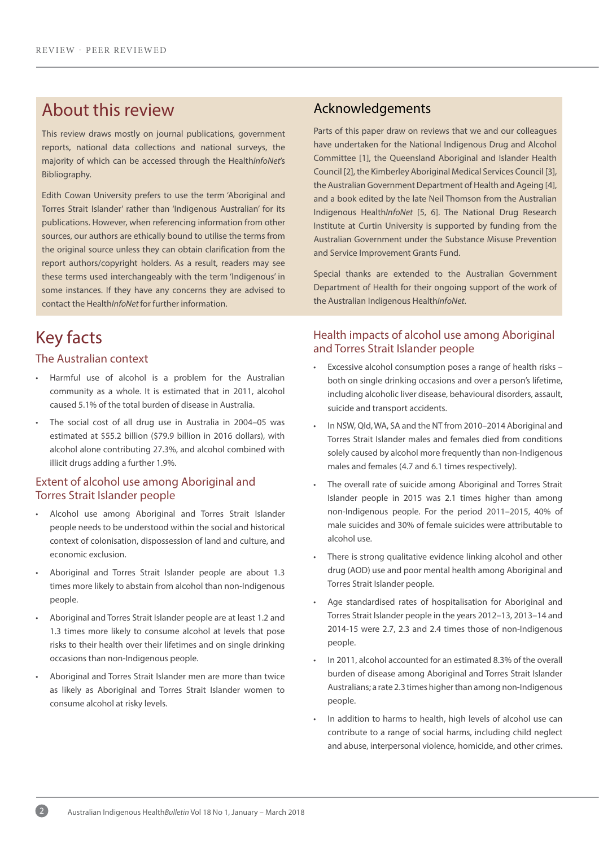# About this review

This review draws mostly on journal publications, government reports, national data collections and national surveys, the majority of which can be accessed through the Health*InfoNet*'s Bibliography.

Edith Cowan University prefers to use the term 'Aboriginal and Torres Strait Islander' rather than 'Indigenous Australian' for its publications. However, when referencing information from other sources, our authors are ethically bound to utilise the terms from the original source unless they can obtain clarification from the report authors/copyright holders. As a result, readers may see these terms used interchangeably with the term 'Indigenous' in some instances. If they have any concerns they are advised to contact the Health*InfoNet* for further information.

# Key facts

### The Australian context

- Harmful use of alcohol is a problem for the Australian community as a whole. It is estimated that in 2011, alcohol caused 5.1% of the total burden of disease in Australia.
- The social cost of all drug use in Australia in 2004-05 was estimated at \$55.2 billion (\$79.9 billion in 2016 dollars), with alcohol alone contributing 27.3%, and alcohol combined with illicit drugs adding a further 1.9%.

### Extent of alcohol use among Aboriginal and Torres Strait Islander people

- Alcohol use among Aboriginal and Torres Strait Islander people needs to be understood within the social and historical context of colonisation, dispossession of land and culture, and economic exclusion.
- Aboriginal and Torres Strait Islander people are about 1.3 times more likely to abstain from alcohol than non-Indigenous people.
- Aboriginal and Torres Strait Islander people are at least 1.2 and 1.3 times more likely to consume alcohol at levels that pose risks to their health over their lifetimes and on single drinking occasions than non-Indigenous people.
- Aboriginal and Torres Strait Islander men are more than twice as likely as Aboriginal and Torres Strait Islander women to consume alcohol at risky levels.

## Acknowledgements

Parts of this paper draw on reviews that we and our colleagues have undertaken for the National Indigenous Drug and Alcohol Committee [1], the Queensland Aboriginal and Islander Health Council [2], the Kimberley Aboriginal Medical Services Council [3], the Australian Government Department of Health and Ageing [4], and a book edited by the late Neil Thomson from the Australian Indigenous Health*InfoNet* [5, 6]. The National Drug Research Institute at Curtin University is supported by funding from the Australian Government under the Substance Misuse Prevention and Service Improvement Grants Fund.

Special thanks are extended to the Australian Government Department of Health for their ongoing support of the work of the Australian Indigenous Health*InfoNet*.

### Health impacts of alcohol use among Aboriginal and Torres Strait Islander people

- Excessive alcohol consumption poses a range of health risks both on single drinking occasions and over a person's lifetime, including alcoholic liver disease, behavioural disorders, assault, suicide and transport accidents.
- In NSW, Qld, WA, SA and the NT from 2010–2014 Aboriginal and Torres Strait Islander males and females died from conditions solely caused by alcohol more frequently than non-Indigenous males and females (4.7 and 6.1 times respectively).
- The overall rate of suicide among Aboriginal and Torres Strait Islander people in 2015 was 2.1 times higher than among non-Indigenous people. For the period 2011–2015, 40% of male suicides and 30% of female suicides were attributable to alcohol use.
- There is strong qualitative evidence linking alcohol and other drug (AOD) use and poor mental health among Aboriginal and Torres Strait Islander people.
- Age standardised rates of hospitalisation for Aboriginal and Torres Strait Islander people in the years 2012–13, 2013–14 and 2014-15 were 2.7, 2.3 and 2.4 times those of non-Indigenous people.
- In 2011, alcohol accounted for an estimated 8.3% of the overall burden of disease among Aboriginal and Torres Strait Islander Australians; a rate 2.3 times higher than among non-Indigenous people.
- In addition to harms to health, high levels of alcohol use can contribute to a range of social harms, including child neglect and abuse, interpersonal violence, homicide, and other crimes.

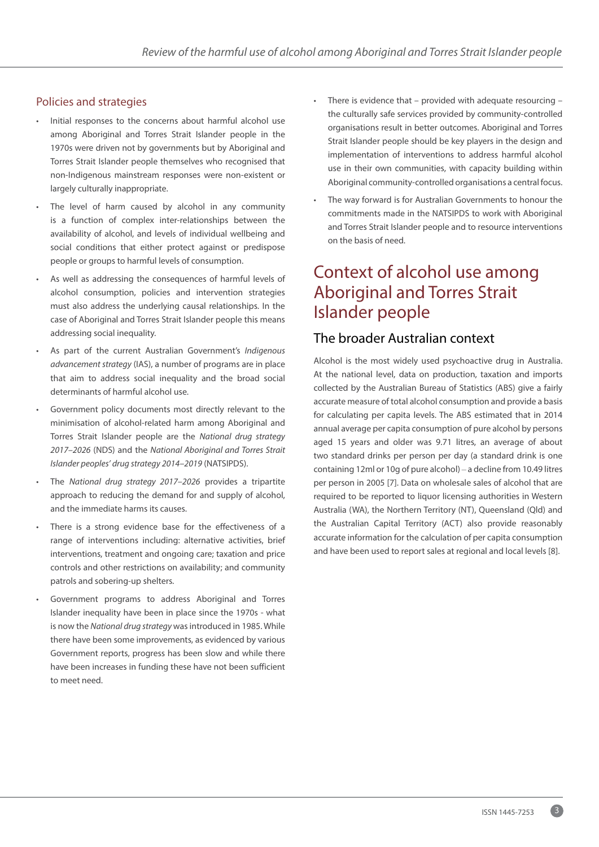## Policies and strategies

- Initial responses to the concerns about harmful alcohol use among Aboriginal and Torres Strait Islander people in the 1970s were driven not by governments but by Aboriginal and Torres Strait Islander people themselves who recognised that non-Indigenous mainstream responses were non-existent or largely culturally inappropriate.
- The level of harm caused by alcohol in any community is a function of complex inter-relationships between the availability of alcohol, and levels of individual wellbeing and social conditions that either protect against or predispose people or groups to harmful levels of consumption.
- As well as addressing the consequences of harmful levels of alcohol consumption, policies and intervention strategies must also address the underlying causal relationships. In the case of Aboriginal and Torres Strait Islander people this means addressing social inequality.
- As part of the current Australian Government's *Indigenous advancement strategy* (IAS), a number of programs are in place that aim to address social inequality and the broad social determinants of harmful alcohol use.
- Government policy documents most directly relevant to the minimisation of alcohol-related harm among Aboriginal and Torres Strait Islander people are the *National drug strategy 2017–2026* (NDS) and the *National Aboriginal and Torres Strait Islander peoples' drug strategy 2014–2019* (NATSIPDS).
- The *National drug strategy 2017–2026* provides a tripartite approach to reducing the demand for and supply of alcohol, and the immediate harms its causes.
- There is a strong evidence base for the effectiveness of a range of interventions including: alternative activities, brief interventions, treatment and ongoing care; taxation and price controls and other restrictions on availability; and community patrols and sobering-up shelters.
- Government programs to address Aboriginal and Torres Islander inequality have been in place since the 1970s - what is now the *National drug strategy* was introduced in 1985. While there have been some improvements, as evidenced by various Government reports, progress has been slow and while there have been increases in funding these have not been sufficient to meet need.
- There is evidence that provided with adequate resourcing the culturally safe services provided by community-controlled organisations result in better outcomes. Aboriginal and Torres Strait Islander people should be key players in the design and implementation of interventions to address harmful alcohol use in their own communities, with capacity building within Aboriginal community-controlled organisations a central focus.
- The way forward is for Australian Governments to honour the commitments made in the NATSIPDS to work with Aboriginal and Torres Strait Islander people and to resource interventions on the basis of need.

# Context of alcohol use among Aboriginal and Torres Strait Islander people

## The broader Australian context

Alcohol is the most widely used psychoactive drug in Australia. At the national level, data on production, taxation and imports collected by the Australian Bureau of Statistics (ABS) give a fairly accurate measure of total alcohol consumption and provide a basis for calculating per capita levels. The ABS estimated that in 2014 annual average per capita consumption of pure alcohol by persons aged 15 years and older was 9.71 litres, an average of about two standard drinks per person per day (a standard drink is one containing 12ml or 10g of pure alcohol) – a decline from 10.49 litres per person in 2005 [7]. Data on wholesale sales of alcohol that are required to be reported to liquor licensing authorities in Western Australia (WA), the Northern Territory (NT), Queensland (Qld) and the Australian Capital Territory (ACT) also provide reasonably accurate information for the calculation of per capita consumption and have been used to report sales at regional and local levels [8].

3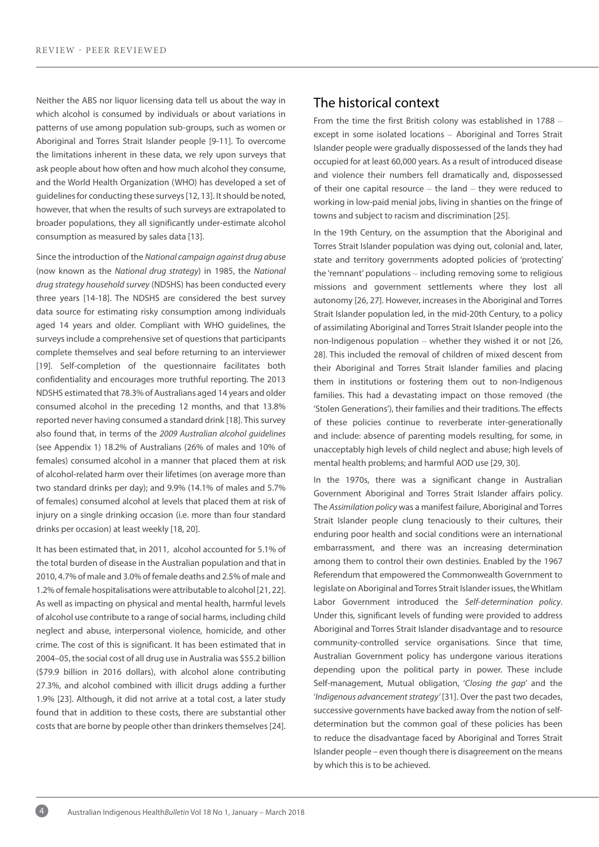Neither the ABS nor liquor licensing data tell us about the way in which alcohol is consumed by individuals or about variations in patterns of use among population sub-groups, such as women or Aboriginal and Torres Strait Islander people [9-11]. To overcome the limitations inherent in these data, we rely upon surveys that ask people about how often and how much alcohol they consume, and the World Health Organization (WHO) has developed a set of guidelines for conducting these surveys [12, 13]. It should be noted, however, that when the results of such surveys are extrapolated to broader populations, they all significantly under-estimate alcohol consumption as measured by sales data [13].

Since the introduction of the *National campaign against drug abuse* (now known as the *National drug strategy*) in 1985, the *National drug strategy household survey* (NDSHS) has been conducted every three years [14-18]. The NDSHS are considered the best survey data source for estimating risky consumption among individuals aged 14 years and older. Compliant with WHO guidelines, the surveys include a comprehensive set of questions that participants complete themselves and seal before returning to an interviewer [19]. Self-completion of the questionnaire facilitates both confidentiality and encourages more truthful reporting. The 2013 NDSHS estimated that 78.3% of Australians aged 14 years and older consumed alcohol in the preceding 12 months, and that 13.8% reported never having consumed a standard drink [18]. This survey also found that, in terms of the *2009 Australian alcohol guidelines* (see Appendix 1) 18.2% of Australians (26% of males and 10% of females) consumed alcohol in a manner that placed them at risk of alcohol-related harm over their lifetimes (on average more than two standard drinks per day); and 9.9% (14.1% of males and 5.7% of females) consumed alcohol at levels that placed them at risk of injury on a single drinking occasion (i.e. more than four standard drinks per occasion) at least weekly [18, 20].

It has been estimated that, in 2011, alcohol accounted for 5.1% of the total burden of disease in the Australian population and that in 2010, 4.7% of male and 3.0% of female deaths and 2.5% of male and 1.2% of female hospitalisations were attributable to alcohol [21, 22]. As well as impacting on physical and mental health, harmful levels of alcohol use contribute to a range of social harms, including child neglect and abuse, interpersonal violence, homicide, and other crime. The cost of this is significant. It has been estimated that in 2004–05, the social cost of all drug use in Australia was \$55.2 billion (\$79.9 billion in 2016 dollars), with alcohol alone contributing 27.3%, and alcohol combined with illicit drugs adding a further 1.9% [23]. Although, it did not arrive at a total cost, a later study found that in addition to these costs, there are substantial other costs that are borne by people other than drinkers themselves [24].

## The historical context

From the time the first British colony was established in 1788 – except in some isolated locations – Aboriginal and Torres Strait Islander people were gradually dispossessed of the lands they had occupied for at least 60,000 years. As a result of introduced disease and violence their numbers fell dramatically and, dispossessed of their one capital resource – the land – they were reduced to working in low-paid menial jobs, living in shanties on the fringe of towns and subject to racism and discrimination [25].

In the 19th Century, on the assumption that the Aboriginal and Torres Strait Islander population was dying out, colonial and, later, state and territory governments adopted policies of 'protecting' the 'remnant' populations – including removing some to religious missions and government settlements where they lost all autonomy [26, 27]. However, increases in the Aboriginal and Torres Strait Islander population led, in the mid-20th Century, to a policy of assimilating Aboriginal and Torres Strait Islander people into the non-Indigenous population – whether they wished it or not [26, 28]. This included the removal of children of mixed descent from their Aboriginal and Torres Strait Islander families and placing them in institutions or fostering them out to non-Indigenous families. This had a devastating impact on those removed (the 'Stolen Generations'), their families and their traditions. The effects of these policies continue to reverberate inter-generationally and include: absence of parenting models resulting, for some, in unacceptably high levels of child neglect and abuse; high levels of mental health problems; and harmful AOD use [29, 30].

In the 1970s, there was a significant change in Australian Government Aboriginal and Torres Strait Islander affairs policy. The *Assimilation policy* was a manifest failure, Aboriginal and Torres Strait Islander people clung tenaciously to their cultures, their enduring poor health and social conditions were an international embarrassment, and there was an increasing determination among them to control their own destinies. Enabled by the 1967 Referendum that empowered the Commonwealth Government to legislate on Aboriginal and Torres Strait Islander issues, the Whitlam Labor Government introduced the *Self-determination policy*. Under this, significant levels of funding were provided to address Aboriginal and Torres Strait Islander disadvantage and to resource community-controlled service organisations. Since that time, Australian Government policy has undergone various iterations depending upon the political party in power. These include Self-management, Mutual obligation, '*Closing the gap*' and the '*Indigenous advancement strategy'* [31]. Over the past two decades, successive governments have backed away from the notion of selfdetermination but the common goal of these policies has been to reduce the disadvantage faced by Aboriginal and Torres Strait Islander people – even though there is disagreement on the means by which this is to be achieved.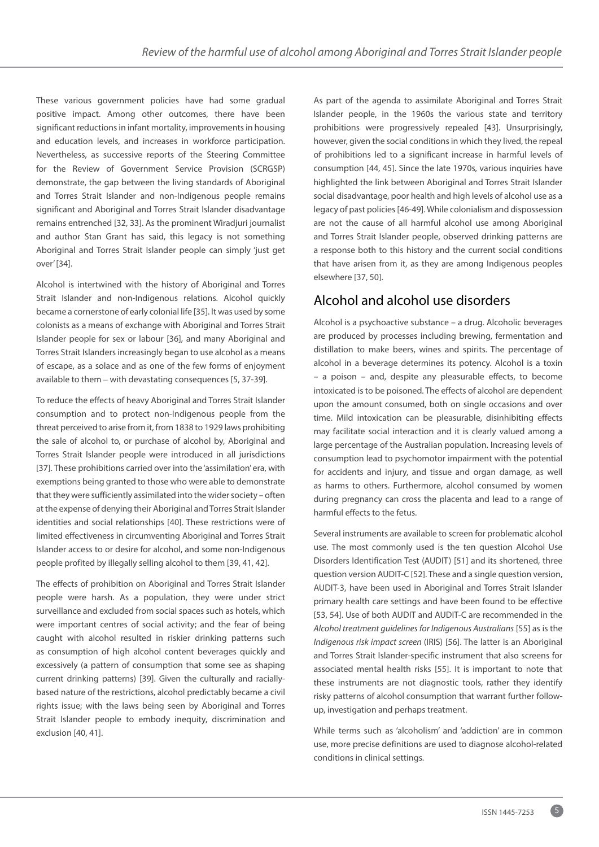These various government policies have had some gradual positive impact. Among other outcomes, there have been significant reductions in infant mortality, improvements in housing and education levels, and increases in workforce participation. Nevertheless, as successive reports of the Steering Committee for the Review of Government Service Provision (SCRGSP) demonstrate, the gap between the living standards of Aboriginal and Torres Strait Islander and non-Indigenous people remains significant and Aboriginal and Torres Strait Islander disadvantage remains entrenched [32, 33]. As the prominent Wiradjuri journalist and author Stan Grant has said, this legacy is not something Aboriginal and Torres Strait Islander people can simply 'just get over' [34].

Alcohol is intertwined with the history of Aboriginal and Torres Strait Islander and non-Indigenous relations. Alcohol quickly became a cornerstone of early colonial life [35]. It was used by some colonists as a means of exchange with Aboriginal and Torres Strait Islander people for sex or labour [36], and many Aboriginal and Torres Strait Islanders increasingly began to use alcohol as a means of escape, as a solace and as one of the few forms of enjoyment available to them – with devastating consequences [5, 37-39].

To reduce the effects of heavy Aboriginal and Torres Strait Islander consumption and to protect non-Indigenous people from the threat perceived to arise from it, from 1838 to 1929 laws prohibiting the sale of alcohol to, or purchase of alcohol by, Aboriginal and Torres Strait Islander people were introduced in all jurisdictions [37]. These prohibitions carried over into the 'assimilation' era, with exemptions being granted to those who were able to demonstrate that they were sufficiently assimilated into the wider society – often at the expense of denying their Aboriginal and Torres Strait Islander identities and social relationships [40]. These restrictions were of limited effectiveness in circumventing Aboriginal and Torres Strait Islander access to or desire for alcohol, and some non-Indigenous people profited by illegally selling alcohol to them [39, 41, 42].

The effects of prohibition on Aboriginal and Torres Strait Islander people were harsh. As a population, they were under strict surveillance and excluded from social spaces such as hotels, which were important centres of social activity; and the fear of being caught with alcohol resulted in riskier drinking patterns such as consumption of high alcohol content beverages quickly and excessively (a pattern of consumption that some see as shaping current drinking patterns) [39]. Given the culturally and raciallybased nature of the restrictions, alcohol predictably became a civil rights issue; with the laws being seen by Aboriginal and Torres Strait Islander people to embody inequity, discrimination and exclusion [40, 41].

As part of the agenda to assimilate Aboriginal and Torres Strait Islander people, in the 1960s the various state and territory prohibitions were progressively repealed [43]. Unsurprisingly, however, given the social conditions in which they lived, the repeal of prohibitions led to a significant increase in harmful levels of consumption [44, 45]. Since the late 1970s, various inquiries have highlighted the link between Aboriginal and Torres Strait Islander social disadvantage, poor health and high levels of alcohol use as a legacy of past policies [46-49]. While colonialism and dispossession are not the cause of all harmful alcohol use among Aboriginal and Torres Strait Islander people, observed drinking patterns are a response both to this history and the current social conditions that have arisen from it, as they are among Indigenous peoples elsewhere [37, 50].

## Alcohol and alcohol use disorders

Alcohol is a psychoactive substance – a drug. Alcoholic beverages are produced by processes including brewing, fermentation and distillation to make beers, wines and spirits. The percentage of alcohol in a beverage determines its potency. Alcohol is a toxin – a poison – and, despite any pleasurable effects, to become intoxicated is to be poisoned. The effects of alcohol are dependent upon the amount consumed, both on single occasions and over time. Mild intoxication can be pleasurable, disinhibiting effects may facilitate social interaction and it is clearly valued among a large percentage of the Australian population. Increasing levels of consumption lead to psychomotor impairment with the potential for accidents and injury, and tissue and organ damage, as well as harms to others. Furthermore, alcohol consumed by women during pregnancy can cross the placenta and lead to a range of harmful effects to the fetus.

Several instruments are available to screen for problematic alcohol use. The most commonly used is the ten question Alcohol Use Disorders Identification Test (AUDIT) [51] and its shortened, three question version AUDIT-C [52]. These and a single question version, AUDIT-3, have been used in Aboriginal and Torres Strait Islander primary health care settings and have been found to be effective [53, 54]. Use of both AUDIT and AUDIT-C are recommended in the *Alcohol treatment guidelines for Indigenous Australians* [55] as is the *Indigenous risk impact screen* (IRIS) [56]. The latter is an Aboriginal and Torres Strait Islander-specific instrument that also screens for associated mental health risks [55]. It is important to note that these instruments are not diagnostic tools, rather they identify risky patterns of alcohol consumption that warrant further followup, investigation and perhaps treatment.

While terms such as 'alcoholism' and 'addiction' are in common use, more precise definitions are used to diagnose alcohol-related conditions in clinical settings.

5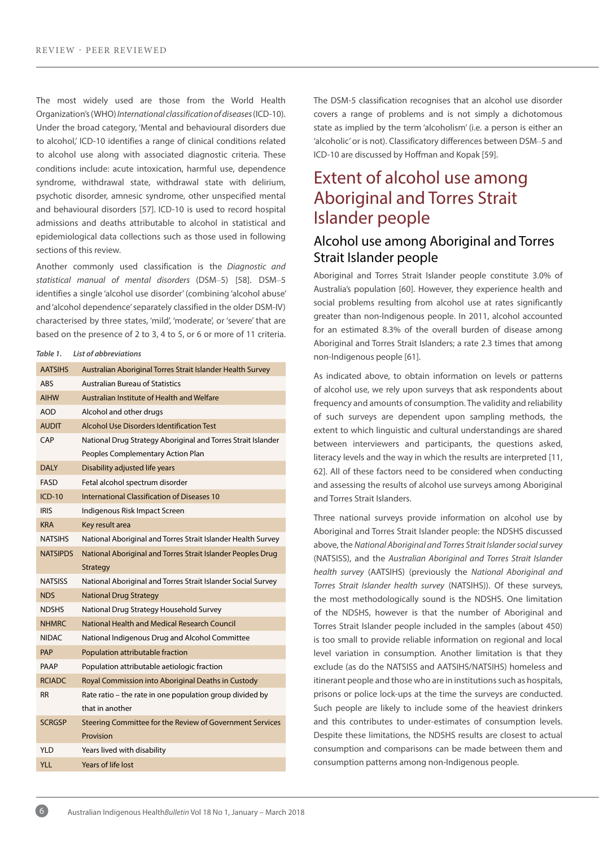The most widely used are those from the World Health Organization's (WHO) *International classification of diseases* (ICD-10). Under the broad category, 'Mental and behavioural disorders due to alcohol, ICD-10 identifies a range of clinical conditions related to alcohol use along with associated diagnostic criteria. These conditions include: acute intoxication, harmful use, dependence syndrome, withdrawal state, withdrawal state with delirium, psychotic disorder, amnesic syndrome, other unspecified mental and behavioural disorders [57]. ICD-10 is used to record hospital admissions and deaths attributable to alcohol in statistical and epidemiological data collections such as those used in following sections of this review.

Another commonly used classification is the *Diagnostic and statistical manual of mental disorders* (DSM–5) [58]. DSM–5 identifies a single 'alcohol use disorder' (combining 'alcohol abuse' and 'alcohol dependence' separately classified in the older DSM-IV) characterised by three states, 'mild', 'moderate', or 'severe' that are based on the presence of 2 to 3, 4 to 5, or 6 or more of 11 criteria.

#### *Table 1. List of abbreviations*

| <b>AATSIHS</b>  | Australian Aboriginal Torres Strait Islander Health Survey   |
|-----------------|--------------------------------------------------------------|
| <b>ABS</b>      | <b>Australian Bureau of Statistics</b>                       |
| <b>AIHW</b>     | Australian Institute of Health and Welfare                   |
| <b>AOD</b>      | Alcohol and other drugs                                      |
| <b>AUDIT</b>    | <b>Alcohol Use Disorders Identification Test</b>             |
| CAP             | National Drug Strategy Aboriginal and Torres Strait Islander |
|                 | Peoples Complementary Action Plan                            |
| <b>DALY</b>     | Disability adjusted life years                               |
| <b>FASD</b>     | Fetal alcohol spectrum disorder                              |
| $ICD-10$        | International Classification of Diseases 10                  |
| <b>IRIS</b>     | Indigenous Risk Impact Screen                                |
| <b>KRA</b>      | Key result area                                              |
| <b>NATSIHS</b>  | National Aboriginal and Torres Strait Islander Health Survey |
| <b>NATSIPDS</b> | National Aboriginal and Torres Strait Islander Peoples Drug  |
|                 | Strategy                                                     |
| NATSISS         | National Aboriginal and Torres Strait Islander Social Survey |
| <b>NDS</b>      | <b>National Drug Strategy</b>                                |
| <b>NDSHS</b>    | National Drug Strategy Household Survey                      |
| <b>NHMRC</b>    | National Health and Medical Research Council                 |
| <b>NIDAC</b>    | National Indigenous Drug and Alcohol Committee               |
| <b>PAP</b>      | Population attributable fraction                             |
| PAAP            | Population attributable aetiologic fraction                  |
| <b>RCIADC</b>   | Royal Commission into Aboriginal Deaths in Custody           |
| <b>RR</b>       | Rate ratio – the rate in one population group divided by     |
|                 | that in another                                              |
| <b>SCRGSP</b>   | Steering Committee for the Review of Government Services     |
|                 | Provision                                                    |
| <b>YLD</b>      | Years lived with disability                                  |
| YLL             | <b>Years of life lost</b>                                    |

The DSM-5 classification recognises that an alcohol use disorder covers a range of problems and is not simply a dichotomous state as implied by the term 'alcoholism' (i.e. a person is either an 'alcoholic' or is not). Classificatory differences between DSM–5 and ICD-10 are discussed by Hoffman and Kopak [59].

# Extent of alcohol use among Aboriginal and Torres Strait Islander people

# Alcohol use among Aboriginal and Torres Strait Islander people

Aboriginal and Torres Strait Islander people constitute 3.0% of Australia's population [60]. However, they experience health and social problems resulting from alcohol use at rates significantly greater than non-Indigenous people. In 2011, alcohol accounted for an estimated 8.3% of the overall burden of disease among Aboriginal and Torres Strait Islanders; a rate 2.3 times that among non-Indigenous people [61].

As indicated above, to obtain information on levels or patterns of alcohol use, we rely upon surveys that ask respondents about frequency and amounts of consumption. The validity and reliability of such surveys are dependent upon sampling methods, the extent to which linguistic and cultural understandings are shared between interviewers and participants, the questions asked, literacy levels and the way in which the results are interpreted [11, 62]. All of these factors need to be considered when conducting and assessing the results of alcohol use surveys among Aboriginal and Torres Strait Islanders.

Three national surveys provide information on alcohol use by Aboriginal and Torres Strait Islander people: the NDSHS discussed above, the *National Aboriginal and Torres Strait Islander social survey* (NATSISS), and the *Australian Aboriginal and Torres Strait Islander health survey* (AATSIHS) (previously the *National Aboriginal and Torres Strait Islander health survey* (NATSIHS)). Of these surveys, the most methodologically sound is the NDSHS. One limitation of the NDSHS, however is that the number of Aboriginal and Torres Strait Islander people included in the samples (about 450) is too small to provide reliable information on regional and local level variation in consumption. Another limitation is that they exclude (as do the NATSISS and AATSIHS/NATSIHS) homeless and itinerant people and those who are in institutions such as hospitals, prisons or police lock-ups at the time the surveys are conducted. Such people are likely to include some of the heaviest drinkers and this contributes to under-estimates of consumption levels. Despite these limitations, the NDSHS results are closest to actual consumption and comparisons can be made between them and consumption patterns among non-Indigenous people.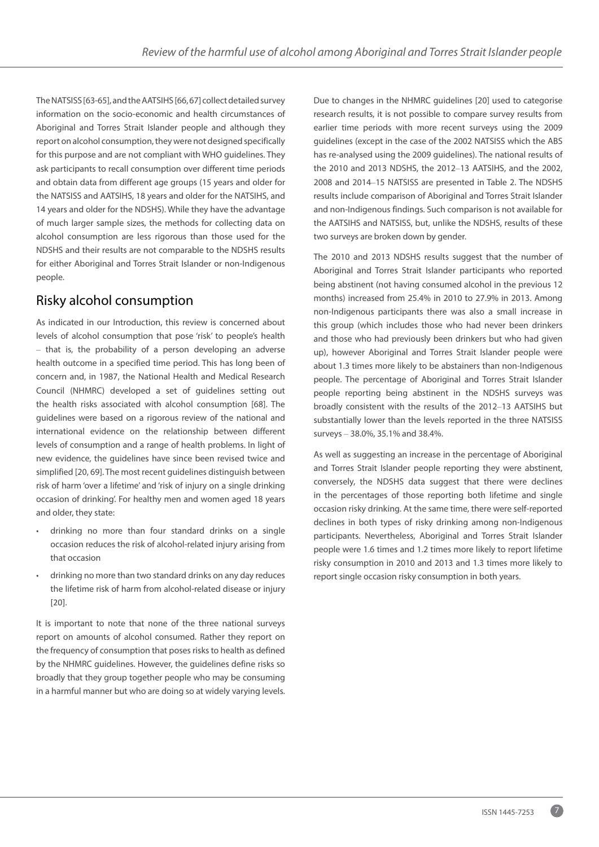The NATSISS [63-65], and the AATSIHS [66, 67] collect detailed survey information on the socio-economic and health circumstances of Aboriginal and Torres Strait Islander people and although they report on alcohol consumption, they were not designed specifically for this purpose and are not compliant with WHO guidelines. They ask participants to recall consumption over different time periods and obtain data from different age groups (15 years and older for the NATSISS and AATSIHS, 18 years and older for the NATSIHS, and 14 years and older for the NDSHS). While they have the advantage of much larger sample sizes, the methods for collecting data on alcohol consumption are less rigorous than those used for the NDSHS and their results are not comparable to the NDSHS results for either Aboriginal and Torres Strait Islander or non-Indigenous people.

# Risky alcohol consumption

As indicated in our Introduction, this review is concerned about levels of alcohol consumption that pose 'risk' to people's health – that is, the probability of a person developing an adverse health outcome in a specified time period. This has long been of concern and, in 1987, the National Health and Medical Research Council (NHMRC) developed a set of guidelines setting out the health risks associated with alcohol consumption [68]. The guidelines were based on a rigorous review of the national and international evidence on the relationship between different levels of consumption and a range of health problems. In light of new evidence, the guidelines have since been revised twice and simplified [20, 69]. The most recent guidelines distinguish between risk of harm 'over a lifetime' and 'risk of injury on a single drinking occasion of drinking'. For healthy men and women aged 18 years and older, they state:

- drinking no more than four standard drinks on a single occasion reduces the risk of alcohol-related injury arising from that occasion
- drinking no more than two standard drinks on any day reduces the lifetime risk of harm from alcohol-related disease or injury [20].

It is important to note that none of the three national surveys report on amounts of alcohol consumed. Rather they report on the frequency of consumption that poses risks to health as defined by the NHMRC guidelines. However, the guidelines define risks so broadly that they group together people who may be consuming in a harmful manner but who are doing so at widely varying levels. Due to changes in the NHMRC guidelines [20] used to categorise research results, it is not possible to compare survey results from earlier time periods with more recent surveys using the 2009 guidelines (except in the case of the 2002 NATSISS which the ABS has re-analysed using the 2009 guidelines). The national results of the 2010 and 2013 NDSHS, the 2012–13 AATSIHS, and the 2002, 2008 and 2014–15 NATSISS are presented in Table 2. The NDSHS results include comparison of Aboriginal and Torres Strait Islander and non-Indigenous findings. Such comparison is not available for the AATSIHS and NATSISS, but, unlike the NDSHS, results of these two surveys are broken down by gender.

The 2010 and 2013 NDSHS results suggest that the number of Aboriginal and Torres Strait Islander participants who reported being abstinent (not having consumed alcohol in the previous 12 months) increased from 25.4% in 2010 to 27.9% in 2013. Among non-Indigenous participants there was also a small increase in this group (which includes those who had never been drinkers and those who had previously been drinkers but who had given up), however Aboriginal and Torres Strait Islander people were about 1.3 times more likely to be abstainers than non-Indigenous people. The percentage of Aboriginal and Torres Strait Islander people reporting being abstinent in the NDSHS surveys was broadly consistent with the results of the 2012–13 AATSIHS but substantially lower than the levels reported in the three NATSISS surveys – 38.0%, 35.1% and 38.4%.

As well as suggesting an increase in the percentage of Aboriginal and Torres Strait Islander people reporting they were abstinent, conversely, the NDSHS data suggest that there were declines in the percentages of those reporting both lifetime and single occasion risky drinking. At the same time, there were self-reported declines in both types of risky drinking among non-Indigenous participants. Nevertheless, Aboriginal and Torres Strait Islander people were 1.6 times and 1.2 times more likely to report lifetime risky consumption in 2010 and 2013 and 1.3 times more likely to report single occasion risky consumption in both years.

7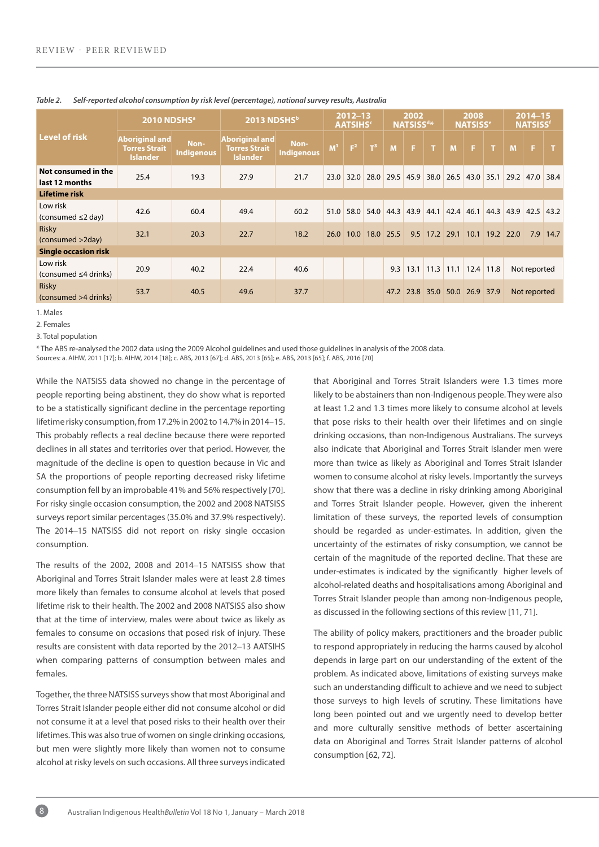|                                        | 2010 NDSHS <sup>a</sup>                                          |                    | 2013 NDSHSb                                                      |                    | $2012 - 13$<br><b>AATSIHS</b> |                | 2002<br><b>NATSISSd*</b> |      |      | 2008<br><b>NATSISS<sup>e</sup></b> |                               |             | 2014-15<br><b>NATSISS<sup>f</sup></b> |                |              |      |
|----------------------------------------|------------------------------------------------------------------|--------------------|------------------------------------------------------------------|--------------------|-------------------------------|----------------|--------------------------|------|------|------------------------------------|-------------------------------|-------------|---------------------------------------|----------------|--------------|------|
| Level of risk                          | <b>Aboriginal and</b><br><b>Torres Strait</b><br><b>Islander</b> | Non-<br>Indigenous | <b>Aboriginal and</b><br><b>Torres Strait</b><br><b>Islander</b> | Non-<br>Indigenous | M <sup>1</sup>                | F <sup>2</sup> | $T^3$                    | M    | F.   | <b>AP</b>                          | <b>M</b>                      | F.          | $\blacksquare$                        | M              | F.           |      |
| Not consumed in the<br>last 12 months  | 25.4                                                             | 19.3               | 27.9                                                             | 21.7               | 23.0                          | 32.0           | 28.0 29.5                |      | 45.9 |                                    | 38.0 26.5                     | $43.0$ 35.1 |                                       | 29.2           | 47.0 38.4    |      |
| Lifetime risk                          |                                                                  |                    |                                                                  |                    |                               |                |                          |      |      |                                    |                               |             |                                       |                |              |      |
| Low risk<br>(consumed $\leq$ 2 day)    | 42.6                                                             | 60.4               | 49.4                                                             | 60.2               | 51.0                          |                | 58.0 54.0 44.3           |      | 43.9 | 44.1                               | 42.4                          | 46.1        |                                       | 44.3 43.9 42.5 |              | 43.2 |
| Risky<br>(consumed >2day)              | 32.1                                                             | 20.3               | 22.7                                                             | 18.2               | 26.0                          | 10.0           | 18.0                     | 25.5 |      | 9.5 17.2 29.1                      |                               | 10.1        | 19.2                                  | 22.0           | 7.9          | 14.7 |
| <b>Single occasion risk</b>            |                                                                  |                    |                                                                  |                    |                               |                |                          |      |      |                                    |                               |             |                                       |                |              |      |
| Low risk<br>(consumed $\leq$ 4 drinks) | 20.9                                                             | 40.2               | 22.4                                                             | 40.6               |                               |                |                          | 9.3  |      | $13.1$ 11.3                        | $11.1$ 12.4 11.8              |             |                                       |                | Not reported |      |
| <b>Risky</b><br>(consumed >4 drinks)   | 53.7                                                             | 40.5               | 49.6                                                             | 37.7               |                               |                |                          |      |      |                                    | 47.2 23.8 35.0 50.0 26.9 37.9 |             |                                       |                | Not reported |      |

#### *Table 2. Self-reported alcohol consumption by risk level (percentage), national survey results, Australia*

1. Males

2. Females

3. Total population

\* The ABS re-analysed the 2002 data using the 2009 Alcohol guidelines and used those guidelines in analysis of the 2008 data.

Sources: a. AIHW, 2011 [17]; b. AIHW, 2014 [18]; c. ABS, 2013 [67]; d. ABS, 2013 [65]; e. ABS, 2013 [65]; f. ABS, 2016 [70]

While the NATSISS data showed no change in the percentage of people reporting being abstinent, they do show what is reported to be a statistically significant decline in the percentage reporting lifetime risky consumption, from 17.2% in 2002 to 14.7% in 2014–15. This probably reflects a real decline because there were reported declines in all states and territories over that period. However, the magnitude of the decline is open to question because in Vic and SA the proportions of people reporting decreased risky lifetime consumption fell by an improbable 41% and 56% respectively [70]. For risky single occasion consumption, the 2002 and 2008 NATSISS surveys report similar percentages (35.0% and 37.9% respectively). The 2014–15 NATSISS did not report on risky single occasion consumption.

The results of the 2002, 2008 and 2014–15 NATSISS show that Aboriginal and Torres Strait Islander males were at least 2.8 times more likely than females to consume alcohol at levels that posed lifetime risk to their health. The 2002 and 2008 NATSISS also show that at the time of interview, males were about twice as likely as females to consume on occasions that posed risk of injury. These results are consistent with data reported by the 2012–13 AATSIHS when comparing patterns of consumption between males and females.

Together, the three NATSISS surveys show that most Aboriginal and Torres Strait Islander people either did not consume alcohol or did not consume it at a level that posed risks to their health over their lifetimes. This was also true of women on single drinking occasions, but men were slightly more likely than women not to consume alcohol at risky levels on such occasions. All three surveys indicated

that Aboriginal and Torres Strait Islanders were 1.3 times more likely to be abstainers than non-Indigenous people. They were also at least 1.2 and 1.3 times more likely to consume alcohol at levels that pose risks to their health over their lifetimes and on single drinking occasions, than non-Indigenous Australians. The surveys also indicate that Aboriginal and Torres Strait Islander men were more than twice as likely as Aboriginal and Torres Strait Islander women to consume alcohol at risky levels. Importantly the surveys show that there was a decline in risky drinking among Aboriginal and Torres Strait Islander people. However, given the inherent limitation of these surveys, the reported levels of consumption should be regarded as under-estimates. In addition, given the uncertainty of the estimates of risky consumption, we cannot be certain of the magnitude of the reported decline. That these are under-estimates is indicated by the significantly higher levels of alcohol-related deaths and hospitalisations among Aboriginal and Torres Strait Islander people than among non-Indigenous people, as discussed in the following sections of this review [11, 71].

The ability of policy makers, practitioners and the broader public to respond appropriately in reducing the harms caused by alcohol depends in large part on our understanding of the extent of the problem. As indicated above, limitations of existing surveys make such an understanding difficult to achieve and we need to subject those surveys to high levels of scrutiny. These limitations have long been pointed out and we urgently need to develop better and more culturally sensitive methods of better ascertaining data on Aboriginal and Torres Strait Islander patterns of alcohol consumption [62, 72].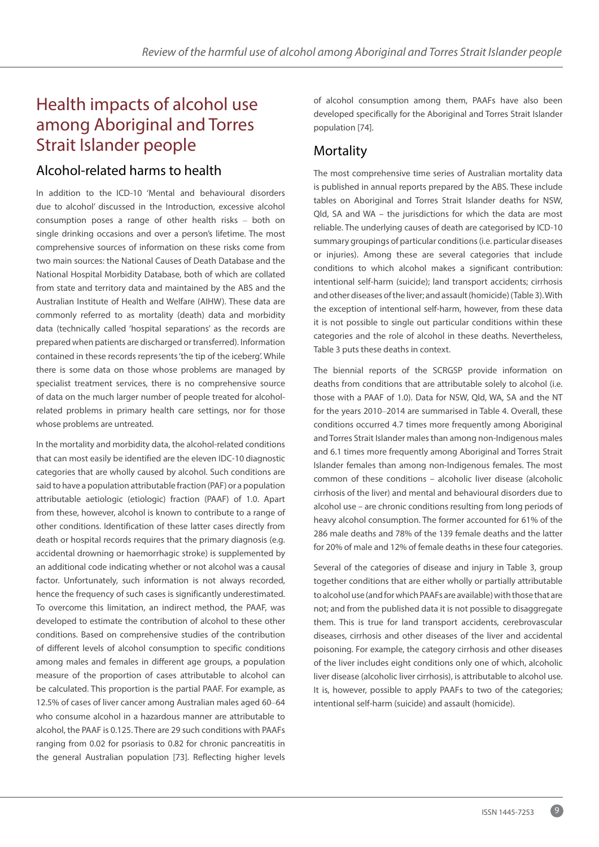# Health impacts of alcohol use among Aboriginal and Torres Strait Islander people

## Alcohol-related harms to health

In addition to the ICD-10 'Mental and behavioural disorders due to alcohol' discussed in the Introduction, excessive alcohol consumption poses a range of other health risks – both on single drinking occasions and over a person's lifetime. The most comprehensive sources of information on these risks come from two main sources: the National Causes of Death Database and the National Hospital Morbidity Database, both of which are collated from state and territory data and maintained by the ABS and the Australian Institute of Health and Welfare (AIHW). These data are commonly referred to as mortality (death) data and morbidity data (technically called 'hospital separations' as the records are prepared when patients are discharged or transferred). Information contained in these records represents 'the tip of the iceberg'. While there is some data on those whose problems are managed by specialist treatment services, there is no comprehensive source of data on the much larger number of people treated for alcoholrelated problems in primary health care settings, nor for those whose problems are untreated.

In the mortality and morbidity data, the alcohol-related conditions that can most easily be identified are the eleven IDC-10 diagnostic categories that are wholly caused by alcohol. Such conditions are said to have a population attributable fraction (PAF) or a population attributable aetiologic (etiologic) fraction (PAAF) of 1.0. Apart from these, however, alcohol is known to contribute to a range of other conditions. Identification of these latter cases directly from death or hospital records requires that the primary diagnosis (e.g. accidental drowning or haemorrhagic stroke) is supplemented by an additional code indicating whether or not alcohol was a causal factor. Unfortunately, such information is not always recorded, hence the frequency of such cases is significantly underestimated. To overcome this limitation, an indirect method, the PAAF, was developed to estimate the contribution of alcohol to these other conditions. Based on comprehensive studies of the contribution of different levels of alcohol consumption to specific conditions among males and females in different age groups, a population measure of the proportion of cases attributable to alcohol can be calculated. This proportion is the partial PAAF. For example, as 12.5% of cases of liver cancer among Australian males aged 60–64 who consume alcohol in a hazardous manner are attributable to alcohol, the PAAF is 0.125. There are 29 such conditions with PAAFs ranging from 0.02 for psoriasis to 0.82 for chronic pancreatitis in the general Australian population [73]. Reflecting higher levels

of alcohol consumption among them, PAAFs have also been developed specifically for the Aboriginal and Torres Strait Islander population [74].

## **Mortality**

The most comprehensive time series of Australian mortality data is published in annual reports prepared by the ABS. These include tables on Aboriginal and Torres Strait Islander deaths for NSW, Qld, SA and WA – the jurisdictions for which the data are most reliable. The underlying causes of death are categorised by ICD-10 summary groupings of particular conditions (i.e. particular diseases or injuries). Among these are several categories that include conditions to which alcohol makes a significant contribution: intentional self-harm (suicide); land transport accidents; cirrhosis and other diseases of the liver; and assault (homicide) (Table 3). With the exception of intentional self-harm, however, from these data it is not possible to single out particular conditions within these categories and the role of alcohol in these deaths. Nevertheless, Table 3 puts these deaths in context.

The biennial reports of the SCRGSP provide information on deaths from conditions that are attributable solely to alcohol (i.e. those with a PAAF of 1.0). Data for NSW, Qld, WA, SA and the NT for the years 2010–2014 are summarised in Table 4. Overall, these conditions occurred 4.7 times more frequently among Aboriginal and Torres Strait Islander males than among non-Indigenous males and 6.1 times more frequently among Aboriginal and Torres Strait Islander females than among non-Indigenous females. The most common of these conditions – alcoholic liver disease (alcoholic cirrhosis of the liver) and mental and behavioural disorders due to alcohol use – are chronic conditions resulting from long periods of heavy alcohol consumption. The former accounted for 61% of the 286 male deaths and 78% of the 139 female deaths and the latter for 20% of male and 12% of female deaths in these four categories.

Several of the categories of disease and injury in Table 3, group together conditions that are either wholly or partially attributable to alcohol use (and for which PAAFs are available) with those that are not; and from the published data it is not possible to disaggregate them. This is true for land transport accidents, cerebrovascular diseases, cirrhosis and other diseases of the liver and accidental poisoning. For example, the category cirrhosis and other diseases of the liver includes eight conditions only one of which, alcoholic liver disease (alcoholic liver cirrhosis), is attributable to alcohol use. It is, however, possible to apply PAAFs to two of the categories; intentional self-harm (suicide) and assault (homicide).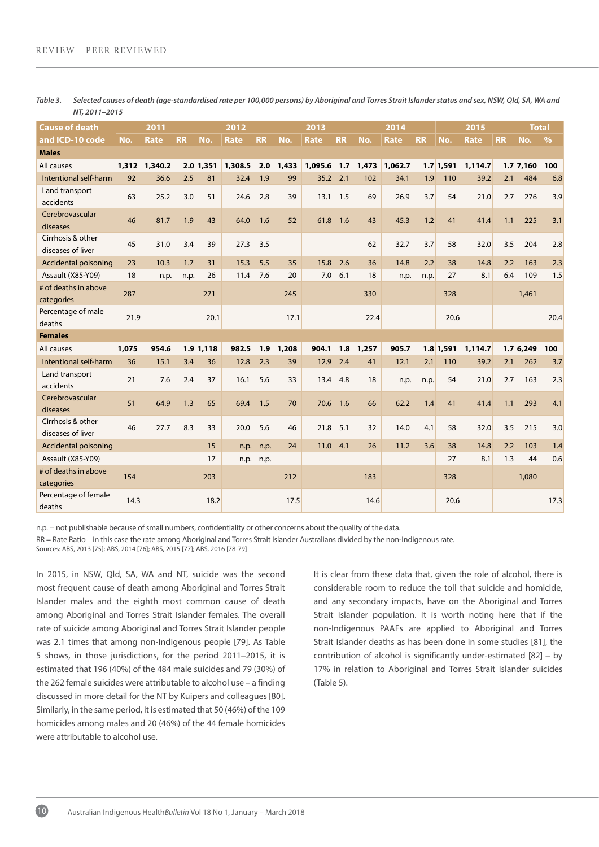| Cause of death                         |       | 2011        |           |             | 2012        |           |       | 2013        |           | 2014  |             | 2015      |             |             | Total     |             |               |
|----------------------------------------|-------|-------------|-----------|-------------|-------------|-----------|-------|-------------|-----------|-------|-------------|-----------|-------------|-------------|-----------|-------------|---------------|
| and ICD-10 code                        | No.   | <b>Rate</b> | <b>RR</b> | No.         | <b>Rate</b> | <b>RR</b> | No.   | <b>Rate</b> | <b>RR</b> | No.   | <b>Rate</b> | <b>RR</b> | No.         | <b>Rate</b> | <b>RR</b> | No.         | $\frac{9}{6}$ |
| <b>Males</b>                           |       |             |           |             |             |           |       |             |           |       |             |           |             |             |           |             |               |
| All causes                             | 1,312 | 1,340.2     |           | $2.0$ 1,351 | 1,308.5     | 2.0       | 1,433 | 1,095.6     | 1.7       | 1,473 | 1,062.7     |           | $1.7$ 1,591 | 1,114.7     |           | $1.7$ 7,160 | 100           |
| Intentional self-harm                  | 92    | 36.6        | 2.5       | 81          | 32.4        | 1.9       | 99    | 35.2        | 2.1       | 102   | 34.1        | 1.9       | 110         | 39.2        | 2.1       | 484         | 6.8           |
| Land transport<br>accidents            | 63    | 25.2        | 3.0       | 51          | 24.6        | 2.8       | 39    | 13.1        | 1.5       | 69    | 26.9        | 3.7       | 54          | 21.0        | 2.7       | 276         | 3.9           |
| Cerebrovascular<br>diseases            | 46    | 81.7        | 1.9       | 43          | 64.0        | 1.6       | 52    | 61.8        | 1.6       | 43    | 45.3        | 1.2       | 41          | 41.4        | 1.1       | 225         | 3.1           |
| Cirrhosis & other<br>diseases of liver | 45    | 31.0        | 3.4       | 39          | 27.3        | 3.5       |       |             |           | 62    | 32.7        | 3.7       | 58          | 32.0        | 3.5       | 204         | 2.8           |
| Accidental poisoning                   | 23    | 10.3        | 1.7       | 31          | 15.3        | 5.5       | 35    | 15.8        | 2.6       | 36    | 14.8        | 2.2       | 38          | 14.8        | 2.2       | 163         | 2.3           |
| Assault (X85-Y09)                      | 18    | n.p.        | n.p.      | 26          | 11.4        | 7.6       | 20    | 7.0         | 6.1       | 18    | n.p.        | n.p.      | 27          | 8.1         | 6.4       | 109         | 1.5           |
| # of deaths in above<br>categories     | 287   |             |           | 271         |             |           | 245   |             |           | 330   |             |           | 328         |             |           | 1,461       |               |
| Percentage of male<br>deaths           | 21.9  |             |           | 20.1        |             |           | 17.1  |             |           | 22.4  |             |           | 20.6        |             |           |             | 20.4          |
| <b>Females</b>                         |       |             |           |             |             |           |       |             |           |       |             |           |             |             |           |             |               |
| All causes                             | 1,075 | 954.6       |           | $1.9$ 1.118 | 982.5       | 1.9       | 1,208 | 904.1       | 1.8       | 1,257 | 905.7       |           | $1.8$ 1,591 | 1,114.7     |           | 1.76.249    | 100           |
| Intentional self-harm                  | 36    | 15.1        | 3.4       | 36          | 12.8        | 2.3       | 39    | 12.9        | 2.4       | 41    | 12.1        | 2.1       | 110         | 39.2        | 2.1       | 262         | 3.7           |
| Land transport<br>accidents            | 21    | 7.6         | 2.4       | 37          | 16.1        | 5.6       | 33    | 13.4        | 4.8       | 18    | n.p.        | n.p.      | 54          | 21.0        | 2.7       | 163         | 2.3           |
| Cerebrovascular<br>diseases            | 51    | 64.9        | 1.3       | 65          | 69.4        | 1.5       | 70    | 70.6        | 1.6       | 66    | 62.2        | 1.4       | 41          | 41.4        | 1.1       | 293         | 4.1           |
| Cirrhosis & other<br>diseases of liver | 46    | 27.7        | 8.3       | 33          | 20.0        | 5.6       | 46    | 21.8        | 5.1       | 32    | 14.0        | 4.1       | 58          | 32.0        | 3.5       | 215         | 3.0           |
| Accidental poisoning                   |       |             |           | 15          | n.p.        | n.p.      | 24    | 11.0        | 4.1       | 26    | 11.2        | 3.6       | 38          | 14.8        | 2.2       | 103         | 1.4           |
| Assault (X85-Y09)                      |       |             |           | 17          | n.p.        | n.p.      |       |             |           |       |             |           | 27          | 8.1         | 1.3       | 44          | 0.6           |
| # of deaths in above<br>categories     | 154   |             |           | 203         |             |           | 212   |             |           | 183   |             |           | 328         |             |           | 1,080       |               |
| Percentage of female<br>deaths         | 14.3  |             |           | 18.2        |             |           | 17.5  |             |           | 14.6  |             |           | 20.6        |             |           |             | 17.3          |

*Table 3. Selected causes of death (age-standardised rate per 100,000 persons) by Aboriginal and Torres Strait Islander status and sex, NSW, Qld, SA, WA and NT, 2011–2015*

n.p. = not publishable because of small numbers, confidentiality or other concerns about the quality of the data.

RR = Rate Ratio – in this case the rate among Aboriginal and Torres Strait Islander Australians divided by the non-Indigenous rate.

Sources: ABS, 2013 [75]; ABS, 2014 [76]; ABS, 2015 [77]; ABS, 2016 [78-79]

In 2015, in NSW, Qld, SA, WA and NT, suicide was the second most frequent cause of death among Aboriginal and Torres Strait Islander males and the eighth most common cause of death among Aboriginal and Torres Strait Islander females. The overall rate of suicide among Aboriginal and Torres Strait Islander people was 2.1 times that among non-Indigenous people [79]. As Table 5 shows, in those jurisdictions, for the period 2011–2015, it is estimated that 196 (40%) of the 484 male suicides and 79 (30%) of the 262 female suicides were attributable to alcohol use – a finding discussed in more detail for the NT by Kuipers and colleagues[80]. Similarly, in the same period, it is estimated that 50 (46%) of the 109 homicides among males and 20 (46%) of the 44 female homicides were attributable to alcohol use.

It is clear from these data that, given the role of alcohol, there is considerable room to reduce the toll that suicide and homicide, and any secondary impacts, have on the Aboriginal and Torres Strait Islander population. It is worth noting here that if the non-Indigenous PAAFs are applied to Aboriginal and Torres Strait Islander deaths as has been done in some studies [81], the contribution of alcohol is significantly under-estimated [82] – by 17% in relation to Aboriginal and Torres Strait Islander suicides (Table 5).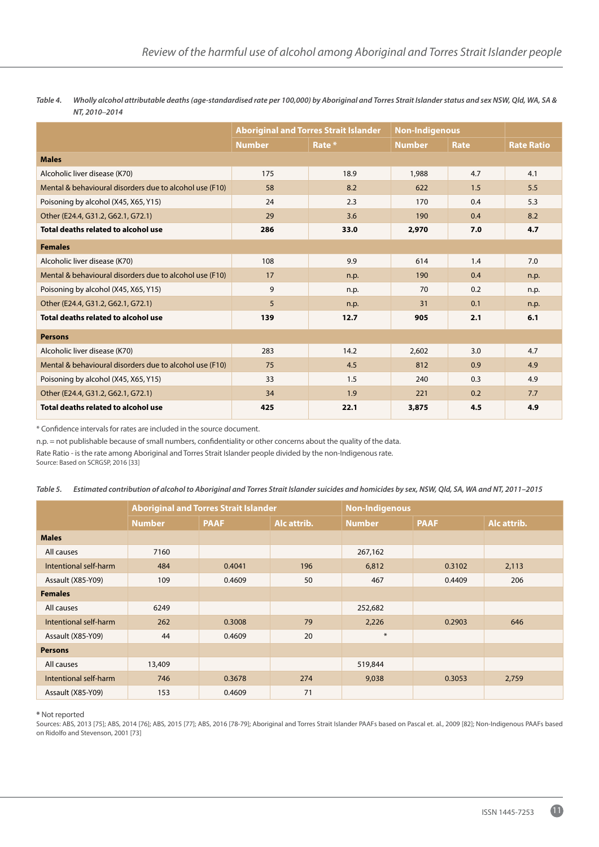*Table 4. Wholly alcohol attributable deaths (age-standardised rate per 100,000) by Aboriginal and Torres Strait Islander status and sex NSW, Qld, WA, SA & NT, 2010***–***2014*

|                                                         |               | <b>Aboriginal and Torres Strait Islander</b> | <b>Non-Indigenous</b> |      |                   |
|---------------------------------------------------------|---------------|----------------------------------------------|-----------------------|------|-------------------|
|                                                         | <b>Number</b> | Rate *                                       | <b>Number</b>         | Rate | <b>Rate Ratio</b> |
| <b>Males</b>                                            |               |                                              |                       |      |                   |
| Alcoholic liver disease (K70)                           | 175           | 18.9                                         | 1,988                 | 4.7  | 4.1               |
| Mental & behavioural disorders due to alcohol use (F10) | 58            | 8.2                                          | 622                   | 1.5  | 5.5               |
| Poisoning by alcohol (X45, X65, Y15)                    | 24            | 2.3                                          | 170                   | 0.4  | 5.3               |
| Other (E24.4, G31.2, G62.1, G72.1)                      | 29            | 3.6                                          | 190                   | 0.4  | 8.2               |
| Total deaths related to alcohol use                     | 286           | 33.0                                         | 2,970                 | 7.0  | 4.7               |
| <b>Females</b>                                          |               |                                              |                       |      |                   |
| Alcoholic liver disease (K70)                           | 108           | 9.9                                          | 614                   | 1.4  | 7.0               |
| Mental & behavioural disorders due to alcohol use (F10) | 17            | n.p.                                         | 190                   | 0.4  | n.p.              |
| Poisoning by alcohol (X45, X65, Y15)                    | 9             | n.p.                                         | 70                    | 0.2  | n.p.              |
| Other (E24.4, G31.2, G62.1, G72.1)                      | 5             | n.p.                                         | 31                    | 0.1  | n.p.              |
| Total deaths related to alcohol use                     | 139           | 12.7                                         | 905                   | 2.1  | 6.1               |
| <b>Persons</b>                                          |               |                                              |                       |      |                   |
| Alcoholic liver disease (K70)                           | 283           | 14.2                                         | 2,602                 | 3.0  | 4.7               |
| Mental & behavioural disorders due to alcohol use (F10) | 75            | 4.5                                          | 812                   | 0.9  | 4.9               |
| Poisoning by alcohol (X45, X65, Y15)                    | 33            | 1.5                                          | 240                   | 0.3  | 4.9               |
| Other (E24.4, G31.2, G62.1, G72.1)                      | 34            | 1.9                                          | 221                   | 0.2  | 7.7               |
| Total deaths related to alcohol use                     | 425           | 22.1                                         | 3,875                 | 4.5  | 4.9               |

\* Confidence intervals for rates are included in the source document.

n.p. = not publishable because of small numbers, confidentiality or other concerns about the quality of the data.

Rate Ratio - is the rate among Aboriginal and Torres Strait Islander people divided by the non-Indigenous rate.

Source: Based on SCRGSP, 2016 [33]

|  | Table 5. Estimated contribution of alcohol to Aboriginal and Torres Strait Islander suicides and homicides by sex, NSW, Qld, SA, WA and NT, 2011-2015 |  |
|--|-------------------------------------------------------------------------------------------------------------------------------------------------------|--|
|--|-------------------------------------------------------------------------------------------------------------------------------------------------------|--|

|                       |               | <b>Aboriginal and Torres Strait Islander</b> |             | <b>Non-Indigenous</b> |             |             |  |  |
|-----------------------|---------------|----------------------------------------------|-------------|-----------------------|-------------|-------------|--|--|
|                       | <b>Number</b> | <b>PAAF</b>                                  | Alc attrib. | <b>Number</b>         | <b>PAAF</b> | Alc attrib. |  |  |
| <b>Males</b>          |               |                                              |             |                       |             |             |  |  |
| All causes            | 7160          |                                              |             | 267,162               |             |             |  |  |
| Intentional self-harm | 484           | 0.4041                                       | 196         | 6,812                 | 0.3102      | 2,113       |  |  |
| Assault (X85-Y09)     | 109           | 0.4609                                       | 50          | 467                   | 0.4409      | 206         |  |  |
| <b>Females</b>        |               |                                              |             |                       |             |             |  |  |
| All causes            | 6249          |                                              |             | 252,682               |             |             |  |  |
| Intentional self-harm | 262           | 0.3008                                       | 79          | 2,226                 | 0.2903      | 646         |  |  |
| Assault (X85-Y09)     | 44            | 0.4609                                       | 20          | $\ast$                |             |             |  |  |
| <b>Persons</b>        |               |                                              |             |                       |             |             |  |  |
| All causes            | 13,409        |                                              |             | 519,844               |             |             |  |  |
| Intentional self-harm | 746           | 0.3678                                       | 274         | 9,038                 | 0.3053      | 2,759       |  |  |
| Assault (X85-Y09)     | 153           | 0.4609                                       | 71          |                       |             |             |  |  |

**\*** Not reported

Sources: ABS, 2013 [75]; ABS, 2014 [76]; ABS, 2015 [77]; ABS, 2016 [78-79]; Aboriginal and Torres Strait Islander PAAFs based on Pascal et. al., 2009 [82]; Non-Indigenous PAAFs based on Ridolfo and Stevenson, 2001 [73]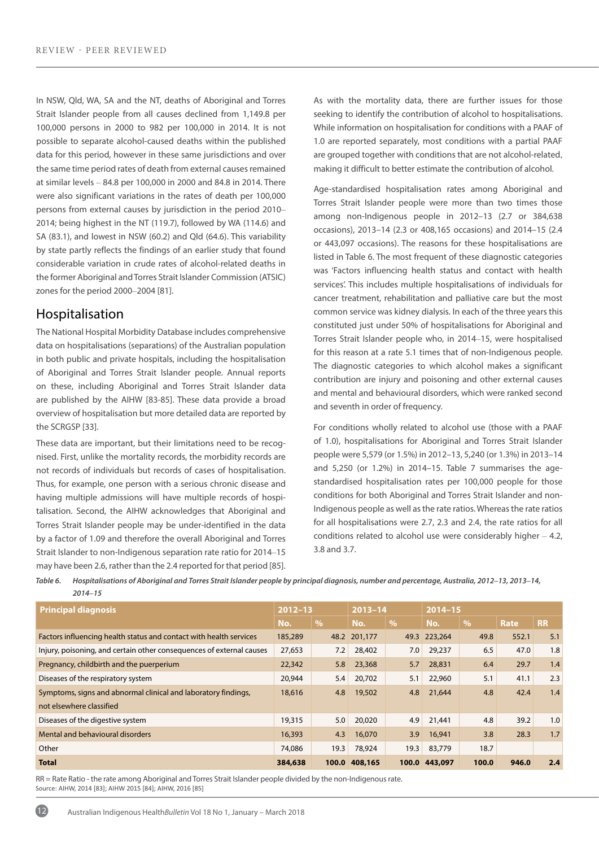In NSW, Qld, WA, SA and the NT, deaths of Aboriginal and Torres Strait Islander people from all causes declined from 1,149.8 per 100,000 persons in 2000 to 982 per 100,000 in 2014. It is not possible to separate alcohol-caused deaths within the published data for this period, however in these same jurisdictions and over the same time period rates of death from external causes remained at similar levels – 84.8 per 100,000 in 2000 and 84.8 in 2014. There were also significant variations in the rates of death per 100,000 persons from external causes by jurisdiction in the period 2010– 2014; being highest in the NT (119.7), followed by WA (114.6) and SA (83.1), and lowest in NSW (60.2) and Qld (64.6). This variability by state partly reflects the findings of an earlier study that found considerable variation in crude rates of alcohol-related deaths in the former Aboriginal and Torres Strait Islander Commission (ATSIC) zones for the period 2000–2004 [81].

### Hospitalisation

12

The National Hospital Morbidity Database includes comprehensive data on hospitalisations (separations) of the Australian population in both public and private hospitals, including the hospitalisation of Aboriginal and Torres Strait Islander people. Annual reports on these, including Aboriginal and Torres Strait Islander data are published by the AIHW [83-85]. These data provide a broad overview of hospitalisation but more detailed data are reported by the SCRGSP [33].

These data are important, but their limitations need to be recognised. First, unlike the mortality records, the morbidity records are not records of individuals but records of cases of hospitalisation. Thus, for example, one person with a serious chronic disease and having multiple admissions will have multiple records of hospitalisation. Second, the AIHW acknowledges that Aboriginal and Torres Strait Islander people may be under-identified in the data by a factor of 1.09 and therefore the overall Aboriginal and Torres Strait Islander to non-Indigenous separation rate ratio for 2014–15 may have been 2.6, rather than the 2.4 reported for that period [85]. As with the mortality data, there are further issues for those seeking to identify the contribution of alcohol to hospitalisations. While information on hospitalisation for conditions with a PAAF of 1.0 are reported separately, most conditions with a partial PAAF are grouped together with conditions that are not alcohol-related, making it difficult to better estimate the contribution of alcohol.

Age-standardised hospitalisation rates among Aboriginal and Torres Strait Islander people were more than two times those among non-Indigenous people in 2012–13 (2.7 or 384,638 occasions), 2013–14 (2.3 or 408,165 occasions) and 2014–15 (2.4 or 443,097 occasions). The reasons for these hospitalisations are listed in Table 6. The most frequent of these diagnostic categories was 'Factors influencing health status and contact with health services'. This includes multiple hospitalisations of individuals for cancer treatment, rehabilitation and palliative care but the most common service was kidney dialysis. In each of the three years this constituted just under 50% of hospitalisations for Aboriginal and Torres Strait Islander people who, in 2014–15, were hospitalised for this reason at a rate 5.1 times that of non-Indigenous people. The diagnostic categories to which alcohol makes a significant contribution are injury and poisoning and other external causes and mental and behavioural disorders, which were ranked second and seventh in order of frequency.

For conditions wholly related to alcohol use (those with a PAAF of 1.0), hospitalisations for Aboriginal and Torres Strait Islander people were 5,579 (or 1.5%) in 2012–13, 5,240 (or 1.3%) in 2013–14 and 5,250 (or 1.2%) in 2014–15. Table 7 summarises the agestandardised hospitalisation rates per 100,000 people for those conditions for both Aboriginal and Torres Strait Islander and non-Indigenous people as well as the rate ratios. Whereas the rate ratios for all hospitalisations were 2.7, 2.3 and 2.4, the rate ratios for all conditions related to alcohol use were considerably higher – 4.2, 3.8 and 3.7.

| Table 6. | Hospitalisations of Aboriginal and Torres Strait Islander people by principal diagnosis, number and percentage, Australia, 2012–13, 2013–14, |
|----------|----------------------------------------------------------------------------------------------------------------------------------------------|
|          | $2014 - 15$                                                                                                                                  |

| <b>Principal diagnosis</b>                                           | $2012 - 13$ |               | $2013 - 14$   |                          | $2014 - 15$   |               |       |           |  |
|----------------------------------------------------------------------|-------------|---------------|---------------|--------------------------|---------------|---------------|-------|-----------|--|
|                                                                      | No.         | $\frac{0}{0}$ | No.           | $\overline{\mathcal{A}}$ | No.           | $\frac{0}{0}$ | Rate  | <b>RR</b> |  |
| Factors influencing health status and contact with health services   | 185,289     |               | 48.2 201,177  |                          | 49.3 223,264  | 49.8          | 552.1 | 5.1       |  |
| Injury, poisoning, and certain other consequences of external causes | 27,653      | 7.2           | 28,402        | 7.0                      | 29,237        | 6.5           | 47.0  | 1.8       |  |
| Pregnancy, childbirth and the puerperium                             | 22,342      | 5.8           | 23,368        | 5.7                      | 28,831        | 6.4           | 29.7  | 1.4       |  |
| Diseases of the respiratory system                                   | 20,944      | 5.4           | 20,702        | 5.1                      | 22,960        | 5.1           | 41.1  | 2.3       |  |
| Symptoms, signs and abnormal clinical and laboratory findings,       | 18,616      | 4.8           | 19,502        | 4.8                      | 21,644        | 4.8           | 42.4  | 1.4       |  |
| not elsewhere classified                                             |             |               |               |                          |               |               |       |           |  |
| Diseases of the digestive system                                     | 19,315      | 5.0           | 20,020        | 4.9                      | 21,441        | 4.8           | 39.2  | 1.0       |  |
| Mental and behavioural disorders                                     | 16,393      | 4.3           | 16,070        | 3.9                      | 16,941        | 3.8           | 28.3  | 1.7       |  |
| Other                                                                | 74,086      | 19.3          | 78,924        | 19.3                     | 83,779        | 18.7          |       |           |  |
| <b>Total</b>                                                         | 384,638     |               | 100.0 408.165 |                          | 100.0 443,097 | 100.0         | 946.0 | 2.4       |  |

RR = Rate Ratio - the rate among Aboriginal and Torres Strait Islander people divided by the non-Indigenous rate. Source: AIHW, 2014 [83]; AIHW 2015 [84]; AIHW, 2016 [85]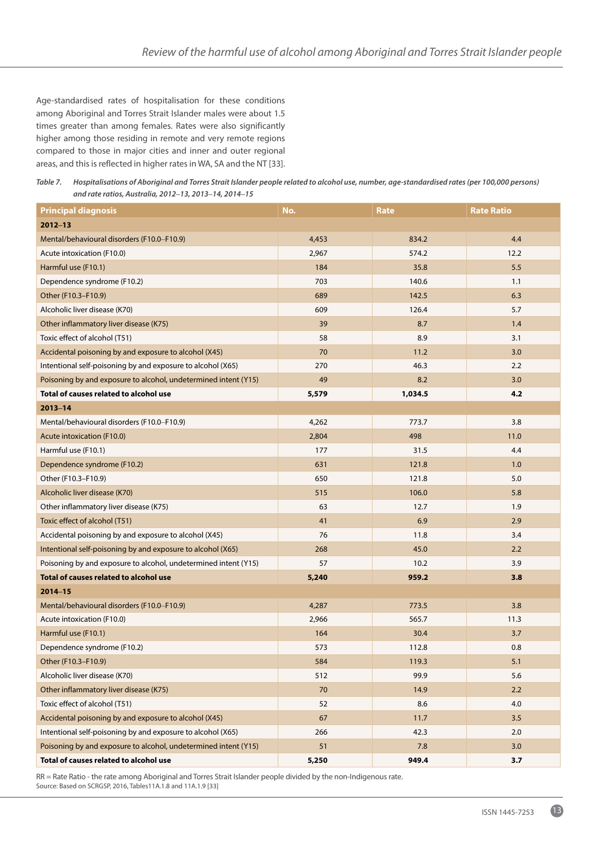Age-standardised rates of hospitalisation for these conditions among Aboriginal and Torres Strait Islander males were about 1.5 times greater than among females. Rates were also significantly higher among those residing in remote and very remote regions compared to those in major cities and inner and outer regional areas, and this is reflected in higher rates in WA, SA and the NT [33].

*Table 7. Hospitalisations of Aboriginal and Torres Strait Islander people related to alcohol use, number, age-standardised rates (per 100,000 persons) and rate ratios, Australia, 2012***–***13, 2013***–***14, 2014***–***15*

| <b>Principal diagnosis</b>                                      | No.   | <b>Rate</b> | <b>Rate Ratio</b> |
|-----------------------------------------------------------------|-------|-------------|-------------------|
| $2012 - 13$                                                     |       |             |                   |
| Mental/behavioural disorders (F10.0–F10.9)                      | 4,453 | 834.2       | 4.4               |
| Acute intoxication (F10.0)                                      | 2,967 | 574.2       | 12.2              |
| Harmful use (F10.1)                                             | 184   | 35.8        | 5.5               |
| Dependence syndrome (F10.2)                                     | 703   | 140.6       | 1.1               |
| Other (F10.3-F10.9)                                             | 689   | 142.5       | 6.3               |
| Alcoholic liver disease (K70)                                   | 609   | 126.4       | 5.7               |
| Other inflammatory liver disease (K75)                          | 39    | 8.7         | 1.4               |
| Toxic effect of alcohol (T51)                                   | 58    | 8.9         | 3.1               |
| Accidental poisoning by and exposure to alcohol (X45)           | 70    | 11.2        | 3.0               |
| Intentional self-poisoning by and exposure to alcohol (X65)     | 270   | 46.3        | 2.2               |
| Poisoning by and exposure to alcohol, undetermined intent (Y15) | 49    | 8.2         | 3.0               |
| Total of causes related to alcohol use                          | 5,579 | 1,034.5     | 4.2               |
| $2013 - 14$                                                     |       |             |                   |
| Mental/behavioural disorders (F10.0-F10.9)                      | 4,262 | 773.7       | 3.8               |
| Acute intoxication (F10.0)                                      | 2,804 | 498         | 11.0              |
| Harmful use (F10.1)                                             | 177   | 31.5        | 4.4               |
| Dependence syndrome (F10.2)                                     | 631   | 121.8       | 1.0               |
| Other (F10.3–F10.9)                                             | 650   | 121.8       | 5.0               |
| Alcoholic liver disease (K70)                                   | 515   | 106.0       | 5.8               |
| Other inflammatory liver disease (K75)                          | 63    | 12.7        | 1.9               |
| Toxic effect of alcohol (T51)                                   | 41    | 6.9         | 2.9               |
| Accidental poisoning by and exposure to alcohol (X45)           | 76    | 11.8        | 3.4               |
| Intentional self-poisoning by and exposure to alcohol (X65)     | 268   | 45.0        | 2.2               |
| Poisoning by and exposure to alcohol, undetermined intent (Y15) | 57    | 10.2        | 3.9               |
| Total of causes related to alcohol use                          | 5,240 | 959.2       | 3.8               |
| $2014 - 15$                                                     |       |             |                   |
| Mental/behavioural disorders (F10.0–F10.9)                      | 4,287 | 773.5       | 3.8               |
| Acute intoxication (F10.0)                                      | 2,966 | 565.7       | 11.3              |
| Harmful use (F10.1)                                             | 164   | 30.4        | 3.7               |
| Dependence syndrome (F10.2)                                     | 573   | 112.8       | 0.8               |
| Other (F10.3-F10.9)                                             | 584   | 119.3       | 5.1               |
| Alcoholic liver disease (K70)                                   | 512   | 99.9        | 5.6               |
| Other inflammatory liver disease (K75)                          | 70    | 14.9        | 2.2               |
| Toxic effect of alcohol (T51)                                   | 52    | 8.6         | 4.0               |
| Accidental poisoning by and exposure to alcohol (X45)           | 67    | 11.7        | 3.5               |
| Intentional self-poisoning by and exposure to alcohol (X65)     | 266   | 42.3        | 2.0               |
| Poisoning by and exposure to alcohol, undetermined intent (Y15) | 51    | 7.8         | 3.0               |
| Total of causes related to alcohol use                          | 5,250 | 949.4       | 3.7               |

RR = Rate Ratio - the rate among Aboriginal and Torres Strait Islander people divided by the non-Indigenous rate. Source: Based on SCRGSP, 2016, Tables11A.1.8 and 11A.1.9 [33]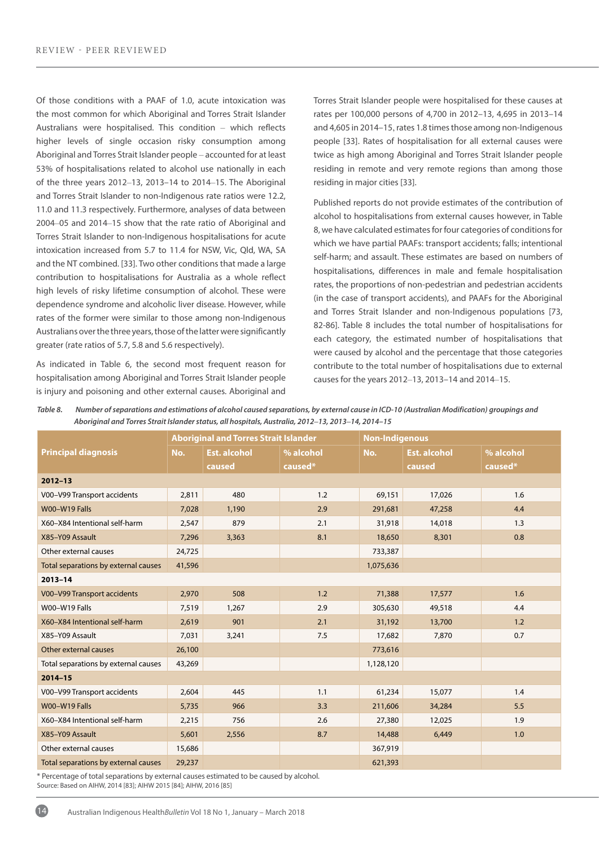Of those conditions with a PAAF of 1.0, acute intoxication was the most common for which Aboriginal and Torres Strait Islander Australians were hospitalised. This condition – which reflects higher levels of single occasion risky consumption among Aboriginal and Torres Strait Islander people – accounted for at least 53% of hospitalisations related to alcohol use nationally in each of the three years 2012–13, 2013–14 to 2014–15. The Aboriginal and Torres Strait Islander to non-Indigenous rate ratios were 12.2, 11.0 and 11.3 respectively. Furthermore, analyses of data between 2004–05 and 2014–15 show that the rate ratio of Aboriginal and Torres Strait Islander to non-Indigenous hospitalisations for acute intoxication increased from 5.7 to 11.4 for NSW, Vic, Qld, WA, SA and the NT combined. [33]. Two other conditions that made a large contribution to hospitalisations for Australia as a whole reflect high levels of risky lifetime consumption of alcohol. These were dependence syndrome and alcoholic liver disease. However, while rates of the former were similar to those among non-Indigenous Australians over the three years, those of the latter were significantly greater (rate ratios of 5.7, 5.8 and 5.6 respectively).

As indicated in Table 6, the second most frequent reason for hospitalisation among Aboriginal and Torres Strait Islander people is injury and poisoning and other external causes. Aboriginal and Torres Strait Islander people were hospitalised for these causes at rates per 100,000 persons of 4,700 in 2012–13, 4,695 in 2013–14 and 4,605 in 2014–15, rates 1.8 times those among non-Indigenous people [33]. Rates of hospitalisation for all external causes were twice as high among Aboriginal and Torres Strait Islander people residing in remote and very remote regions than among those residing in major cities [33].

Published reports do not provide estimates of the contribution of alcohol to hospitalisations from external causes however, in Table 8, we have calculated estimates for four categories of conditions for which we have partial PAAFs: transport accidents; falls; intentional self-harm; and assault. These estimates are based on numbers of hospitalisations, differences in male and female hospitalisation rates, the proportions of non-pedestrian and pedestrian accidents (in the case of transport accidents), and PAAFs for the Aboriginal and Torres Strait Islander and non-Indigenous populations [73, 82-86]. Table 8 includes the total number of hospitalisations for each category, the estimated number of hospitalisations that were caused by alcohol and the percentage that those categories contribute to the total number of hospitalisations due to external causes for the years 2012–13, 2013–14 and 2014–15.

*Table 8. Number of separations and estimations of alcohol caused separations, by external cause in ICD-10 (Australian Modification) groupings and Aboriginal and Torres Strait Islander status, all hospitals, Australia, 2012***–***13, 2013***–***14, 2014–15*

|                                      |        | <b>Aboriginal and Torres Strait Islander</b> |           | <b>Non-Indigenous</b> |                     |           |  |  |  |
|--------------------------------------|--------|----------------------------------------------|-----------|-----------------------|---------------------|-----------|--|--|--|
| <b>Principal diagnosis</b>           | No.    | <b>Est. alcohol</b>                          | % alcohol | No.                   | <b>Est. alcohol</b> | % alcohol |  |  |  |
|                                      |        | caused                                       | caused*   |                       | caused              | caused*   |  |  |  |
| $2012 - 13$                          |        |                                              |           |                       |                     |           |  |  |  |
| V00-V99 Transport accidents          | 2,811  | 480                                          | 1.2       | 69,151                | 17,026              | 1.6       |  |  |  |
| W00-W19 Falls                        | 7,028  | 1,190                                        | 2.9       | 291,681               | 47,258              | 4.4       |  |  |  |
| X60-X84 Intentional self-harm        | 2,547  | 879                                          | 2.1       | 31,918                | 14,018              | 1.3       |  |  |  |
| X85-Y09 Assault                      | 7,296  | 3,363                                        | 8.1       | 18,650                | 8,301               | 0.8       |  |  |  |
| Other external causes                | 24,725 |                                              |           | 733,387               |                     |           |  |  |  |
| Total separations by external causes | 41,596 |                                              |           | 1,075,636             |                     |           |  |  |  |
| $2013 - 14$                          |        |                                              |           |                       |                     |           |  |  |  |
| V00-V99 Transport accidents          | 2,970  | 508                                          | 1.2       | 71,388                | 17,577              | 1.6       |  |  |  |
| W00-W19 Falls                        | 7,519  | 1,267                                        | 2.9       | 305,630               | 49,518              | 4.4       |  |  |  |
| X60-X84 Intentional self-harm        | 2,619  | 901                                          | 2.1       | 31,192                | 13,700              | 1.2       |  |  |  |
| X85-Y09 Assault                      | 7,031  | 3,241                                        | 7.5       | 17,682                | 7,870               | 0.7       |  |  |  |
| Other external causes                | 26,100 |                                              |           | 773,616               |                     |           |  |  |  |
| Total separations by external causes | 43,269 |                                              |           | 1,128,120             |                     |           |  |  |  |
| $2014 - 15$                          |        |                                              |           |                       |                     |           |  |  |  |
| V00-V99 Transport accidents          | 2,604  | 445                                          | 1.1       | 61,234                | 15,077              | 1.4       |  |  |  |
| W00-W19 Falls                        | 5,735  | 966                                          | 3.3       | 211,606               | 34,284              | 5.5       |  |  |  |
| X60-X84 Intentional self-harm        | 2,215  | 756                                          | 2.6       | 27,380                | 12,025              | 1.9       |  |  |  |
| X85-Y09 Assault                      | 5,601  | 2,556                                        | 8.7       | 14,488                | 6,449               | 1.0       |  |  |  |
| Other external causes                | 15,686 |                                              |           | 367,919               |                     |           |  |  |  |
| Total separations by external causes | 29,237 |                                              |           | 621,393               |                     |           |  |  |  |

\* Percentage of total separations by external causes estimated to be caused by alcohol. Source: Based on AIHW, 2014 [83]; AIHW 2015 [84]; AIHW, 2016 [85]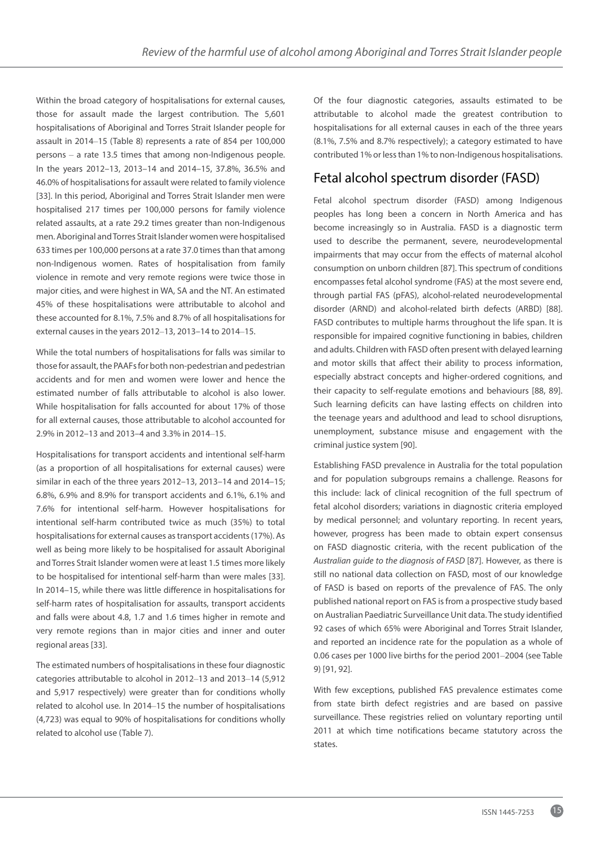Within the broad category of hospitalisations for external causes, those for assault made the largest contribution. The 5,601 hospitalisations of Aboriginal and Torres Strait Islander people for assault in 2014–15 (Table 8) represents a rate of 854 per 100,000 persons – a rate 13.5 times that among non-Indigenous people. In the years 2012–13, 2013–14 and 2014–15, 37.8%, 36.5% and 46.0% of hospitalisations for assault were related to family violence [33]. In this period, Aboriginal and Torres Strait Islander men were hospitalised 217 times per 100,000 persons for family violence related assaults, at a rate 29.2 times greater than non-Indigenous men. Aboriginal and Torres Strait Islander women were hospitalised 633 times per 100,000 persons at a rate 37.0 times than that among non-Indigenous women. Rates of hospitalisation from family violence in remote and very remote regions were twice those in major cities, and were highest in WA, SA and the NT. An estimated 45% of these hospitalisations were attributable to alcohol and these accounted for 8.1%, 7.5% and 8.7% of all hospitalisations for external causes in the years 2012–13, 2013–14 to 2014–15.

While the total numbers of hospitalisations for falls was similar to those for assault, the PAAFs for both non-pedestrian and pedestrian accidents and for men and women were lower and hence the estimated number of falls attributable to alcohol is also lower. While hospitalisation for falls accounted for about 17% of those for all external causes, those attributable to alcohol accounted for 2.9% in 2012–13 and 2013–4 and 3.3% in 2014–15.

Hospitalisations for transport accidents and intentional self-harm (as a proportion of all hospitalisations for external causes) were similar in each of the three years 2012–13, 2013–14 and 2014–15; 6.8%, 6.9% and 8.9% for transport accidents and 6.1%, 6.1% and 7.6% for intentional self-harm. However hospitalisations for intentional self-harm contributed twice as much (35%) to total hospitalisations for external causes as transport accidents (17%). As well as being more likely to be hospitalised for assault Aboriginal and Torres Strait Islander women were at least 1.5 times more likely to be hospitalised for intentional self-harm than were males [33]. In 2014–15, while there was little difference in hospitalisations for self-harm rates of hospitalisation for assaults, transport accidents and falls were about 4.8, 1.7 and 1.6 times higher in remote and very remote regions than in major cities and inner and outer regional areas [33].

The estimated numbers of hospitalisations in these four diagnostic categories attributable to alcohol in 2012–13 and 2013–14 (5,912 and 5,917 respectively) were greater than for conditions wholly related to alcohol use. In 2014–15 the number of hospitalisations (4,723) was equal to 90% of hospitalisations for conditions wholly related to alcohol use (Table 7).

Of the four diagnostic categories, assaults estimated to be attributable to alcohol made the greatest contribution to hospitalisations for all external causes in each of the three years (8.1%, 7.5% and 8.7% respectively); a category estimated to have contributed 1% or less than 1% to non-Indigenous hospitalisations.

# Fetal alcohol spectrum disorder (FASD)

Fetal alcohol spectrum disorder (FASD) among Indigenous peoples has long been a concern in North America and has become increasingly so in Australia. FASD is a diagnostic term used to describe the permanent, severe, neurodevelopmental impairments that may occur from the effects of maternal alcohol consumption on unborn children [87]. This spectrum of conditions encompasses fetal alcohol syndrome (FAS) at the most severe end, through partial FAS (pFAS), alcohol-related neurodevelopmental disorder (ARND) and alcohol-related birth defects (ARBD) [88]. FASD contributes to multiple harms throughout the life span. It is responsible for impaired cognitive functioning in babies, children and adults. Children with FASD often present with delayed learning and motor skills that affect their ability to process information, especially abstract concepts and higher-ordered cognitions, and their capacity to self-regulate emotions and behaviours [88, 89]. Such learning deficits can have lasting effects on children into the teenage years and adulthood and lead to school disruptions, unemployment, substance misuse and engagement with the criminal justice system [90].

Establishing FASD prevalence in Australia for the total population and for population subgroups remains a challenge. Reasons for this include: lack of clinical recognition of the full spectrum of fetal alcohol disorders; variations in diagnostic criteria employed by medical personnel; and voluntary reporting. In recent years, however, progress has been made to obtain expert consensus on FASD diagnostic criteria, with the recent publication of the *Australian guide to the diagnosis of FASD* [87]. However, as there is still no national data collection on FASD, most of our knowledge of FASD is based on reports of the prevalence of FAS. The only published national report on FAS is from a prospective study based on Australian Paediatric Surveillance Unit data. The study identified 92 cases of which 65% were Aboriginal and Torres Strait Islander, and reported an incidence rate for the population as a whole of 0.06 cases per 1000 live births for the period 2001–2004 (see Table 9) [91, 92].

With few exceptions, published FAS prevalence estimates come from state birth defect registries and are based on passive surveillance. These registries relied on voluntary reporting until 2011 at which time notifications became statutory across the states.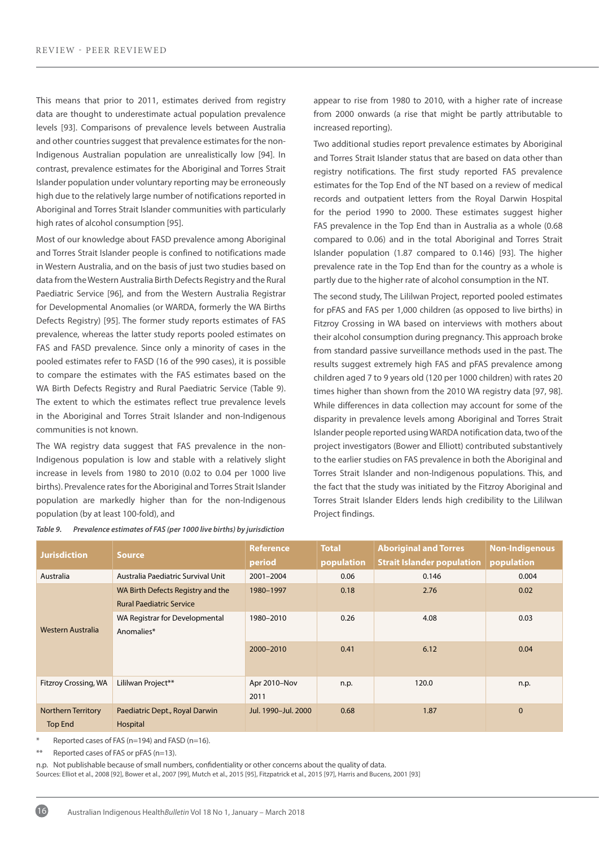This means that prior to 2011, estimates derived from registry data are thought to underestimate actual population prevalence levels [93]. Comparisons of prevalence levels between Australia and other countries suggest that prevalence estimates for the non-Indigenous Australian population are unrealistically low [94]. In contrast, prevalence estimates for the Aboriginal and Torres Strait Islander population under voluntary reporting may be erroneously high due to the relatively large number of notifications reported in Aboriginal and Torres Strait Islander communities with particularly high rates of alcohol consumption [95].

Most of our knowledge about FASD prevalence among Aboriginal and Torres Strait Islander people is confined to notifications made in Western Australia, and on the basis of just two studies based on data from the Western Australia Birth Defects Registry and the Rural Paediatric Service [96], and from the Western Australia Registrar for Developmental Anomalies (or WARDA, formerly the WA Births Defects Registry) [95]. The former study reports estimates of FAS prevalence, whereas the latter study reports pooled estimates on FAS and FASD prevalence. Since only a minority of cases in the pooled estimates refer to FASD (16 of the 990 cases), it is possible to compare the estimates with the FAS estimates based on the WA Birth Defects Registry and Rural Paediatric Service (Table 9). The extent to which the estimates reflect true prevalence levels in the Aboriginal and Torres Strait Islander and non-Indigenous communities is not known.

The WA registry data suggest that FAS prevalence in the non-Indigenous population is low and stable with a relatively slight increase in levels from 1980 to 2010 (0.02 to 0.04 per 1000 live births). Prevalence rates for the Aboriginal and Torres Strait Islander population are markedly higher than for the non-Indigenous population (by at least 100-fold), and

appear to rise from 1980 to 2010, with a higher rate of increase from 2000 onwards (a rise that might be partly attributable to increased reporting).

Two additional studies report prevalence estimates by Aboriginal and Torres Strait Islander status that are based on data other than registry notifications. The first study reported FAS prevalence estimates for the Top End of the NT based on a review of medical records and outpatient letters from the Royal Darwin Hospital for the period 1990 to 2000. These estimates suggest higher FAS prevalence in the Top End than in Australia as a whole (0.68 compared to 0.06) and in the total Aboriginal and Torres Strait Islander population (1.87 compared to 0.146) [93]. The higher prevalence rate in the Top End than for the country as a whole is partly due to the higher rate of alcohol consumption in the NT.

The second study, The Lililwan Project, reported pooled estimates for pFAS and FAS per 1,000 children (as opposed to live births) in Fitzroy Crossing in WA based on interviews with mothers about their alcohol consumption during pregnancy. This approach broke from standard passive surveillance methods used in the past. The results suggest extremely high FAS and pFAS prevalence among children aged 7 to 9 years old (120 per 1000 children) with rates 20 times higher than shown from the 2010 WA registry data [97, 98]. While differences in data collection may account for some of the disparity in prevalence levels among Aboriginal and Torres Strait Islander people reported using WARDA notification data, two of the project investigators (Bower and Elliott) contributed substantively to the earlier studies on FAS prevalence in both the Aboriginal and Torres Strait Islander and non-Indigenous populations. This, and the fact that the study was initiated by the Fitzroy Aboriginal and Torres Strait Islander Elders lends high credibility to the Lililwan Project findings.

| <b>Jurisdiction</b>                  | <b>Source</b>                                                        | <b>Reference</b><br>period | <b>Total</b><br>population | <b>Aboriginal and Torres</b><br><b>Strait Islander population</b> | <b>Non-Indigenous</b><br>population |
|--------------------------------------|----------------------------------------------------------------------|----------------------------|----------------------------|-------------------------------------------------------------------|-------------------------------------|
| Australia                            | Australia Paediatric Survival Unit                                   | 2001-2004                  | 0.06                       | 0.146                                                             | 0.004                               |
|                                      | WA Birth Defects Registry and the<br><b>Rural Paediatric Service</b> | 1980-1997                  | 0.18                       | 2.76                                                              | 0.02                                |
| Western Australia                    | WA Registrar for Developmental<br>Anomalies*                         | 1980-2010                  | 0.26                       | 4.08                                                              | 0.03                                |
|                                      |                                                                      | 2000-2010                  | 0.41                       | 6.12                                                              | 0.04                                |
| Fitzroy Crossing, WA                 | Lililwan Project**                                                   | Apr 2010-Nov<br>2011       | n.p.                       | 120.0                                                             | n.p.                                |
| Northern Territory<br><b>Top End</b> | Paediatric Dept., Royal Darwin<br>Hospital                           | Jul. 1990-Jul. 2000        | 0.68                       | 1.87                                                              | $\mathbf 0$                         |

Reported cases of FAS (n=194) and FASD (n=16).

\*\* Reported cases of FAS or pFAS (n=13).

16

n.p. Not publishable because of small numbers, confidentiality or other concerns about the quality of data.

Sources: Elliot et al., 2008 [92], Bower et al., 2007 [99], Mutch et al., 2015 [95], Fitzpatrick et al., 2015 [97], Harris and Bucens, 2001 [93]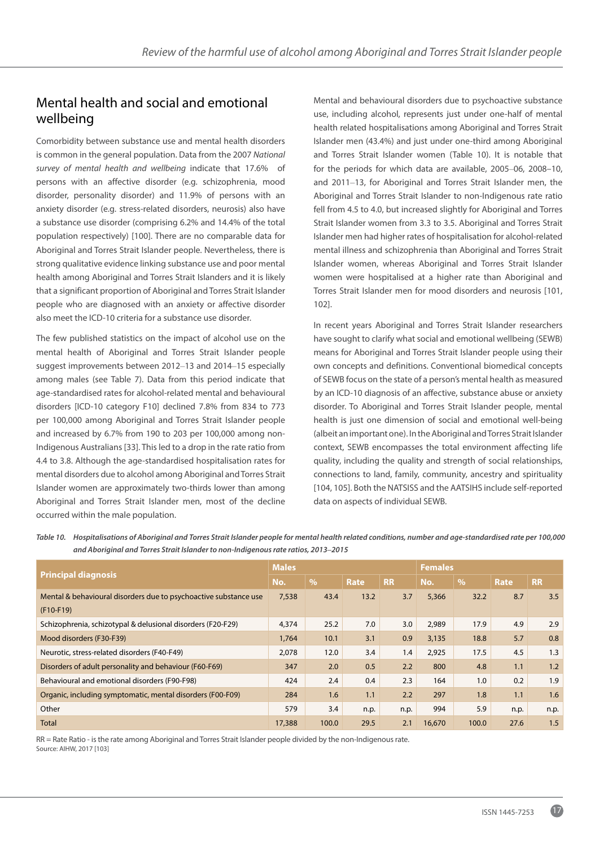## Mental health and social and emotional wellbeing

Comorbidity between substance use and mental health disorders is common in the general population. Data from the 2007 *National survey of mental health and wellbeing* indicate that 17.6% of persons with an affective disorder (e.g. schizophrenia, mood disorder, personality disorder) and 11.9% of persons with an anxiety disorder (e.g. stress-related disorders, neurosis) also have a substance use disorder (comprising 6.2% and 14.4% of the total population respectively) [100]. There are no comparable data for Aboriginal and Torres Strait Islander people. Nevertheless, there is strong qualitative evidence linking substance use and poor mental health among Aboriginal and Torres Strait Islanders and it is likely that a significant proportion of Aboriginal and Torres Strait Islander people who are diagnosed with an anxiety or affective disorder also meet the ICD-10 criteria for a substance use disorder.

The few published statistics on the impact of alcohol use on the mental health of Aboriginal and Torres Strait Islander people suggest improvements between 2012–13 and 2014–15 especially among males (see Table 7). Data from this period indicate that age-standardised rates for alcohol-related mental and behavioural disorders [ICD-10 category F10] declined 7.8% from 834 to 773 per 100,000 among Aboriginal and Torres Strait Islander people and increased by 6.7% from 190 to 203 per 100,000 among non-Indigenous Australians [33]. This led to a drop in the rate ratio from 4.4 to 3.8. Although the age-standardised hospitalisation rates for mental disorders due to alcohol among Aboriginal and Torres Strait Islander women are approximately two-thirds lower than among Aboriginal and Torres Strait Islander men, most of the decline occurred within the male population.

Mental and behavioural disorders due to psychoactive substance use, including alcohol, represents just under one-half of mental health related hospitalisations among Aboriginal and Torres Strait Islander men (43.4%) and just under one-third among Aboriginal and Torres Strait Islander women (Table 10). It is notable that for the periods for which data are available, 2005–06, 2008–10, and 2011–13, for Aboriginal and Torres Strait Islander men, the Aboriginal and Torres Strait Islander to non-Indigenous rate ratio fell from 4.5 to 4.0, but increased slightly for Aboriginal and Torres Strait Islander women from 3.3 to 3.5. Aboriginal and Torres Strait Islander men had higher rates of hospitalisation for alcohol-related mental illness and schizophrenia than Aboriginal and Torres Strait Islander women, whereas Aboriginal and Torres Strait Islander women were hospitalised at a higher rate than Aboriginal and Torres Strait Islander men for mood disorders and neurosis [101, 102].

In recent years Aboriginal and Torres Strait Islander researchers have sought to clarify what social and emotional wellbeing (SEWB) means for Aboriginal and Torres Strait Islander people using their own concepts and definitions. Conventional biomedical concepts of SEWB focus on the state of a person's mental health as measured by an ICD-10 diagnosis of an affective, substance abuse or anxiety disorder. To Aboriginal and Torres Strait Islander people, mental health is just one dimension of social and emotional well-being (albeit an important one). In the Aboriginal and Torres Strait Islander context, SEWB encompasses the total environment affecting life quality, including the quality and strength of social relationships, connections to land, family, community, ancestry and spirituality [104, 105]. Both the NATSISS and the AATSIHS include self-reported data on aspects of individual SEWB.

|                                                                  | <b>Males</b><br><b>Females</b> |               |      |           |        |               |      |           |
|------------------------------------------------------------------|--------------------------------|---------------|------|-----------|--------|---------------|------|-----------|
| <b>Principal diagnosis</b>                                       | No.                            | $\frac{9}{6}$ | Rate | <b>RR</b> | No.    | $\frac{9}{6}$ | Rate | <b>RR</b> |
| Mental & behavioural disorders due to psychoactive substance use | 7,538                          | 43.4          | 13.2 | 3.7       | 5,366  | 32.2          | 8.7  | 3.5       |
| $(F10-F19)$                                                      |                                |               |      |           |        |               |      |           |
| Schizophrenia, schizotypal & delusional disorders (F20-F29)      | 4,374                          | 25.2          | 7.0  | 3.0       | 2,989  | 17.9          | 4.9  | 2.9       |
| Mood disorders (F30-F39)                                         | 1,764                          | 10.1          | 3.1  | 0.9       | 3,135  | 18.8          | 5.7  | 0.8       |
| Neurotic, stress-related disorders (F40-F49)                     | 2,078                          | 12.0          | 3.4  | 1.4       | 2,925  | 17.5          | 4.5  | 1.3       |
| Disorders of adult personality and behaviour (F60-F69)           | 347                            | 2.0           | 0.5  | 2.2       | 800    | 4.8           | 1.1  | 1.2       |
| Behavioural and emotional disorders (F90-F98)                    | 424                            | 2.4           | 0.4  | 2.3       | 164    | 1.0           | 0.2  | 1.9       |
| Organic, including symptomatic, mental disorders (F00-F09)       | 284                            | 1.6           | 1.1  | 2.2       | 297    | 1.8           | 1.1  | 1.6       |
| Other                                                            | 579                            | 3.4           | n.p. | n.p.      | 994    | 5.9           | n.p. | n.p.      |
| <b>Total</b>                                                     | 17,388                         | 100.0         | 29.5 | 2.1       | 16,670 | 100.0         | 27.6 | 1.5       |

*Table 10. Hospitalisations of Aboriginal and Torres Strait Islander people for mental health related conditions, number and age-standardised rate per 100,000 and Aboriginal and Torres Strait Islander to non-Indigenous rate ratios, 2013***–***2015*

RR = Rate Ratio - is the rate among Aboriginal and Torres Strait Islander people divided by the non-Indigenous rate. Source: AIHW, 2017 [103]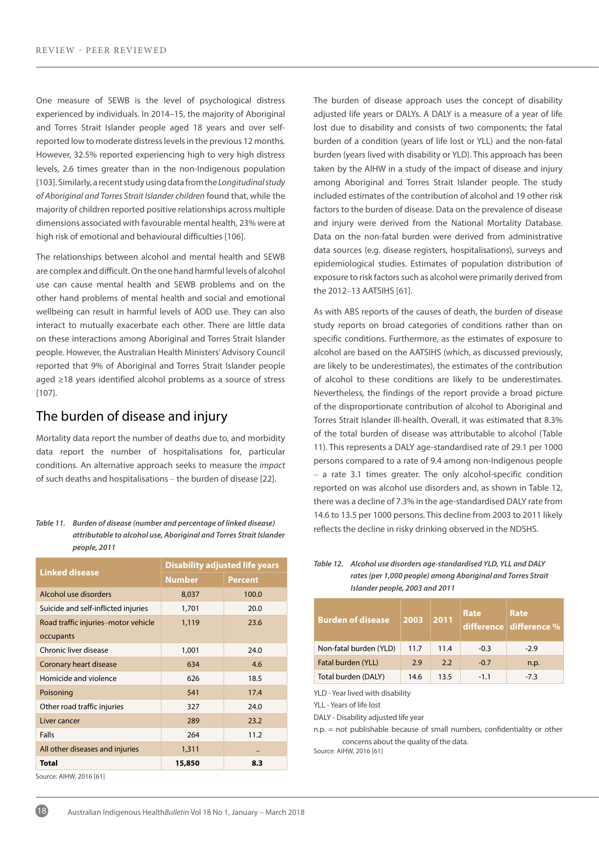One measure of SEWB is the level of psychological distress experienced by individuals. In 2014–15, the majority of Aboriginal and Torres Strait Islander people aged 18 years and over selfreported low to moderate distress levels in the previous 12 months. However, 32.5% reported experiencing high to very high distress levels, 2.6 times greater than in the non-Indigenous population [103]. Similarly, a recent study using data from the *Longitudinal study of Aboriginal and Torres Strait Islander children* found that, while the majority of children reported positive relationships across multiple dimensions associated with favourable mental health, 23% were at high risk of emotional and behavioural difficulties [106].

The relationships between alcohol and mental health and SEWB are complex and difficult. On the one hand harmful levels of alcohol use can cause mental health and SEWB problems and on the other hand problems of mental health and social and emotional wellbeing can result in harmful levels of AOD use. They can also interact to mutually exacerbate each other. There are little data on these interactions among Aboriginal and Torres Strait Islander people. However, the Australian Health Ministers' Advisory Council reported that 9% of Aboriginal and Torres Strait Islander people aged ≥18 years identified alcohol problems as a source of stress [107].

## The burden of disease and injury

Mortality data report the number of deaths due to, and morbidity data report the number of hospitalisations for, particular conditions. An alternative approach seeks to measure the *impact* of such deaths and hospitalisations – the burden of disease [22].

*attributable to alcohol use, Aboriginal and Torres Strait Islander people, 2011*

|                                     | <b>Disability adjusted life years</b> |                |  |  |
|-------------------------------------|---------------------------------------|----------------|--|--|
| <b>Linked disease</b>               | <b>Number</b>                         | <b>Percent</b> |  |  |
| Alcohol use disorders               | 8,037                                 | 100.0          |  |  |
| Suicide and self-inflicted injuries | 1,701                                 | 20.0           |  |  |
| Road traffic injuries–motor vehicle | 1,119                                 | 23.6           |  |  |
| occupants                           |                                       |                |  |  |
| Chronic liver disease               | 1,001                                 | 24.0           |  |  |
| Coronary heart disease              | 634                                   | 4.6            |  |  |
| Homicide and violence               | 626                                   | 18.5           |  |  |
| Poisoning                           | 541                                   | 17.4           |  |  |
| Other road traffic injuries         | 327                                   | 24.0           |  |  |
| Liver cancer                        | 289                                   | 23.2           |  |  |
| Falls                               | 264                                   | 11.2           |  |  |
| All other diseases and injuries     | 1,311                                 |                |  |  |
| Total                               | 15,850                                | 8.3            |  |  |

Source: AIHW, 2016 [61]

The burden of disease approach uses the concept of disability adjusted life years or DALYs. A DALY is a measure of a year of life lost due to disability and consists of two components; the fatal burden of a condition (years of life lost or YLL) and the non-fatal burden (years lived with disability or YLD). This approach has been taken by the AIHW in a study of the impact of disease and injury among Aboriginal and Torres Strait Islander people. The study included estimates of the contribution of alcohol and 19 other risk factors to the burden of disease. Data on the prevalence of disease and injury were derived from the National Mortality Database. Data on the non-fatal burden were derived from administrative data sources (e.g. disease registers, hospitalisations), surveys and epidemiological studies. Estimates of population distribution of exposure to risk factors such as alcohol were primarily derived from the 2012–13 AATSIHS [61].

As with ABS reports of the causes of death, the burden of disease study reports on broad categories of conditions rather than on specific conditions. Furthermore, as the estimates of exposure to alcohol are based on the AATSIHS (which, as discussed previously, are likely to be underestimates), the estimates of the contribution of alcohol to these conditions are likely to be underestimates. Nevertheless, the findings of the report provide a broad picture of the disproportionate contribution of alcohol to Aboriginal and Torres Strait Islander ill-health. Overall, it was estimated that 8.3% of the total burden of disease was attributable to alcohol (Table 11). This represents a DALY age-standardised rate of 29.1 per 1000 persons compared to a rate of 9.4 among non-Indigenous people – a rate 3.1 times greater. The only alcohol-specific condition reported on was alcohol use disorders and, as shown in Table 12, there was a decline of 7.3% in the age-standardised DALY rate from 14.6 to 13.5 per 1000 persons. This decline from 2003 to 2011 likely Table 11. Burden of disease (number and percentage of linked disease)<br>
reflects the decline in risky drinking observed in the NDSHS.

*Table 12. Alcohol use disorders age-standardised YLD, YLL and DALY rates (per 1,000 people) among Aboriginal and Torres Strait Islander people, 2003 and 2011*

| <b>Burden of disease</b> | 2003 | 2011' | Rate   | Rate<br>difference difference % |
|--------------------------|------|-------|--------|---------------------------------|
| Non-fatal burden (YLD)   | 11.7 | 11.4  | $-0.3$ | $-2.9$                          |
| Fatal burden (YLL)       | 2.9  | 2.2   | $-0.7$ | n.p.                            |
| Total burden (DALY)      | 14.6 | 13.5  | $-1.1$ | $-7.3$                          |

YLD - Year lived with disability

YLL - Years of life lost

DALY - Disability adjusted life year

n.p. = not publishable because of small numbers, confidentiality or other concerns about the quality of the data.

Source: AIHW, 2016 [61]

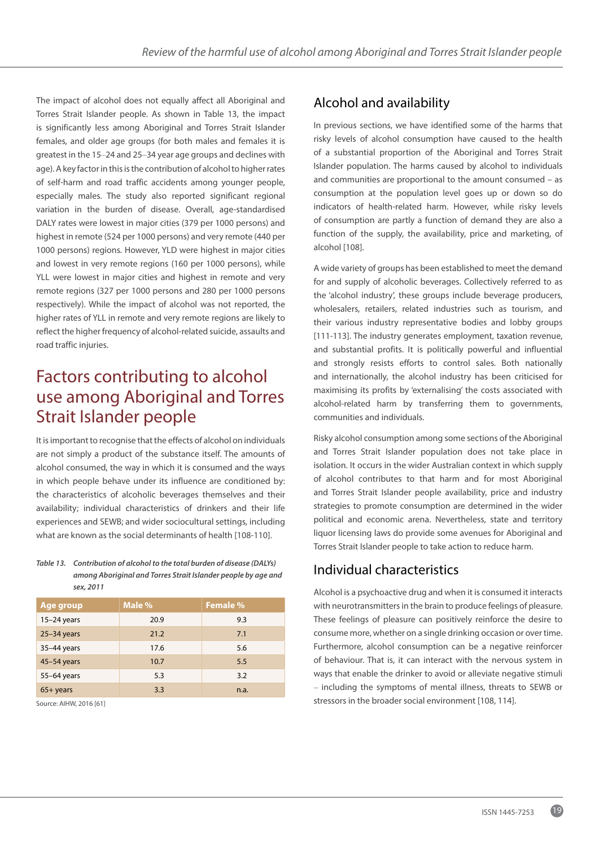The impact of alcohol does not equally affect all Aboriginal and Torres Strait Islander people. As shown in Table 13, the impact is significantly less among Aboriginal and Torres Strait Islander females, and older age groups (for both males and females it is greatest in the 15–24 and 25–34 year age groups and declines with age). A key factor in this is the contribution of alcohol to higher rates of self-harm and road traffic accidents among younger people, especially males. The study also reported significant regional variation in the burden of disease. Overall, age-standardised DALY rates were lowest in major cities (379 per 1000 persons) and highest in remote (524 per 1000 persons) and very remote (440 per 1000 persons) regions. However, YLD were highest in major cities and lowest in very remote regions (160 per 1000 persons), while YLL were lowest in major cities and highest in remote and very remote regions (327 per 1000 persons and 280 per 1000 persons respectively). While the impact of alcohol was not reported, the higher rates of YLL in remote and very remote regions are likely to reflect the higher frequency of alcohol-related suicide, assaults and road traffic injuries.

# Factors contributing to alcohol use among Aboriginal and Torres Strait Islander people

It is important to recognise that the effects of alcohol on individuals are not simply a product of the substance itself. The amounts of alcohol consumed, the way in which it is consumed and the ways in which people behave under its influence are conditioned by: the characteristics of alcoholic beverages themselves and their availability; individual characteristics of drinkers and their life experiences and SEWB; and wider sociocultural settings, including what are known as the social determinants of health [108-110].

#### *Table 13. Contribution of alcohol to the total burden of disease (DALYs) among Aboriginal and Torres Strait Islander people by age and sex, 2011*

| Age group     | Male % | <b>Female %</b> |
|---------------|--------|-----------------|
| $15-24$ years | 20.9   | 9.3             |
| $25-34$ years | 21.2   | 7.1             |
| 35-44 years   | 17.6   | 5.6             |
| 45-54 years   | 10.7   | 5.5             |
| 55-64 years   | 5.3    | 3.2             |
| $65 + years$  | 3.3    | n.a.            |

Source: AIHW, 2016 [61]

## Alcohol and availability

In previous sections, we have identified some of the harms that risky levels of alcohol consumption have caused to the health of a substantial proportion of the Aboriginal and Torres Strait Islander population. The harms caused by alcohol to individuals and communities are proportional to the amount consumed – as consumption at the population level goes up or down so do indicators of health-related harm. However, while risky levels of consumption are partly a function of demand they are also a function of the supply, the availability, price and marketing, of alcohol [108].

A wide variety of groups has been established to meet the demand for and supply of alcoholic beverages. Collectively referred to as the 'alcohol industry', these groups include beverage producers, wholesalers, retailers, related industries such as tourism, and their various industry representative bodies and lobby groups [111-113]. The industry generates employment, taxation revenue, and substantial profits. It is politically powerful and influential and strongly resists efforts to control sales. Both nationally and internationally, the alcohol industry has been criticised for maximising its profits by 'externalising' the costs associated with alcohol-related harm by transferring them to governments, communities and individuals.

Risky alcohol consumption among some sections of the Aboriginal and Torres Strait Islander population does not take place in isolation. It occurs in the wider Australian context in which supply of alcohol contributes to that harm and for most Aboriginal and Torres Strait Islander people availability, price and industry strategies to promote consumption are determined in the wider political and economic arena. Nevertheless, state and territory liquor licensing laws do provide some avenues for Aboriginal and Torres Strait Islander people to take action to reduce harm.

## Individual characteristics

Alcohol is a psychoactive drug and when it is consumed it interacts with neurotransmitters in the brain to produce feelings of pleasure. These feelings of pleasure can positively reinforce the desire to consume more, whether on a single drinking occasion or over time. Furthermore, alcohol consumption can be a negative reinforcer of behaviour. That is, it can interact with the nervous system in ways that enable the drinker to avoid or alleviate negative stimuli – including the symptoms of mental illness, threats to SEWB or stressors in the broader social environment [108, 114].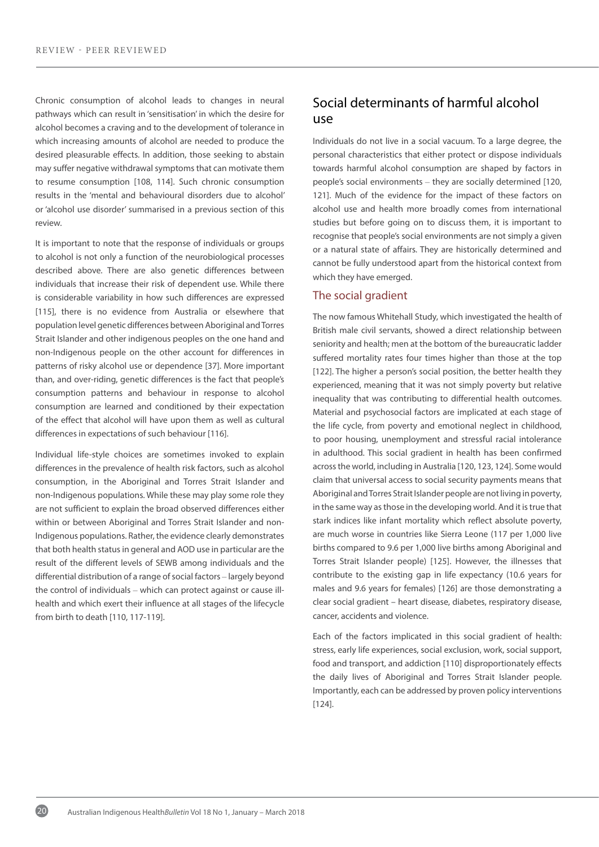Chronic consumption of alcohol leads to changes in neural pathways which can result in 'sensitisation' in which the desire for alcohol becomes a craving and to the development of tolerance in which increasing amounts of alcohol are needed to produce the desired pleasurable effects. In addition, those seeking to abstain may suffer negative withdrawal symptoms that can motivate them to resume consumption [108, 114]. Such chronic consumption results in the 'mental and behavioural disorders due to alcohol' or 'alcohol use disorder' summarised in a previous section of this review.

It is important to note that the response of individuals or groups to alcohol is not only a function of the neurobiological processes described above. There are also genetic differences between individuals that increase their risk of dependent use. While there is considerable variability in how such differences are expressed [115], there is no evidence from Australia or elsewhere that population level genetic differences between Aboriginal and Torres Strait Islander and other indigenous peoples on the one hand and non-Indigenous people on the other account for differences in patterns of risky alcohol use or dependence [37]. More important than, and over-riding, genetic differences is the fact that people's consumption patterns and behaviour in response to alcohol consumption are learned and conditioned by their expectation of the effect that alcohol will have upon them as well as cultural differences in expectations of such behaviour [116].

Individual life-style choices are sometimes invoked to explain differences in the prevalence of health risk factors, such as alcohol consumption, in the Aboriginal and Torres Strait Islander and non-Indigenous populations. While these may play some role they are not sufficient to explain the broad observed differences either within or between Aboriginal and Torres Strait Islander and non-Indigenous populations. Rather, the evidence clearly demonstrates that both health status in general and AOD use in particular are the result of the different levels of SEWB among individuals and the differential distribution of a range of social factors – largely beyond the control of individuals – which can protect against or cause illhealth and which exert their influence at all stages of the lifecycle from birth to death [110, 117-119].

## Social determinants of harmful alcohol use

Individuals do not live in a social vacuum. To a large degree, the personal characteristics that either protect or dispose individuals towards harmful alcohol consumption are shaped by factors in people's social environments – they are socially determined [120, 121]. Much of the evidence for the impact of these factors on alcohol use and health more broadly comes from international studies but before going on to discuss them, it is important to recognise that people's social environments are not simply a given or a natural state of affairs. They are historically determined and cannot be fully understood apart from the historical context from which they have emerged.

### The social gradient

The now famous Whitehall Study, which investigated the health of British male civil servants, showed a direct relationship between seniority and health; men at the bottom of the bureaucratic ladder suffered mortality rates four times higher than those at the top [122]. The higher a person's social position, the better health they experienced, meaning that it was not simply poverty but relative inequality that was contributing to differential health outcomes. Material and psychosocial factors are implicated at each stage of the life cycle, from poverty and emotional neglect in childhood, to poor housing, unemployment and stressful racial intolerance in adulthood. This social gradient in health has been confirmed across the world, including in Australia [120, 123, 124]. Some would claim that universal access to social security payments means that Aboriginal and Torres Strait Islander people are not living in poverty, in the same way as those in the developing world. And it is true that stark indices like infant mortality which reflect absolute poverty, are much worse in countries like Sierra Leone (117 per 1,000 live births compared to 9.6 per 1,000 live births among Aboriginal and Torres Strait Islander people) [125]. However, the illnesses that contribute to the existing gap in life expectancy (10.6 years for males and 9.6 years for females) [126] are those demonstrating a clear social gradient – heart disease, diabetes, respiratory disease, cancer, accidents and violence.

Each of the factors implicated in this social gradient of health: stress, early life experiences, social exclusion, work, social support, food and transport, and addiction [110] disproportionately effects the daily lives of Aboriginal and Torres Strait Islander people. Importantly, each can be addressed by proven policy interventions [124].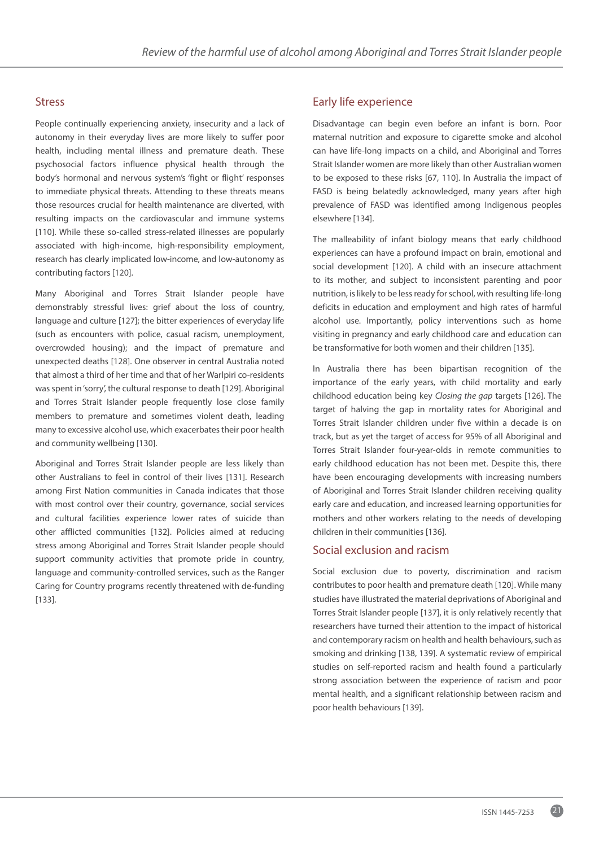#### Stress

People continually experiencing anxiety, insecurity and a lack of autonomy in their everyday lives are more likely to suffer poor health, including mental illness and premature death. These psychosocial factors influence physical health through the body's hormonal and nervous system's 'fight or flight' responses to immediate physical threats. Attending to these threats means those resources crucial for health maintenance are diverted, with resulting impacts on the cardiovascular and immune systems [110]. While these so-called stress-related illnesses are popularly associated with high-income, high-responsibility employment, research has clearly implicated low-income, and low-autonomy as contributing factors [120].

Many Aboriginal and Torres Strait Islander people have demonstrably stressful lives: grief about the loss of country, language and culture [127]; the bitter experiences of everyday life (such as encounters with police, casual racism, unemployment, overcrowded housing); and the impact of premature and unexpected deaths [128]. One observer in central Australia noted that almost a third of her time and that of her Warlpiri co-residents was spent in 'sorry', the cultural response to death [129]. Aboriginal and Torres Strait Islander people frequently lose close family members to premature and sometimes violent death, leading many to excessive alcohol use, which exacerbates their poor health and community wellbeing [130].

Aboriginal and Torres Strait Islander people are less likely than other Australians to feel in control of their lives [131]. Research among First Nation communities in Canada indicates that those with most control over their country, governance, social services and cultural facilities experience lower rates of suicide than other afflicted communities [132]. Policies aimed at reducing stress among Aboriginal and Torres Strait Islander people should support community activities that promote pride in country, language and community-controlled services, such as the Ranger Caring for Country programs recently threatened with de-funding [133].

### Early life experience

Disadvantage can begin even before an infant is born. Poor maternal nutrition and exposure to cigarette smoke and alcohol can have life-long impacts on a child, and Aboriginal and Torres Strait Islander women are more likely than other Australian women to be exposed to these risks [67, 110]. In Australia the impact of FASD is being belatedly acknowledged, many years after high prevalence of FASD was identified among Indigenous peoples elsewhere [134].

The malleability of infant biology means that early childhood experiences can have a profound impact on brain, emotional and social development [120]. A child with an insecure attachment to its mother, and subject to inconsistent parenting and poor nutrition, is likely to be less ready for school, with resulting life-long deficits in education and employment and high rates of harmful alcohol use. Importantly, policy interventions such as home visiting in pregnancy and early childhood care and education can be transformative for both women and their children [135].

In Australia there has been bipartisan recognition of the importance of the early years, with child mortality and early childhood education being key *Closing the gap* targets [126]. The target of halving the gap in mortality rates for Aboriginal and Torres Strait Islander children under five within a decade is on track, but as yet the target of access for 95% of all Aboriginal and Torres Strait Islander four-year-olds in remote communities to early childhood education has not been met. Despite this, there have been encouraging developments with increasing numbers of Aboriginal and Torres Strait Islander children receiving quality early care and education, and increased learning opportunities for mothers and other workers relating to the needs of developing children in their communities [136].

### Social exclusion and racism

Social exclusion due to poverty, discrimination and racism contributes to poor health and premature death [120]. While many studies have illustrated the material deprivations of Aboriginal and Torres Strait Islander people [137], it is only relatively recently that researchers have turned their attention to the impact of historical and contemporary racism on health and health behaviours, such as smoking and drinking [138, 139]. A systematic review of empirical studies on self-reported racism and health found a particularly strong association between the experience of racism and poor mental health, and a significant relationship between racism and poor health behaviours [139].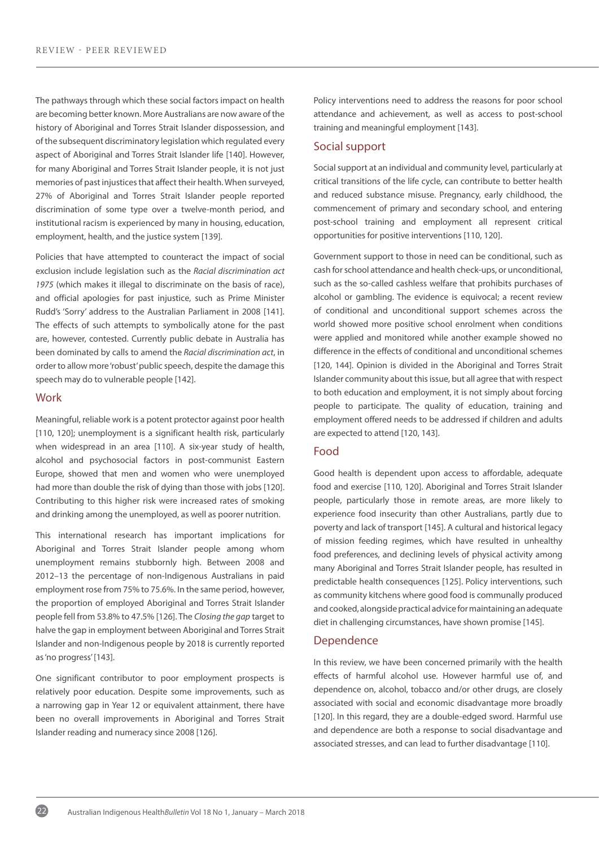The pathways through which these social factors impact on health are becoming better known. More Australians are now aware of the history of Aboriginal and Torres Strait Islander dispossession, and of the subsequent discriminatory legislation which regulated every aspect of Aboriginal and Torres Strait Islander life [140]. However, for many Aboriginal and Torres Strait Islander people, it is not just memories of past injustices that affect their health. When surveyed, 27% of Aboriginal and Torres Strait Islander people reported discrimination of some type over a twelve-month period, and institutional racism is experienced by many in housing, education, employment, health, and the justice system [139].

Policies that have attempted to counteract the impact of social exclusion include legislation such as the *Racial discrimination act 1975* (which makes it illegal to discriminate on the basis of race), and official apologies for past injustice, such as Prime Minister Rudd's 'Sorry' address to the Australian Parliament in 2008 [141]. The effects of such attempts to symbolically atone for the past are, however, contested. Currently public debate in Australia has been dominated by calls to amend the *Racial discrimination act*, in order to allow more 'robust' public speech, despite the damage this speech may do to vulnerable people [142].

#### **Work**

Meaningful, reliable work is a potent protector against poor health [110, 120]; unemployment is a significant health risk, particularly when widespread in an area [110]. A six-year study of health, alcohol and psychosocial factors in post-communist Eastern Europe, showed that men and women who were unemployed had more than double the risk of dying than those with jobs [120]. Contributing to this higher risk were increased rates of smoking and drinking among the unemployed, as well as poorer nutrition.

This international research has important implications for Aboriginal and Torres Strait Islander people among whom unemployment remains stubbornly high. Between 2008 and 2012–13 the percentage of non-Indigenous Australians in paid employment rose from 75% to 75.6%. In the same period, however, the proportion of employed Aboriginal and Torres Strait Islander people fell from 53.8% to 47.5% [126]. The *Closing the gap* target to halve the gap in employment between Aboriginal and Torres Strait Islander and non-Indigenous people by 2018 is currently reported as 'no progress' [143].

One significant contributor to poor employment prospects is relatively poor education. Despite some improvements, such as a narrowing gap in Year 12 or equivalent attainment, there have been no overall improvements in Aboriginal and Torres Strait Islander reading and numeracy since 2008 [126].

Policy interventions need to address the reasons for poor school attendance and achievement, as well as access to post-school training and meaningful employment [143].

#### Social support

Social support at an individual and community level, particularly at critical transitions of the life cycle, can contribute to better health and reduced substance misuse. Pregnancy, early childhood, the commencement of primary and secondary school, and entering post-school training and employment all represent critical opportunities for positive interventions [110, 120].

Government support to those in need can be conditional, such as cash for school attendance and health check-ups, or unconditional, such as the so-called cashless welfare that prohibits purchases of alcohol or gambling. The evidence is equivocal; a recent review of conditional and unconditional support schemes across the world showed more positive school enrolment when conditions were applied and monitored while another example showed no difference in the effects of conditional and unconditional schemes [120, 144]. Opinion is divided in the Aboriginal and Torres Strait Islander community about this issue, but all agree that with respect to both education and employment, it is not simply about forcing people to participate. The quality of education, training and employment offered needs to be addressed if children and adults are expected to attend [120, 143].

#### Food

Good health is dependent upon access to affordable, adequate food and exercise [110, 120]. Aboriginal and Torres Strait Islander people, particularly those in remote areas, are more likely to experience food insecurity than other Australians, partly due to poverty and lack of transport [145]. A cultural and historical legacy of mission feeding regimes, which have resulted in unhealthy food preferences, and declining levels of physical activity among many Aboriginal and Torres Strait Islander people, has resulted in predictable health consequences [125]. Policy interventions, such as community kitchens where good food is communally produced and cooked, alongside practical advice for maintaining an adequate diet in challenging circumstances, have shown promise [145].

#### Dependence

In this review, we have been concerned primarily with the health effects of harmful alcohol use. However harmful use of, and dependence on, alcohol, tobacco and/or other drugs, are closely associated with social and economic disadvantage more broadly [120]. In this regard, they are a double-edged sword. Harmful use and dependence are both a response to social disadvantage and associated stresses, and can lead to further disadvantage [110].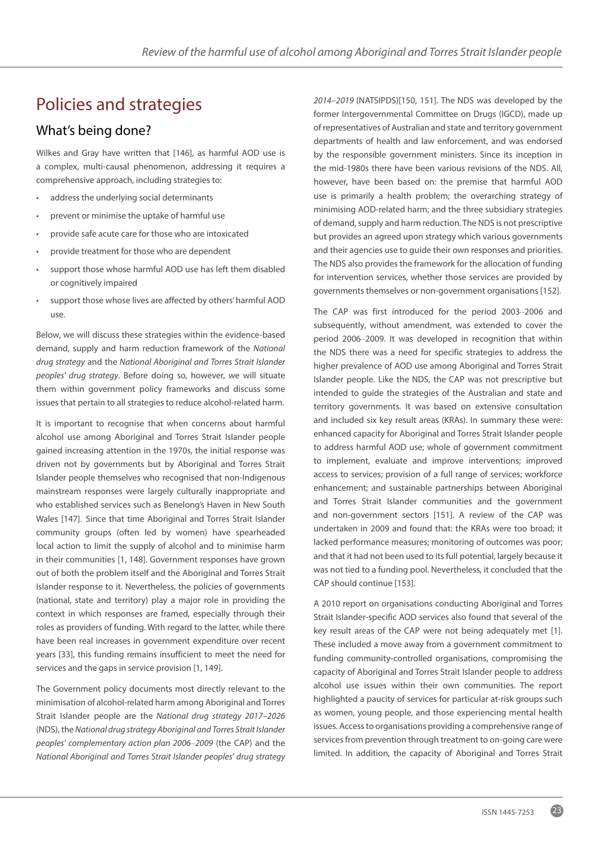# Policies and strategies

## What's being done?

Wilkes and Gray have written that [146], as harmful AOD use is a complex, multi-causal phenomenon, addressing it requires a comprehensive approach, including strategies to:

- address the underlying social determinants
- prevent or minimise the uptake of harmful use
- provide safe acute care for those who are intoxicated
- provide treatment for those who are dependent
- support those whose harmful AOD use has left them disabled or cognitively impaired
- support those whose lives are affected by others' harmful AOD use.

Below, we will discuss these strategies within the evidence-based demand, supply and harm reduction framework of the *National drug strategy* and the *National Aboriginal and Torres Strait Islander peoples' drug strategy*. Before doing so, however, we will situate them within government policy frameworks and discuss some issues that pertain to all strategies to reduce alcohol-related harm.

It is important to recognise that when concerns about harmful alcohol use among Aboriginal and Torres Strait Islander people gained increasing attention in the 1970s, the initial response was driven not by governments but by Aboriginal and Torres Strait Islander people themselves who recognised that non-Indigenous mainstream responses were largely culturally inappropriate and who established services such as Benelong's Haven in New South Wales [147]. Since that time Aboriginal and Torres Strait Islander community groups (often led by women) have spearheaded local action to limit the supply of alcohol and to minimise harm in their communities [1, 148]. Government responses have grown out of both the problem itself and the Aboriginal and Torres Strait Islander response to it. Nevertheless, the policies of governments (national, state and territory) play a major role in providing the context in which responses are framed, especially through their roles as providers of funding. With regard to the latter, while there have been real increases in government expenditure over recent years [33], this funding remains insufficient to meet the need for services and the gaps in service provision [1, 149].

The Government policy documents most directly relevant to the minimisation of alcohol-related harm among Aboriginal and Torres Strait Islander people are the *National drug strategy 2017–2026* (NDS), the *National drug strategy Aboriginal and Torres Strait Islander peoples' complementary action plan 2006–2009* (the CAP) and the *National Aboriginal and Torres Strait Islander peoples' drug strategy* 

*2014–2019* (NATSIPDS)[150, 151]. The NDS was developed by the former Intergovernmental Committee on Drugs (IGCD), made up of representatives of Australian and state and territory government departments of health and law enforcement, and was endorsed by the responsible government ministers. Since its inception in the mid-1980s there have been various revisions of the NDS. All, however, have been based on: the premise that harmful AOD use is primarily a health problem; the overarching strategy of minimising AOD-related harm; and the three subsidiary strategies of demand, supply and harm reduction. The NDS is not prescriptive but provides an agreed upon strategy which various governments and their agencies use to guide their own responses and priorities. The NDS also provides the framework for the allocation of funding for intervention services, whether those services are provided by governments themselves or non-government organisations [152].

The CAP was first introduced for the period 2003–2006 and subsequently, without amendment, was extended to cover the period 2006–2009. It was developed in recognition that within the NDS there was a need for specific strategies to address the higher prevalence of AOD use among Aboriginal and Torres Strait Islander people. Like the NDS, the CAP was not prescriptive but intended to guide the strategies of the Australian and state and territory governments. It was based on extensive consultation and included six key result areas (KRAs). In summary these were: enhanced capacity for Aboriginal and Torres Strait Islander people to address harmful AOD use; whole of government commitment to implement, evaluate and improve interventions; improved access to services; provision of a full range of services; workforce enhancement; and sustainable partnerships between Aboriginal and Torres Strait Islander communities and the government and non-government sectors [151]. A review of the CAP was undertaken in 2009 and found that: the KRAs were too broad; it lacked performance measures; monitoring of outcomes was poor; and that it had not been used to its full potential, largely because it was not tied to a funding pool. Nevertheless, it concluded that the CAP should continue [153].

A 2010 report on organisations conducting Aboriginal and Torres Strait Islander-specific AOD services also found that several of the key result areas of the CAP were not being adequately met [1]. These included a move away from a government commitment to funding community-controlled organisations, compromising the capacity of Aboriginal and Torres Strait Islander people to address alcohol use issues within their own communities. The report highlighted a paucity of services for particular at-risk groups such as women, young people, and those experiencing mental health issues. Access to organisations providing a comprehensive range of services from prevention through treatment to on-going care were limited. In addition, the capacity of Aboriginal and Torres Strait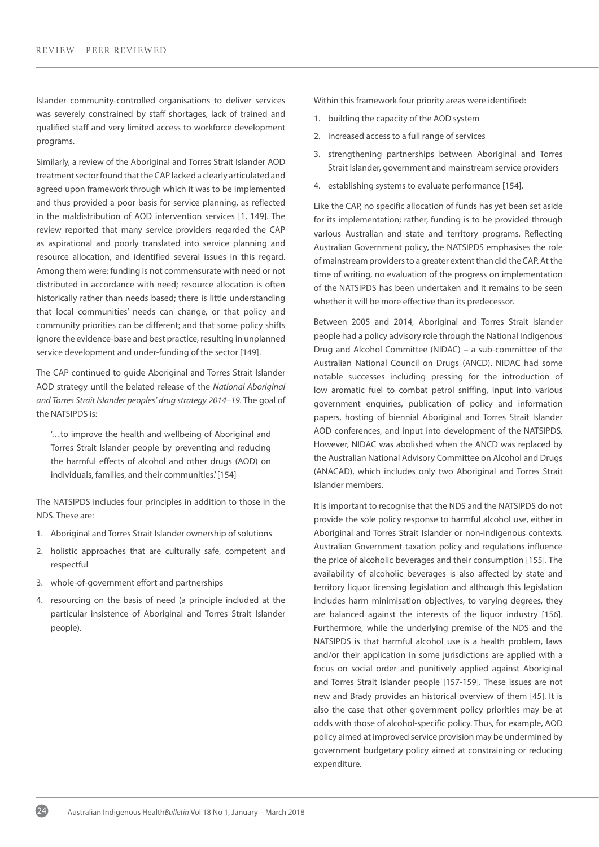Islander community-controlled organisations to deliver services was severely constrained by staff shortages, lack of trained and qualified staff and very limited access to workforce development programs.

Similarly, a review of the Aboriginal and Torres Strait Islander AOD treatment sector found that the CAP lacked a clearly articulated and agreed upon framework through which it was to be implemented and thus provided a poor basis for service planning, as reflected in the maldistribution of AOD intervention services [1, 149]. The review reported that many service providers regarded the CAP as aspirational and poorly translated into service planning and resource allocation, and identified several issues in this regard. Among them were: funding is not commensurate with need or not distributed in accordance with need; resource allocation is often historically rather than needs based; there is little understanding that local communities' needs can change, or that policy and community priorities can be different; and that some policy shifts ignore the evidence-base and best practice, resulting in unplanned service development and under-funding of the sector [149].

The CAP continued to guide Aboriginal and Torres Strait Islander AOD strategy until the belated release of the *National Aboriginal and Torres Strait Islander peoples' drug strategy 2014–19.* The goal of the NATSIPDS is:

'…to improve the health and wellbeing of Aboriginal and Torres Strait Islander people by preventing and reducing the harmful effects of alcohol and other drugs (AOD) on individuals, families, and their communities.' [154]

The NATSIPDS includes four principles in addition to those in the NDS. These are:

- 1. Aboriginal and Torres Strait Islander ownership of solutions
- 2. holistic approaches that are culturally safe, competent and respectful
- 3. whole-of-government effort and partnerships
- 4. resourcing on the basis of need (a principle included at the particular insistence of Aboriginal and Torres Strait Islander people).

Within this framework four priority areas were identified:

- 1. building the capacity of the AOD system
- 2. increased access to a full range of services
- 3. strengthening partnerships between Aboriginal and Torres Strait Islander, government and mainstream service providers
- 4. establishing systems to evaluate performance [154].

Like the CAP, no specific allocation of funds has yet been set aside for its implementation; rather, funding is to be provided through various Australian and state and territory programs. Reflecting Australian Government policy, the NATSIPDS emphasises the role of mainstream providers to a greater extent than did theCAP. At the time of writing, no evaluation of the progress on implementation of the NATSIPDS has been undertaken and it remains to be seen whether it will be more effective than its predecessor.

Between 2005 and 2014, Aboriginal and Torres Strait Islander people had a policy advisory role through the National Indigenous Drug and Alcohol Committee (NIDAC) – a sub-committee of the Australian National Council on Drugs (ANCD). NIDAC had some notable successes including pressing for the introduction of low aromatic fuel to combat petrol sniffing, input into various government enquiries, publication of policy and information papers, hosting of biennial Aboriginal and Torres Strait Islander AOD conferences, and input into development of the NATSIPDS*.* However, NIDAC was abolished when the ANCD was replaced by the Australian National Advisory Committee on Alcohol and Drugs (ANACAD), which includes only two Aboriginal and Torres Strait Islander members.

It is important to recognise that the NDS and the NATSIPDS do not provide the sole policy response to harmful alcohol use, either in Aboriginal and Torres Strait Islander or non-Indigenous contexts. Australian Government taxation policy and regulations influence the price of alcoholic beverages and their consumption [155]. The availability of alcoholic beverages is also affected by state and territory liquor licensing legislation and although this legislation includes harm minimisation objectives, to varying degrees, they are balanced against the interests of the liquor industry [156]. Furthermore, while the underlying premise of the NDS and the NATSIPDS is that harmful alcohol use is a health problem, laws and/or their application in some jurisdictions are applied with a focus on social order and punitively applied against Aboriginal and Torres Strait Islander people [157-159]. These issues are not new and Brady provides an historical overview of them [45]. It is also the case that other government policy priorities may be at odds with those of alcohol-specific policy. Thus, for example, AOD policy aimed at improved service provision may be undermined by government budgetary policy aimed at constraining or reducing expenditure.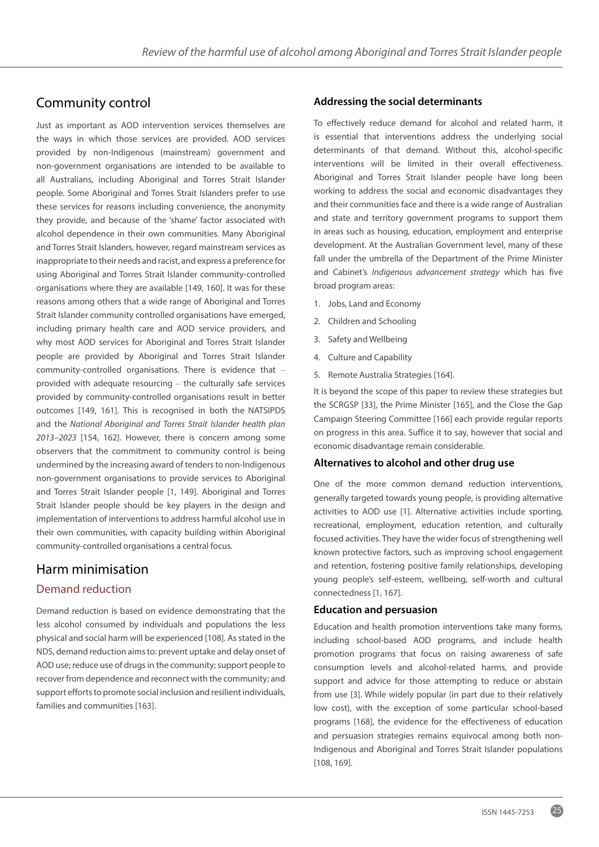# Community control

Just as important as AOD intervention services themselves are the ways in which those services are provided. AOD services provided by non-Indigenous (mainstream) government and non-government organisations are intended to be available to all Australians, including Aboriginal and Torres Strait Islander people. Some Aboriginal and Torres Strait Islanders prefer to use these services for reasons including convenience, the anonymity they provide, and because of the 'shame' factor associated with alcohol dependence in their own communities. Many Aboriginal and Torres Strait Islanders, however, regard mainstream services as inappropriate to their needs and racist, and express a preference for using Aboriginal and Torres Strait Islander community-controlled organisations where they are available [149, 160]. It was for these reasons among others that a wide range of Aboriginal and Torres Strait Islander community controlled organisations have emerged, including primary health care and AOD service providers, and why most AOD services for Aboriginal and Torres Strait Islander people are provided by Aboriginal and Torres Strait Islander community-controlled organisations. There is evidence that – provided with adequate resourcing – the culturally safe services provided by community-controlled organisations result in better outcomes [149, 161]. This is recognised in both the NATSIPDS and the *National Aboriginal and Torres Strait Islander health plan 2013–2023* [154, 162]. However, there is concern among some observers that the commitment to community control is being undermined by the increasing award of tenders to non-Indigenous non-government organisations to provide services to Aboriginal and Torres Strait Islander people [1, 149]. Aboriginal and Torres Strait Islander people should be key players in the design and implementation of interventions to address harmful alcohol use in their own communities, with capacity building within Aboriginal community-controlled organisations a central focus.

## Harm minimisation

## Demand reduction

Demand reduction is based on evidence demonstrating that the less alcohol consumed by individuals and populations the less physical and social harm will be experienced [108]. As stated in the NDS, demand reduction aims to: prevent uptake and delay onset of AOD use; reduce use of drugs in the community; support people to recover from dependence and reconnect with the community; and support efforts to promote social inclusion and resilient individuals, families and communities [163].

### **Addressing the social determinants**

To effectively reduce demand for alcohol and related harm, it is essential that interventions address the underlying social determinants of that demand. Without this, alcohol-specific interventions will be limited in their overall effectiveness. Aboriginal and Torres Strait Islander people have long been working to address the social and economic disadvantages they and their communities face and there is a wide range of Australian and state and territory government programs to support them in areas such as housing, education, employment and enterprise development. At the Australian Government level, many of these fall under the umbrella of the Department of the Prime Minister and Cabinet's *Indigenous advancement strategy* which has five broad program areas:

- 1. Jobs, Land and Economy
- 2. Children and Schooling
- 3. Safety and Wellbeing
- 4. Culture and Capability
- 5. Remote Australia Strategies [164].

It is beyond the scope of this paper to review these strategies but the SCRGSP [33], the Prime Minister [165], and the Close the Gap Campaign Steering Committee [166] each provide regular reports on progress in this area. Suffice it to say, however that social and economic disadvantage remain considerable.

#### **Alternatives to alcohol and other drug use**

One of the more common demand reduction interventions, generally targeted towards young people, is providing alternative activities to AOD use [1]. Alternative activities include sporting, recreational, employment, education retention, and culturally focused activities. They have the wider focus of strengthening well known protective factors, such as improving school engagement and retention, fostering positive family relationships, developing young people's self-esteem, wellbeing, self-worth and cultural connectedness [1, 167].

#### **Education and persuasion**

Education and health promotion interventions take many forms, including school-based AOD programs, and include health promotion programs that focus on raising awareness of safe consumption levels and alcohol-related harms, and provide support and advice for those attempting to reduce or abstain from use [3]. While widely popular (in part due to their relatively low cost), with the exception of some particular school-based programs [168], the evidence for the effectiveness of education and persuasion strategies remains equivocal among both non-Indigenous and Aboriginal and Torres Strait Islander populations [108, 169].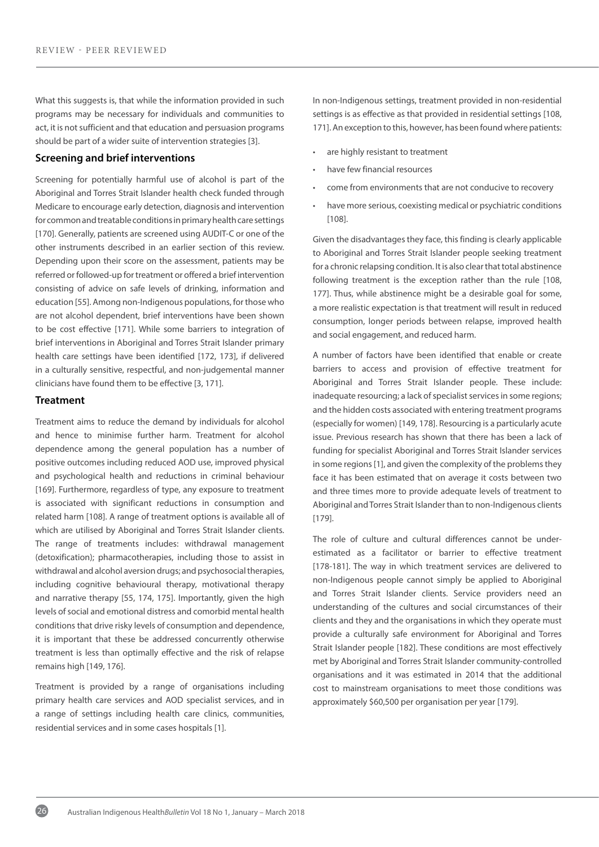What this suggests is, that while the information provided in such programs may be necessary for individuals and communities to act, it is not sufficient and that education and persuasion programs should be part of a wider suite of intervention strategies [3].

#### **Screening and brief interventions**

Screening for potentially harmful use of alcohol is part of the Aboriginal and Torres Strait Islander health check funded through Medicare to encourage early detection, diagnosis and intervention for common and treatable conditions in primary health care settings [170]. Generally, patients are screened using AUDIT-C or one of the other instruments described in an earlier section of this review. Depending upon their score on the assessment, patients may be referred or followed-up for treatment or offered a brief intervention consisting of advice on safe levels of drinking, information and education [55]. Among non-Indigenous populations, for those who are not alcohol dependent, brief interventions have been shown to be cost effective [171]. While some barriers to integration of brief interventions in Aboriginal and Torres Strait Islander primary health care settings have been identified [172, 173], if delivered in a culturally sensitive, respectful, and non-judgemental manner clinicians have found them to be effective [3, 171].

#### **Treatment**

Treatment aims to reduce the demand by individuals for alcohol and hence to minimise further harm. Treatment for alcohol dependence among the general population has a number of positive outcomes including reduced AOD use, improved physical and psychological health and reductions in criminal behaviour [169]. Furthermore, regardless of type, any exposure to treatment is associated with significant reductions in consumption and related harm [108]. A range of treatment options is available all of which are utilised by Aboriginal and Torres Strait Islander clients. The range of treatments includes: withdrawal management (detoxification); pharmacotherapies, including those to assist in withdrawal and alcohol aversion drugs; and psychosocial therapies, including cognitive behavioural therapy, motivational therapy and narrative therapy [55, 174, 175]. Importantly, given the high levels of social and emotional distress and comorbid mental health conditions that drive risky levels of consumption and dependence, it is important that these be addressed concurrently otherwise treatment is less than optimally effective and the risk of relapse remains high [149, 176].

Treatment is provided by a range of organisations including primary health care services and AOD specialist services, and in a range of settings including health care clinics, communities, residential services and in some cases hospitals [1].

In non-Indigenous settings, treatment provided in non-residential settings is as effective as that provided in residential settings [108, 171]. An exception to this, however, has been found where patients:

- are highly resistant to treatment
- have few financial resources
- come from environments that are not conducive to recovery
- have more serious, coexisting medical or psychiatric conditions [108].

Given the disadvantages they face, this finding is clearly applicable to Aboriginal and Torres Strait Islander people seeking treatment for a chronic relapsing condition. It is also clear that total abstinence following treatment is the exception rather than the rule [108, 177]. Thus, while abstinence might be a desirable goal for some, a more realistic expectation is that treatment will result in reduced consumption, longer periods between relapse, improved health and social engagement, and reduced harm.

A number of factors have been identified that enable or create barriers to access and provision of effective treatment for Aboriginal and Torres Strait Islander people. These include: inadequate resourcing; a lack of specialist services in some regions; and the hidden costs associated with entering treatment programs (especially for women) [149, 178]. Resourcing is a particularly acute issue. Previous research has shown that there has been a lack of funding for specialist Aboriginal and Torres Strait Islander services in some regions [1], and given the complexity of the problems they face it has been estimated that on average it costs between two and three times more to provide adequate levels of treatment to Aboriginal and Torres Strait Islander than to non-Indigenous clients [179].

The role of culture and cultural differences cannot be underestimated as a facilitator or barrier to effective treatment [178-181]. The way in which treatment services are delivered to non-Indigenous people cannot simply be applied to Aboriginal and Torres Strait Islander clients. Service providers need an understanding of the cultures and social circumstances of their clients and they and the organisations in which they operate must provide a culturally safe environment for Aboriginal and Torres Strait Islander people [182]. These conditions are most effectively met by Aboriginal and Torres Strait Islander community-controlled organisations and it was estimated in 2014 that the additional cost to mainstream organisations to meet those conditions was approximately \$60,500 per organisation per year [179].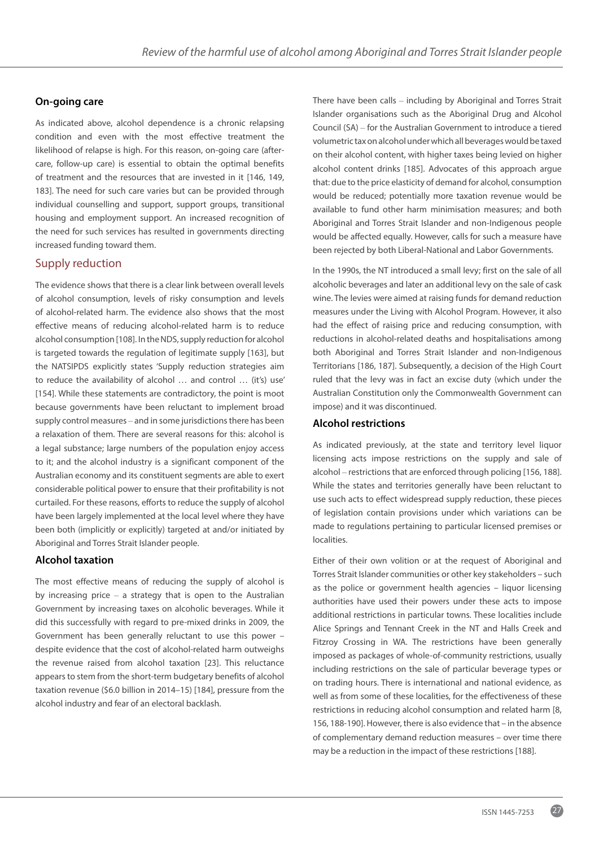### **On-going care**

As indicated above, alcohol dependence is a chronic relapsing condition and even with the most effective treatment the likelihood of relapse is high. For this reason, on-going care (aftercare, follow-up care) is essential to obtain the optimal benefits of treatment and the resources that are invested in it [146, 149, 183]. The need for such care varies but can be provided through individual counselling and support, support groups, transitional housing and employment support. An increased recognition of the need for such services has resulted in governments directing increased funding toward them.

### Supply reduction

The evidence shows that there is a clear link between overall levels of alcohol consumption, levels of risky consumption and levels of alcohol-related harm. The evidence also shows that the most effective means of reducing alcohol-related harm is to reduce alcohol consumption [108]. In theNDS, supply reduction for alcohol is targeted towards the regulation of legitimate supply [163], but the NATSIPDS explicitly states 'Supply reduction strategies aim to reduce the availability of alcohol … and control … (it's) use' [154]. While these statements are contradictory, the point is moot because governments have been reluctant to implement broad supply control measures – and in some jurisdictions there has been a relaxation of them. There are several reasons for this: alcohol is a legal substance; large numbers of the population enjoy access to it; and the alcohol industry is a significant component of the Australian economy and its constituent segments are able to exert considerable political power to ensure that their profitability is not curtailed. For these reasons, efforts to reduce the supply of alcohol have been largely implemented at the local level where they have been both (implicitly or explicitly) targeted at and/or initiated by Aboriginal and Torres Strait Islander people.

### **Alcohol taxation**

The most effective means of reducing the supply of alcohol is by increasing price  $-$  a strategy that is open to the Australian Government by increasing taxes on alcoholic beverages. While it did this successfully with regard to pre-mixed drinks in 2009, the Government has been generally reluctant to use this power – despite evidence that the cost of alcohol-related harm outweighs the revenue raised from alcohol taxation [23]. This reluctance appears to stem from the short-term budgetary benefits of alcohol taxation revenue (\$6.0 billion in 2014–15) [184], pressure from the alcohol industry and fear of an electoral backlash.

There have been calls – including by Aboriginal and Torres Strait Islander organisations such as the Aboriginal Drug and Alcohol Council (SA) – for the Australian Government to introduce a tiered volumetric tax on alcohol under which all beverages would be taxed on their alcohol content, with higher taxes being levied on higher alcohol content drinks [185]. Advocates of this approach argue that: due to the price elasticity of demand for alcohol, consumption would be reduced; potentially more taxation revenue would be available to fund other harm minimisation measures; and both Aboriginal and Torres Strait Islander and non-Indigenous people would be affected equally. However, calls for such a measure have been rejected by both Liberal-National and Labor Governments.

In the 1990s, the NT introduced a small levy; first on the sale of all alcoholic beverages and later an additional levy on the sale of cask wine. The levies were aimed at raising funds for demand reduction measures under the Living with Alcohol Program. However, it also had the effect of raising price and reducing consumption, with reductions in alcohol-related deaths and hospitalisations among both Aboriginal and Torres Strait Islander and non-Indigenous Territorians [186, 187]. Subsequently, a decision of the High Court ruled that the levy was in fact an excise duty (which under the Australian Constitution only the Commonwealth Government can impose) and it was discontinued.

### **Alcohol restrictions**

As indicated previously, at the state and territory level liquor licensing acts impose restrictions on the supply and sale of alcohol – restrictions that are enforced through policing [156, 188]. While the states and territories generally have been reluctant to use such acts to effect widespread supply reduction, these pieces of legislation contain provisions under which variations can be made to regulations pertaining to particular licensed premises or localities.

Either of their own volition or at the request of Aboriginal and Torres Strait Islander communities or other key stakeholders – such as the police or government health agencies – liquor licensing authorities have used their powers under these acts to impose additional restrictions in particular towns. These localities include Alice Springs and Tennant Creek in the NT and Halls Creek and Fitzroy Crossing in WA. The restrictions have been generally imposed as packages of whole-of-community restrictions, usually including restrictions on the sale of particular beverage types or on trading hours. There is international and national evidence, as well as from some of these localities, for the effectiveness of these restrictions in reducing alcohol consumption and related harm [8, 156, 188-190]. However, there is also evidence that – in the absence of complementary demand reduction measures – over time there may be a reduction in the impact of these restrictions [188].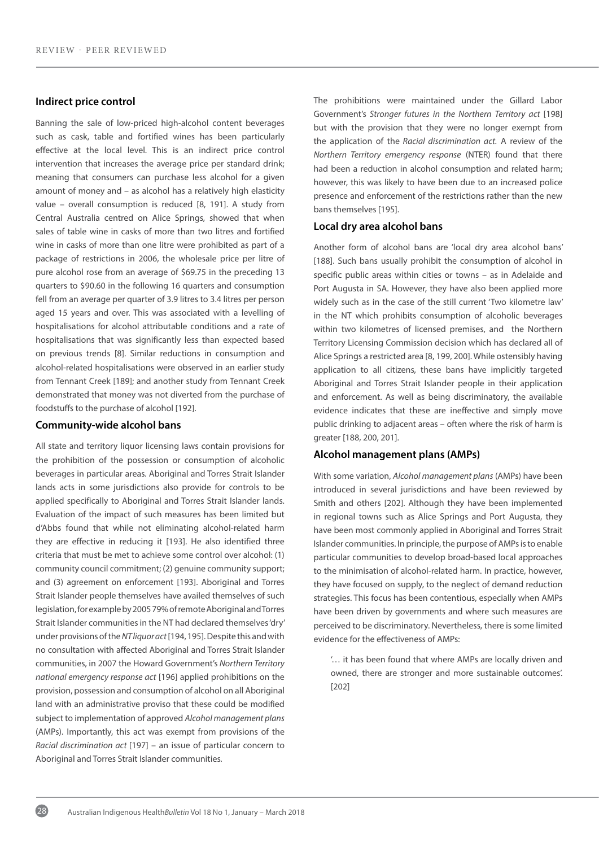#### **Indirect price control**

Banning the sale of low-priced high-alcohol content beverages such as cask, table and fortified wines has been particularly effective at the local level. This is an indirect price control intervention that increases the average price per standard drink; meaning that consumers can purchase less alcohol for a given amount of money and – as alcohol has a relatively high elasticity value – overall consumption is reduced [8, 191]. A study from Central Australia centred on Alice Springs, showed that when sales of table wine in casks of more than two litres and fortified wine in casks of more than one litre were prohibited as part of a package of restrictions in 2006, the wholesale price per litre of pure alcohol rose from an average of \$69.75 in the preceding 13 quarters to \$90.60 in the following 16 quarters and consumption fell from an average per quarter of 3.9 litres to 3.4 litres per person aged 15 years and over. This was associated with a levelling of hospitalisations for alcohol attributable conditions and a rate of hospitalisations that was significantly less than expected based on previous trends [8]. Similar reductions in consumption and alcohol-related hospitalisations were observed in an earlier study from Tennant Creek [189]; and another study from Tennant Creek demonstrated that money was not diverted from the purchase of foodstuffs to the purchase of alcohol [192].

#### **Community-wide alcohol bans**

All state and territory liquor licensing laws contain provisions for the prohibition of the possession or consumption of alcoholic beverages in particular areas. Aboriginal and Torres Strait Islander lands acts in some jurisdictions also provide for controls to be applied specifically to Aboriginal and Torres Strait Islander lands. Evaluation of the impact of such measures has been limited but d'Abbs found that while not eliminating alcohol-related harm they are effective in reducing it [193]. He also identified three criteria that must be met to achieve some control over alcohol: (1) community council commitment; (2) genuine community support; and (3) agreement on enforcement [193]. Aboriginal and Torres Strait Islander people themselves have availed themselves of such legislation, for example by 2005 79% of remote Aboriginal and Torres Strait Islander communities in the NT had declared themselves 'dry' under provisions of the *NT liquor act* [194, 195]. Despite this and with no consultation with affected Aboriginal and Torres Strait Islander communities, in 2007 the Howard Government's *Northern Territory national emergency response act* [196] applied prohibitions on the provision, possession and consumption of alcohol on all Aboriginal land with an administrative proviso that these could be modified subject to implementation of approved *Alcohol management plans* (AMPs). Importantly, this act was exempt from provisions of the *Racial discrimination act* [197] – an issue of particular concern to Aboriginal and Torres Strait Islander communities*.* 

The prohibitions were maintained under the Gillard Labor Government's *Stronger futures in the Northern Territory act* [198] but with the provision that they were no longer exempt from the application of the *Racial discrimination act.* A review of the *Northern Territory emergency response* (NTER) found that there had been a reduction in alcohol consumption and related harm; however, this was likely to have been due to an increased police presence and enforcement of the restrictions rather than the new bans themselves [195].

#### **Local dry area alcohol bans**

Another form of alcohol bans are 'local dry area alcohol bans' [188]. Such bans usually prohibit the consumption of alcohol in specific public areas within cities or towns – as in Adelaide and Port Augusta in SA. However, they have also been applied more widely such as in the case of the still current 'Two kilometre law' in the NT which prohibits consumption of alcoholic beverages within two kilometres of licensed premises, and the Northern Territory Licensing Commission decision which has declared all of Alice Springs a restricted area [8, 199, 200]. While ostensibly having application to all citizens, these bans have implicitly targeted Aboriginal and Torres Strait Islander people in their application and enforcement. As well as being discriminatory, the available evidence indicates that these are ineffective and simply move public drinking to adjacent areas – often where the risk of harm is greater [188, 200, 201].

#### **Alcohol management plans (AMPs)**

With some variation, *Alcohol management plans* (AMPs) have been introduced in several jurisdictions and have been reviewed by Smith and others [202]. Although they have been implemented in regional towns such as Alice Springs and Port Augusta, they have been most commonly applied in Aboriginal and Torres Strait Islander communities. In principle, the purpose of AMPs is to enable particular communities to develop broad-based local approaches to the minimisation of alcohol-related harm. In practice, however, they have focused on supply, to the neglect of demand reduction strategies. This focus has been contentious, especially when AMPs have been driven by governments and where such measures are perceived to be discriminatory. Nevertheless, there is some limited evidence for the effectiveness of AMPs:

'… it has been found that where AMPs are locally driven and owned, there are stronger and more sustainable outcomes'. [202]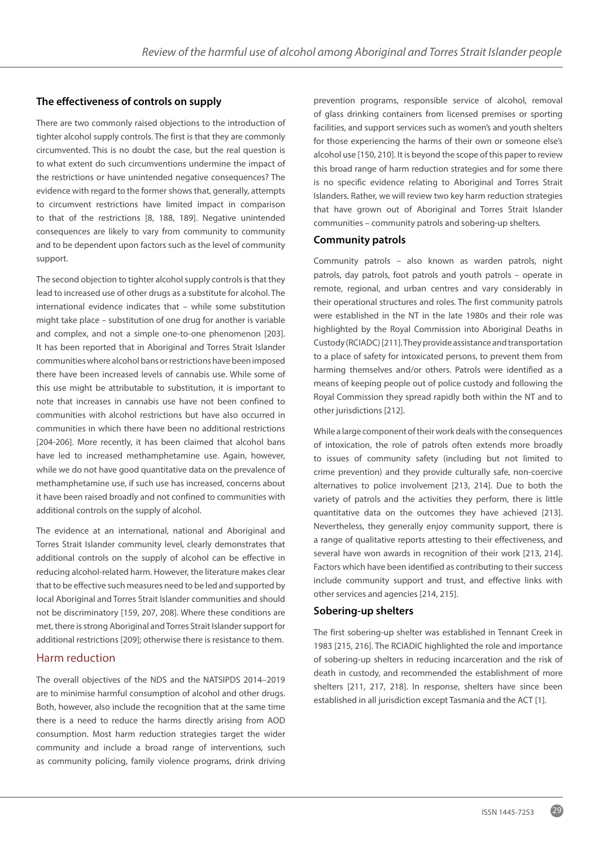### **The effectiveness of controls on supply**

There are two commonly raised objections to the introduction of tighter alcohol supply controls. The first is that they are commonly circumvented. This is no doubt the case, but the real question is to what extent do such circumventions undermine the impact of the restrictions or have unintended negative consequences? The evidence with regard to the former shows that, generally, attempts to circumvent restrictions have limited impact in comparison to that of the restrictions [8, 188, 189]. Negative unintended consequences are likely to vary from community to community and to be dependent upon factors such as the level of community support.

The second objection to tighter alcohol supply controls is that they lead to increased use of other drugs as a substitute for alcohol. The international evidence indicates that – while some substitution might take place – substitution of one drug for another is variable and complex, and not a simple one-to-one phenomenon [203]. It has been reported that in Aboriginal and Torres Strait Islander communities where alcohol bans or restrictions have been imposed there have been increased levels of cannabis use. While some of this use might be attributable to substitution, it is important to note that increases in cannabis use have not been confined to communities with alcohol restrictions but have also occurred in communities in which there have been no additional restrictions [204-206]. More recently, it has been claimed that alcohol bans have led to increased methamphetamine use. Again, however, while we do not have good quantitative data on the prevalence of methamphetamine use, if such use has increased, concerns about it have been raised broadly and not confined to communities with additional controls on the supply of alcohol.

The evidence at an international, national and Aboriginal and Torres Strait Islander community level, clearly demonstrates that additional controls on the supply of alcohol can be effective in reducing alcohol-related harm. However, the literature makes clear that to be effective such measures need to be led and supported by local Aboriginal and Torres Strait Islander communities and should not be discriminatory [159, 207, 208]. Where these conditions are met, there is strong Aboriginal and Torres Strait Islander support for additional restrictions [209]; otherwise there is resistance to them.

### Harm reduction

The overall objectives of the NDS and the NATSIPDS 2014–2019 are to minimise harmful consumption of alcohol and other drugs. Both, however, also include the recognition that at the same time there is a need to reduce the harms directly arising from AOD consumption. Most harm reduction strategies target the wider community and include a broad range of interventions, such as community policing, family violence programs, drink driving

prevention programs, responsible service of alcohol, removal of glass drinking containers from licensed premises or sporting facilities, and support services such as women's and youth shelters for those experiencing the harms of their own or someone else's alcohol use [150, 210]. It is beyond the scope of this paper to review this broad range of harm reduction strategies and for some there is no specific evidence relating to Aboriginal and Torres Strait Islanders. Rather, we will review two key harm reduction strategies that have grown out of Aboriginal and Torres Strait Islander communities – community patrols and sobering-up shelters.

#### **Community patrols**

Community patrols – also known as warden patrols, night patrols, day patrols, foot patrols and youth patrols – operate in remote, regional, and urban centres and vary considerably in their operational structures and roles. The first community patrols were established in the NT in the late 1980s and their role was highlighted by the Royal Commission into Aboriginal Deaths in Custody (RCIADC) [211]. They provide assistance and transportation to a place of safety for intoxicated persons, to prevent them from harming themselves and/or others. Patrols were identified as a means of keeping people out of police custody and following the Royal Commission they spread rapidly both within the NT and to other jurisdictions [212].

While a large component of their work deals with the consequences of intoxication, the role of patrols often extends more broadly to issues of community safety (including but not limited to crime prevention) and they provide culturally safe, non-coercive alternatives to police involvement [213, 214]. Due to both the variety of patrols and the activities they perform, there is little quantitative data on the outcomes they have achieved [213]. Nevertheless, they generally enjoy community support, there is a range of qualitative reports attesting to their effectiveness, and several have won awards in recognition of their work [213, 214]. Factors which have been identified as contributing to their success include community support and trust, and effective links with other services and agencies [214, 215].

#### **Sobering-up shelters**

The first sobering-up shelter was established in Tennant Creek in 1983 [215, 216]. The RCIADIC highlighted the role and importance of sobering-up shelters in reducing incarceration and the risk of death in custody, and recommended the establishment of more shelters [211, 217, 218]. In response, shelters have since been established in all jurisdiction except Tasmania and the ACT [1].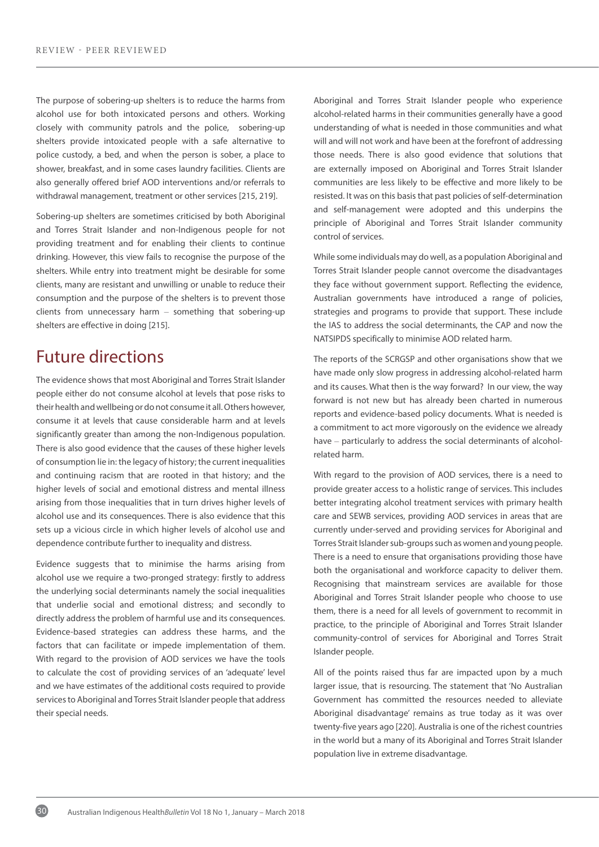The purpose of sobering-up shelters is to reduce the harms from alcohol use for both intoxicated persons and others. Working closely with community patrols and the police, sobering-up shelters provide intoxicated people with a safe alternative to police custody, a bed, and when the person is sober, a place to shower, breakfast, and in some cases laundry facilities. Clients are also generally offered brief AOD interventions and/or referrals to withdrawal management, treatment or other services [215, 219].

Sobering-up shelters are sometimes criticised by both Aboriginal and Torres Strait Islander and non-Indigenous people for not providing treatment and for enabling their clients to continue drinking. However, this view fails to recognise the purpose of the shelters. While entry into treatment might be desirable for some clients, many are resistant and unwilling or unable to reduce their consumption and the purpose of the shelters is to prevent those clients from unnecessary harm – something that sobering-up shelters are effective in doing [215].

# Future directions

The evidence shows that most Aboriginal and Torres Strait Islander people either do not consume alcohol at levels that pose risks to their health and wellbeing or do not consume it all. Others however, consume it at levels that cause considerable harm and at levels significantly greater than among the non-Indigenous population. There is also good evidence that the causes of these higher levels of consumption lie in: the legacy of history; the current inequalities and continuing racism that are rooted in that history; and the higher levels of social and emotional distress and mental illness arising from those inequalities that in turn drives higher levels of alcohol use and its consequences. There is also evidence that this sets up a vicious circle in which higher levels of alcohol use and dependence contribute further to inequality and distress.

Evidence suggests that to minimise the harms arising from alcohol use we require a two-pronged strategy: firstly to address the underlying social determinants namely the social inequalities that underlie social and emotional distress; and secondly to directly address the problem of harmful use and its consequences. Evidence-based strategies can address these harms, and the factors that can facilitate or impede implementation of them. With regard to the provision of AOD services we have the tools to calculate the cost of providing services of an 'adequate' level and we have estimates of the additional costs required to provide services to Aboriginal and Torres Strait Islander people that address their special needs.

Aboriginal and Torres Strait Islander people who experience alcohol-related harms in their communities generally have a good understanding of what is needed in those communities and what will and will not work and have been at the forefront of addressing those needs. There is also good evidence that solutions that are externally imposed on Aboriginal and Torres Strait Islander communities are less likely to be effective and more likely to be resisted. It was on this basis that past policies of self-determination and self-management were adopted and this underpins the principle of Aboriginal and Torres Strait Islander community control of services.

While some individuals may do well, as a population Aboriginal and Torres Strait Islander people cannot overcome the disadvantages they face without government support. Reflecting the evidence, Australian governments have introduced a range of policies, strategies and programs to provide that support. These include the IAS to address the social determinants, the CAP and now the NATSIPDS specifically to minimise AOD related harm.

The reports of the SCRGSP and other organisations show that we have made only slow progress in addressing alcohol-related harm and its causes. What then is the way forward? In our view, the way forward is not new but has already been charted in numerous reports and evidence-based policy documents. What is needed is a commitment to act more vigorously on the evidence we already have – particularly to address the social determinants of alcoholrelated harm.

With regard to the provision of AOD services, there is a need to provide greater access to a holistic range of services. This includes better integrating alcohol treatment services with primary health care and SEWB services, providing AOD services in areas that are currently under-served and providing services for Aboriginal and Torres Strait Islander sub-groups such as women and young people. There is a need to ensure that organisations providing those have both the organisational and workforce capacity to deliver them. Recognising that mainstream services are available for those Aboriginal and Torres Strait Islander people who choose to use them, there is a need for all levels of government to recommit in practice, to the principle of Aboriginal and Torres Strait Islander community-control of services for Aboriginal and Torres Strait Islander people.

All of the points raised thus far are impacted upon by a much larger issue, that is resourcing. The statement that 'No Australian Government has committed the resources needed to alleviate Aboriginal disadvantage' remains as true today as it was over twenty-five years ago [220]. Australia is one of the richest countries in the world but a many of its Aboriginal and Torres Strait Islander population live in extreme disadvantage.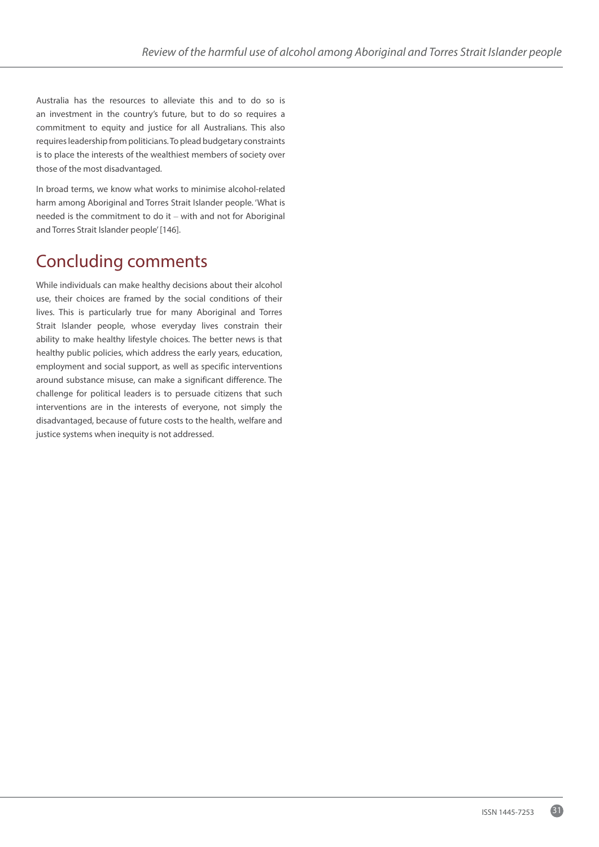Australia has the resources to alleviate this and to do so is an investment in the country's future, but to do so requires a commitment to equity and justice for all Australians. This also requires leadership from politicians. To plead budgetary constraints is to place the interests of the wealthiest members of society over those of the most disadvantaged.

In broad terms, we know what works to minimise alcohol-related harm among Aboriginal and Torres Strait Islander people. 'What is needed is the commitment to do it – with and not for Aboriginal and Torres Strait Islander people' [146].

# Concluding comments

While individuals can make healthy decisions about their alcohol use, their choices are framed by the social conditions of their lives. This is particularly true for many Aboriginal and Torres Strait Islander people, whose everyday lives constrain their ability to make healthy lifestyle choices. The better news is that healthy public policies, which address the early years, education, employment and social support, as well as specific interventions around substance misuse, can make a significant difference. The challenge for political leaders is to persuade citizens that such interventions are in the interests of everyone, not simply the disadvantaged, because of future costs to the health, welfare and justice systems when inequity is not addressed.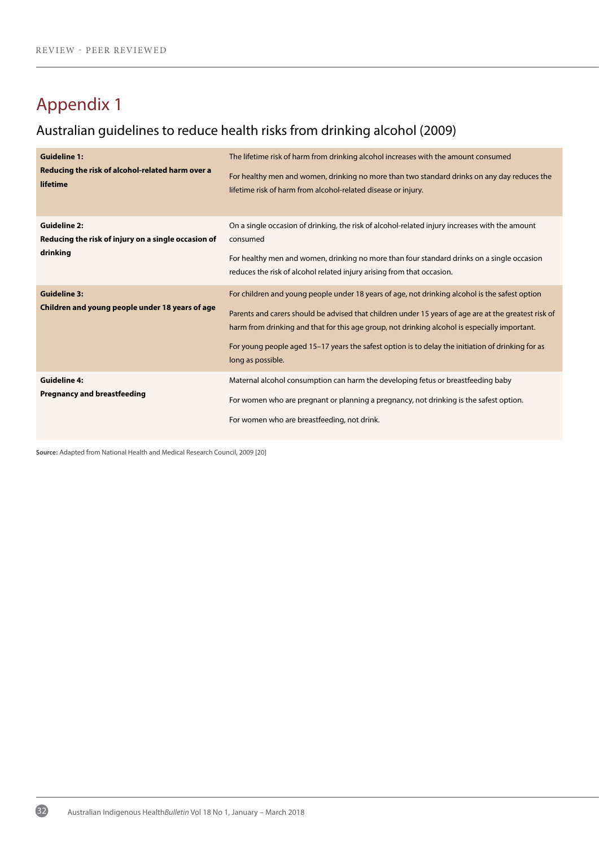# Appendix 1

# Australian guidelines to reduce health risks from drinking alcohol (2009)

| <b>Guideline 1:</b><br>Reducing the risk of alcohol-related harm over a<br>lifetime    | The lifetime risk of harm from drinking alcohol increases with the amount consumed<br>For healthy men and women, drinking no more than two standard drinks on any day reduces the<br>lifetime risk of harm from alcohol-related disease or injury.                                                                                                                                                                                |
|----------------------------------------------------------------------------------------|-----------------------------------------------------------------------------------------------------------------------------------------------------------------------------------------------------------------------------------------------------------------------------------------------------------------------------------------------------------------------------------------------------------------------------------|
| <b>Guideline 2:</b><br>Reducing the risk of injury on a single occasion of<br>drinking | On a single occasion of drinking, the risk of alcohol-related injury increases with the amount<br>consumed<br>For healthy men and women, drinking no more than four standard drinks on a single occasion<br>reduces the risk of alcohol related injury arising from that occasion.                                                                                                                                                |
| <b>Guideline 3:</b><br>Children and young people under 18 years of age                 | For children and young people under 18 years of age, not drinking alcohol is the safest option<br>Parents and carers should be advised that children under 15 years of age are at the greatest risk of<br>harm from drinking and that for this age group, not drinking alcohol is especially important.<br>For young people aged 15-17 years the safest option is to delay the initiation of drinking for as<br>long as possible. |
| <b>Guideline 4:</b><br><b>Pregnancy and breastfeeding</b>                              | Maternal alcohol consumption can harm the developing fetus or breastfeeding baby<br>For women who are pregnant or planning a pregnancy, not drinking is the safest option.<br>For women who are breastfeeding, not drink.                                                                                                                                                                                                         |

**Source:** Adapted from National Health and Medical Research Council, 2009 [20]

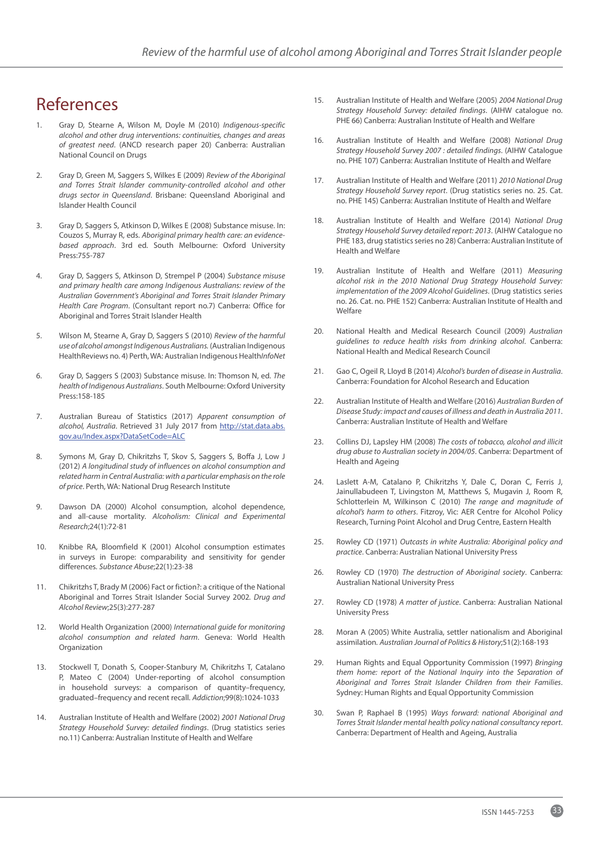# References

- 1. Gray D, Stearne A, Wilson M, Doyle M (2010) *Indigenous-specific alcohol and other drug interventions: continuities, changes and areas of greatest need*. (ANCD research paper 20) Canberra: Australian National Council on Drugs
- 2. Gray D, Green M, Saggers S, Wilkes E (2009) *Review of the Aboriginal and Torres Strait Islander community-controlled alcohol and other drugs sector in Queensland*. Brisbane: Queensland Aboriginal and Islander Health Council
- 3. Gray D, Saggers S, Atkinson D, Wilkes E (2008) Substance misuse. In: Couzos S, Murray R, eds. *Aboriginal primary health care: an evidencebased approach*. 3rd ed. South Melbourne: Oxford University Press:755-787
- 4. Gray D, Saggers S, Atkinson D, Strempel P (2004) *Substance misuse and primary health care among Indigenous Australians: review of the Australian Government's Aboriginal and Torres Strait Islander Primary Health Care Program*. (Consultant report no.7) Canberra: Office for Aboriginal and Torres Strait Islander Health
- 5. Wilson M, Stearne A, Gray D, Saggers S (2010) *Review of the harmful use of alcohol amongst Indigenous Australians.* (Australian Indigenous HealthReviews no. 4) Perth, WA: Australian Indigenous Health*InfoNet*
- 6. Gray D, Saggers S (2003) Substance misuse. In: Thomson N, ed. *The health of Indigenous Australians*. South Melbourne: Oxford University Press:158-185
- 7. Australian Bureau of Statistics (2017) *Apparent consumption of alcohol, Australia*. Retrieved 31 July 2017 from http://stat.data.abs. gov.au/Index.aspx?DataSetCode=ALC
- 8. Symons M, Gray D, Chikritzhs T, Skov S, Saggers S, Boffa J, Low J (2012) *A longitudinal study of influences on alcohol consumption and related harm in Central Australia: with a particular emphasis on the role of price*. Perth, WA: National Drug Research Institute
- 9. Dawson DA (2000) Alcohol consumption, alcohol dependence, and all-cause mortality*. Alcoholism: Clinical and Experimental Research*;24(1):72-81
- 10. Knibbe RA, Bloomfield K (2001) Alcohol consumption estimates in surveys in Europe: comparability and sensitivity for gender differences*. Substance Abuse*;22(1):23-38
- 11. Chikritzhs T, Brady M (2006) Fact or fiction?: a critique of the National Aboriginal and Torres Strait Islander Social Survey 2002*. Drug and Alcohol Review*;25(3):277-287
- 12. World Health Organization (2000) *International guide for monitoring alcohol consumption and related harm*. Geneva: World Health Organization
- 13. Stockwell T, Donath S, Cooper-Stanbury M, Chikritzhs T, Catalano P, Mateo C (2004) Under-reporting of alcohol consumption in household surveys: a comparison of quantity–frequency, graduated–frequency and recent recall*. Addiction*;99(8):1024-1033
- 14. Australian Institute of Health and Welfare (2002) *2001 National Drug Strategy Household Survey: detailed findings*. (Drug statistics series no.11) Canberra: Australian Institute of Health and Welfare
- 15. Australian Institute of Health and Welfare (2005) *2004 National Drug Strategy Household Survey: detailed findings*. (AIHW catalogue no. PHE 66) Canberra: Australian Institute of Health and Welfare
- 16. Australian Institute of Health and Welfare (2008) *National Drug Strategy Household Survey 2007 : detailed findings*. (AIHW Catalogue no. PHE 107) Canberra: Australian Institute of Health and Welfare
- 17. Australian Institute of Health and Welfare (2011) *2010 National Drug Strategy Household Survey report*. (Drug statistics series no. 25. Cat. no. PHE 145) Canberra: Australian Institute of Health and Welfare
- 18. Australian Institute of Health and Welfare (2014) *National Drug Strategy Household Survey detailed report: 2013*. (AIHW Catalogue no PHE 183, drug statistics series no 28) Canberra: Australian Institute of Health and Welfare
- 19. Australian Institute of Health and Welfare (2011) *Measuring alcohol risk in the 2010 National Drug Strategy Household Survey: implementation of the 2009 Alcohol Guidelines*. (Drug statistics series no. 26. Cat. no. PHE 152) Canberra: Australian Institute of Health and Welfare
- 20. National Health and Medical Research Council (2009) *Australian guidelines to reduce health risks from drinking alcohol*. Canberra: National Health and Medical Research Council
- 21. Gao C, Ogeil R, Lloyd B (2014) *Alcohol's burden of disease in Australia*. Canberra: Foundation for Alcohol Research and Education
- 22. Australian Institute of Health and Welfare (2016) *Australian Burden of Disease Study: impact and causes of illness and death in Australia 2011*. Canberra: Australian Institute of Health and Welfare
- 23. Collins DJ, Lapsley HM (2008) *The costs of tobacco, alcohol and illicit drug abuse to Australian society in 2004/05*. Canberra: Department of Health and Ageing
- 24. Laslett A-M, Catalano P, Chikritzhs Y, Dale C, Doran C, Ferris J, Jainullabudeen T, Livingston M, Matthews S, Mugavin J, Room R, Schlotterlein M, Wilkinson C (2010) *The range and magnitude of alcohol's harm to others*. Fitzroy, Vic: AER Centre for Alcohol Policy Research, Turning Point Alcohol and Drug Centre, Eastern Health
- 25. Rowley CD (1971) *Outcasts in white Australia: Aboriginal policy and practice*. Canberra: Australian National University Press
- 26. Rowley CD (1970) *The destruction of Aboriginal society*. Canberra: Australian National University Press
- 27. Rowley CD (1978) *A matter of justice*. Canberra: Australian National University Press
- 28. Moran A (2005) White Australia, settler nationalism and Aboriginal assimilation*. Australian Journal of Politics & History*;51(2):168-193
- 29. Human Rights and Equal Opportunity Commission (1997) *Bringing them home: report of the National Inquiry into the Separation of Aboriginal and Torres Strait Islander Children from their Families*. Sydney: Human Rights and Equal Opportunity Commission
- 30. Swan P, Raphael B (1995) *Ways forward: national Aboriginal and Torres Strait Islander mental health policy national consultancy report*. Canberra: Department of Health and Ageing, Australia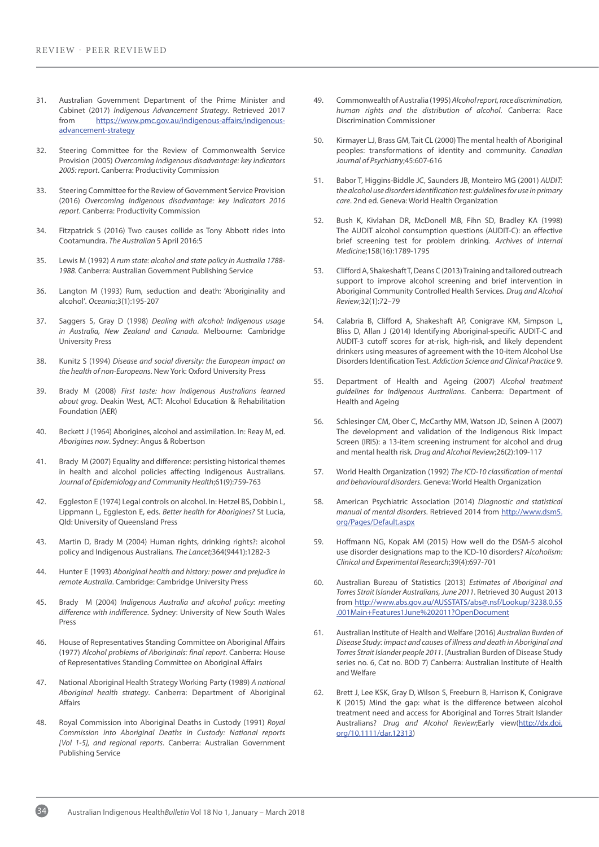- 31. Australian Government Department of the Prime Minister and Cabinet (2017) *Indigenous Advancement Strategy*. Retrieved 2017 from https://www.pmc.gov.au/indigenous-affairs/indigenousadvancement-strategy
- 32. Steering Committee for the Review of Commonwealth Service Provision (2005) *Overcoming Indigenous disadvantage: key indicators 2005: report*. Canberra: Productivity Commission
- 33. Steering Committee for the Review of Government Service Provision (2016) *Overcoming Indigenous disadvantage: key indicators 2016 report*. Canberra: Productivity Commission
- 34. Fitzpatrick S (2016) Two causes collide as Tony Abbott rides into Cootamundra. *The Australian* 5 April 2016:5
- 35. Lewis M (1992) *A rum state: alcohol and state policy in Australia 1788- 1988*. Canberra: Australian Government Publishing Service
- 36. Langton M (1993) Rum, seduction and death: 'Aboriginality and alcohol'*. Oceania*;3(1):195-207
- 37. Saggers S, Gray D (1998) *Dealing with alcohol: Indigenous usage in Australia, New Zealand and Canada*. Melbourne: Cambridge University Press
- 38. Kunitz S (1994) *Disease and social diversity: the European impact on the health of non-Europeans*. New York: Oxford University Press
- 39. Brady M (2008) *First taste: how Indigenous Australians learned about grog*. Deakin West, ACT: Alcohol Education & Rehabilitation Foundation (AER)
- 40. Beckett J (1964) Aborigines, alcohol and assimilation. In: Reay M, ed. *Aborigines now*. Sydney: Angus & Robertson
- 41. Brady M (2007) Equality and difference: persisting historical themes in health and alcohol policies affecting Indigenous Australians*. Journal of Epidemiology and Community Health*;61(9):759-763
- 42. Eggleston E (1974) Legal controls on alcohol. In: Hetzel BS, Dobbin L, Lippmann L, Eggleston E, eds. *Better health for Aborigines?* St Lucia, Qld: University of Queensland Press
- 43. Martin D, Brady M (2004) Human rights, drinking rights?: alcohol policy and Indigenous Australians*. The Lancet*;364(9441):1282-3
- 44. Hunter E (1993) *Aboriginal health and history: power and prejudice in remote Australia*. Cambridge: Cambridge University Press
- 45. Brady M (2004) *Indigenous Australia and alcohol policy: meeting difference with indifference*. Sydney: University of New South Wales Press
- 46. House of Representatives Standing Committee on Aboriginal Affairs (1977) *Alcohol problems of Aboriginals: final report*. Canberra: House of Representatives Standing Committee on Aboriginal Affairs
- 47. National Aboriginal Health Strategy Working Party (1989) *A national Aboriginal health strategy*. Canberra: Department of Aboriginal Affairs
- 48. Royal Commission into Aboriginal Deaths in Custody (1991) *Royal Commission into Aboriginal Deaths in Custody: National reports [Vol 1-5], and regional reports*. Canberra: Australian Government Publishing Service
- 49. Commonwealth of Australia (1995) *Alcohol report, race discrimination, human rights and the distribution of alcohol*. Canberra: Race Discrimination Commissioner
- 50. Kirmayer LJ, Brass GM, Tait CL (2000) The mental health of Aboriginal peoples: transformations of identity and community*. Canadian Journal of Psychiatry*;45:607-616
- 51. Babor T, Higgins-Biddle JC, Saunders JB, Monteiro MG (2001) *AUDIT: the alcohol use disorders identification test: guidelines for use in primary care*. 2nd ed. Geneva: World Health Organization
- 52. Bush K, Kivlahan DR, McDonell MB, Fihn SD, Bradley KA (1998) The AUDIT alcohol consumption questions (AUDIT-C): an effective brief screening test for problem drinking*. Archives of Internal Medicine*;158(16):1789-1795
- 53. Clifford A, Shakeshaft T, Deans C (2013) Training and tailored outreach support to improve alcohol screening and brief intervention in Aboriginal Community Controlled Health Services*. Drug and Alcohol Review*;32(1):72–79
- 54. Calabria B, Clifford A, Shakeshaft AP, Conigrave KM, Simpson L, Bliss D, Allan J (2014) Identifying Aboriginal-specific AUDIT-C and AUDIT-3 cutoff scores for at-risk, high-risk, and likely dependent drinkers using measures of agreement with the 10-item Alcohol Use Disorders Identification Test. *Addiction Science and Clinical Practice* 9.
- 55. Department of Health and Ageing (2007) *Alcohol treatment guidelines for Indigenous Australians*. Canberra: Department of Health and Ageing
- 56. Schlesinger CM, Ober C, McCarthy MM, Watson JD, Seinen A (2007) The development and validation of the Indigenous Risk Impact Screen (IRIS): a 13-item screening instrument for alcohol and drug and mental health risk*. Drug and Alcohol Review*;26(2):109-117
- 57. World Health Organization (1992) *The ICD-10 classification of mental and behavioural disorders*. Geneva: World Health Organization
- 58. American Psychiatric Association (2014) *Diagnostic and statistical manual of mental disorders*. Retrieved 2014 from http://www.dsm5. org/Pages/Default.aspx
- 59. Hoffmann NG, Kopak AM (2015) How well do the DSM-5 alcohol use disorder designations map to the ICD-10 disorders? *Alcoholism: Clinical and Experimental Research*;39(4):697-701
- 60. Australian Bureau of Statistics (2013) *Estimates of Aboriginal and Torres Strait Islander Australians, June 2011*. Retrieved 30 August 2013 from http://www.abs.gov.au/AUSSTATS/abs@.nsf/Lookup/3238.0.55 .001Main+Features1June%202011?OpenDocument
- 61. Australian Institute of Health and Welfare (2016) *Australian Burden of Disease Study: impact and causes of illness and death in Aboriginal and Torres Strait Islander people 2011*. (Australian Burden of Disease Study series no. 6, Cat no. BOD 7) Canberra: Australian Institute of Health and Welfare
- 62. Brett J, Lee KSK, Gray D, Wilson S, Freeburn B, Harrison K, Conigrave K (2015) Mind the gap: what is the difference between alcohol treatment need and access for Aboriginal and Torres Strait Islander Australians? *Drug and Alcohol Review*;Early view(http://dx.doi. org/10.1111/dar.12313)

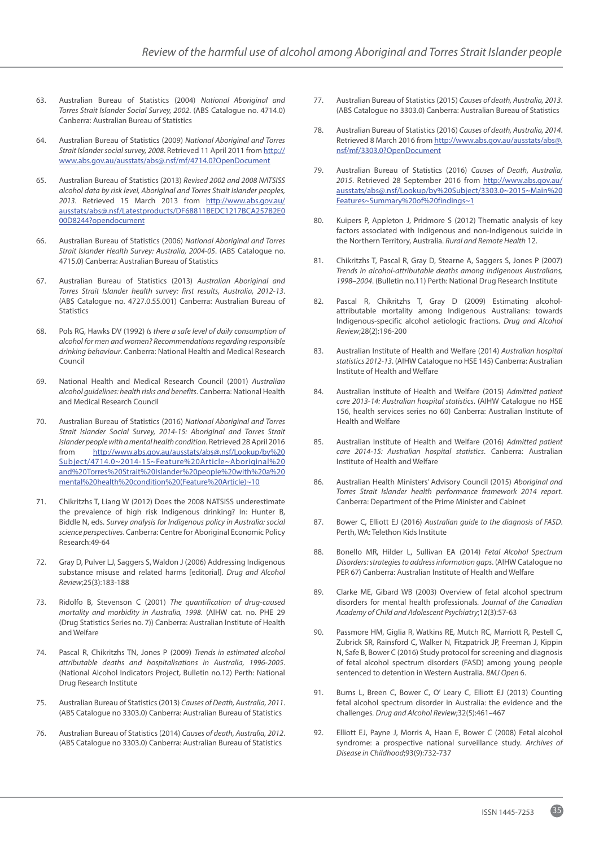- 63. Australian Bureau of Statistics (2004) *National Aboriginal and Torres Strait Islander Social Survey, 2002*. (ABS Catalogue no. 4714.0) Canberra: Australian Bureau of Statistics
- 64. Australian Bureau of Statistics (2009) *National Aboriginal and Torres Strait Islander social survey, 2008*. Retrieved 11 April 2011 from http:// www.abs.gov.au/ausstats/abs@.nsf/mf/4714.0?OpenDocument
- 65. Australian Bureau of Statistics (2013) *Revised 2002 and 2008 NATSISS alcohol data by risk level, Aboriginal and Torres Strait Islander peoples, 2013*. Retrieved 15 March 2013 from http://www.abs.gov.au/ ausstats/abs@.nsf/Latestproducts/DF68811BEDC1217BCA257B2E0 00D8244?opendocument
- 66. Australian Bureau of Statistics (2006) *National Aboriginal and Torres Strait Islander Health Survey: Australia, 2004-05*. (ABS Catalogue no. 4715.0) Canberra: Australian Bureau of Statistics
- 67. Australian Bureau of Statistics (2013) *Australian Aboriginal and Torres Strait Islander health survey: first results, Australia, 2012-13*. (ABS Catalogue no. 4727.0.55.001) Canberra: Australian Bureau of Statistics
- 68. Pols RG, Hawks DV (1992) *Is there a safe level of daily consumption of alcohol for men and women? Recommendations regarding responsible drinking behaviour*. Canberra: National Health and Medical Research Council
- 69. National Health and Medical Research Council (2001) *Australian alcohol guidelines: health risks and benefits*. Canberra: National Health and Medical Research Council
- 70. Australian Bureau of Statistics (2016) *National Aboriginal and Torres Strait Islander Social Survey, 2014-15: Aboriginal and Torres Strait Islander people with a mental health condition*. Retrieved 28 April 2016 from http://www.abs.gov.au/ausstats/abs@.nsf/Lookup/by%20 Subject/4714.0~2014-15~Feature%20Article~Aboriginal%20 and%20Torres%20Strait%20Islander%20people%20with%20a%20 mental%20health%20condition%20(Feature%20Article)~10
- 71. Chikritzhs T, Liang W (2012) Does the 2008 NATSISS underestimate the prevalence of high risk Indigenous drinking? In: Hunter B, Biddle N, eds. *Survey analysis for Indigenous policy in Australia: social science perspectives*. Canberra: Centre for Aboriginal Economic Policy Research:49-64
- 72. Gray D, Pulver LJ, Saggers S, Waldon J (2006) Addressing Indigenous substance misuse and related harms [editorial]*. Drug and Alcohol Review*;25(3):183-188
- 73. Ridolfo B, Stevenson C (2001) *The quantification of drug-caused mortality and morbidity in Australia, 1998*. (AIHW cat. no. PHE 29 (Drug Statistics Series no. 7)) Canberra: Australian Institute of Health and Welfare
- 74. Pascal R, Chikritzhs TN, Jones P (2009) *Trends in estimated alcohol attributable deaths and hospitalisations in Australia, 1996-2005*. (National Alcohol Indicators Project, Bulletin no.12) Perth: National Drug Research Institute
- 75. Australian Bureau of Statistics (2013) *Causes of Death, Australia, 2011*. (ABS Catalogue no 3303.0) Canberra: Australian Bureau of Statistics
- 76. Australian Bureau of Statistics (2014) *Causes of death, Australia, 2012*. (ABS Catalogue no 3303.0) Canberra: Australian Bureau of Statistics
- 77. Australian Bureau of Statistics (2015) *Causes of death, Australia, 2013*. (ABS Catalogue no 3303.0) Canberra: Australian Bureau of Statistics
- 78. Australian Bureau of Statistics (2016) *Causes of death, Australia, 2014*. Retrieved 8 March 2016 from http://www.abs.gov.au/ausstats/abs@. nsf/mf/3303.0?OpenDocument
- 79. Australian Bureau of Statistics (2016) *Causes of Death, Australia, 2015*. Retrieved 28 September 2016 from http://www.abs.gov.au/ ausstats/abs@.nsf/Lookup/by%20Subject/3303.0~2015~Main%20 Features~Summary%20of%20findings~1
- 80. Kuipers P, Appleton J, Pridmore S (2012) Thematic analysis of key factors associated with Indigenous and non-Indigenous suicide in the Northern Territory, Australia. *Rural and Remote Health* 12.
- 81. Chikritzhs T, Pascal R, Gray D, Stearne A, Saggers S, Jones P (2007) *Trends in alcohol-attributable deaths among Indigenous Australians, 1998–2004*. (Bulletin no.11) Perth: National Drug Research Institute
- 82. Pascal R, Chikritzhs T, Gray D (2009) Estimating alcoholattributable mortality among Indigenous Australians: towards Indigenous-specific alcohol aetiologic fractions*. Drug and Alcohol Review*;28(2):196-200
- 83. Australian Institute of Health and Welfare (2014) *Australian hospital statistics 2012-13*. (AIHW Catalogue no HSE 145) Canberra: Australian Institute of Health and Welfare
- 84. Australian Institute of Health and Welfare (2015) *Admitted patient care 2013-14: Australian hospital statistics*. (AIHW Catalogue no HSE 156, health services series no 60) Canberra: Australian Institute of Health and Welfare
- 85. Australian Institute of Health and Welfare (2016) *Admitted patient care 2014-15: Australian hospital statistics*. Canberra: Australian Institute of Health and Welfare
- 86. Australian Health Ministers' Advisory Council (2015) *Aboriginal and Torres Strait Islander health performance framework 2014 report*. Canberra: Department of the Prime Minister and Cabinet
- 87. Bower C, Elliott EJ (2016) *Australian guide to the diagnosis of FASD*. Perth, WA: Telethon Kids Institute
- 88. Bonello MR, Hilder L, Sullivan EA (2014) *Fetal Alcohol Spectrum Disorders: strategies to address information gaps*. (AIHW Catalogue no PER 67) Canberra: Australian Institute of Health and Welfare
- 89. Clarke ME, Gibard WB (2003) Overview of fetal alcohol spectrum disorders for mental health professionals*. Journal of the Canadian Academy of Child and Adolescent Psychiatry*;12(3):57-63
- 90. Passmore HM, Giglia R, Watkins RE, Mutch RC, Marriott R, Pestell C, Zubrick SR, Rainsford C, Walker N, Fitzpatrick JP, Freeman J, Kippin N, Safe B, Bower C (2016) Study protocol for screening and diagnosis of fetal alcohol spectrum disorders (FASD) among young people sentenced to detention in Western Australia. *BMJ Open* 6.
- 91. Burns L, Breen C, Bower C, O' Leary C, Elliott EJ (2013) Counting fetal alcohol spectrum disorder in Australia: the evidence and the challenges*. Drug and Alcohol Review*;32(5):461–467
- 92. Elliott EJ, Payne J, Morris A, Haan E, Bower C (2008) Fetal alcohol syndrome: a prospective national surveillance study*. Archives of Disease in Childhood*;93(9):732-737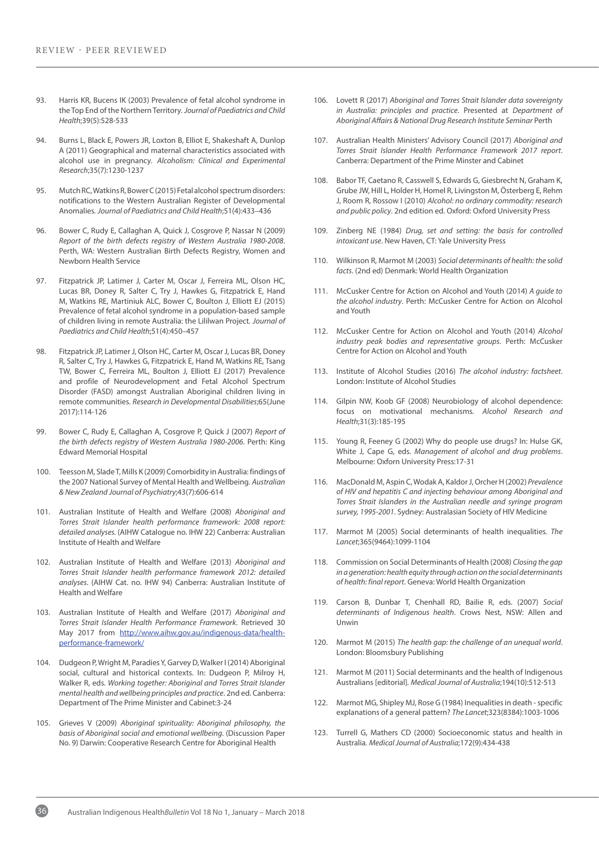- 93. Harris KR, Bucens IK (2003) Prevalence of fetal alcohol syndrome in the Top End of the Northern Territory*. Journal of Paediatrics and Child Health*;39(5):528-533
- 94. Burns L, Black E, Powers JR, Loxton B, Elliot E, Shakeshaft A, Dunlop A (2011) Geographical and maternal characteristics associated with alcohol use in pregnancy*. Alcoholism: Clinical and Experimental Research*;35(7):1230-1237
- 95. Mutch RC, Watkins R, Bower C (2015) Fetal alcohol spectrum disorders: notifications to the Western Australian Register of Developmental Anomalies*. Journal of Paediatrics and Child Health*;51(4):433–436
- 96. Bower C, Rudy E, Callaghan A, Quick J, Cosgrove P, Nassar N (2009) *Report of the birth defects registry of Western Australia 1980-2008*. Perth, WA: Western Australian Birth Defects Registry, Women and Newborn Health Service
- 97. Fitzpatrick JP, Latimer J, Carter M, Oscar J, Ferreira ML, Olson HC, Lucas BR, Doney R, Salter C, Try J, Hawkes G, Fitzpatrick E, Hand M, Watkins RE, Martiniuk ALC, Bower C, Boulton J, Elliott EJ (2015) Prevalence of fetal alcohol syndrome in a population-based sample of children living in remote Australia: the Lililwan Project*. Journal of Paediatrics and Child Health*;51(4):450–457
- 98. Fitzpatrick JP, Latimer J, Olson HC, Carter M, Oscar J, Lucas BR, Doney R, Salter C, Try J, Hawkes G, Fitzpatrick E, Hand M, Watkins RE, Tsang TW, Bower C, Ferreira ML, Boulton J, Elliott EJ (2017) Prevalence and profile of Neurodevelopment and Fetal Alcohol Spectrum Disorder (FASD) amongst Australian Aboriginal children living in remote communities*. Research in Developmental Disabilities*;65(June 2017):114-126
- 99. Bower C, Rudy E, Callaghan A, Cosgrove P, Quick J (2007) *Report of the birth defects registry of Western Australia 1980-2006*. Perth: King Edward Memorial Hospital
- 100. Teesson M, Slade T, Mills K (2009) Comorbidity in Australia: findings of the 2007 National Survey of Mental Health and Wellbeing*. Australian & New Zealand Journal of Psychiatry*;43(7):606-614
- 101. Australian Institute of Health and Welfare (2008) *Aboriginal and Torres Strait Islander health performance framework: 2008 report: detailed analyses.* (AIHW Catalogue no. IHW 22) Canberra: Australian Institute of Health and Welfare
- 102. Australian Institute of Health and Welfare (2013) *Aboriginal and Torres Strait Islander health performance framework 2012: detailed analyses*. (AIHW Cat. no. IHW 94) Canberra: Australian Institute of Health and Welfare
- 103. Australian Institute of Health and Welfare (2017) *Aboriginal and Torres Strait Islander Health Performance Framework*. Retrieved 30 May 2017 from http://www.aihw.gov.au/indigenous-data/healthperformance-framework/
- 104. Dudgeon P, Wright M, Paradies Y, Garvey D, Walker I (2014) Aboriginal social, cultural and historical contexts. In: Dudgeon P, Milroy H, Walker R, eds. *Working together: Aboriginal and Torres Strait Islander mental health and wellbeing principles and practice*. 2nd ed. Canberra: Department of The Prime Minister and Cabinet:3-24
- 105. Grieves V (2009) *Aboriginal spirituality: Aboriginal philosophy, the basis of Aboriginal social and emotional wellbeing*. (Discussion Paper No. 9) Darwin: Cooperative Research Centre for Aboriginal Health
- 106. Lovett R (2017) *Aboriginal and Torres Strait Islander data sovereignty in Australia: principles and practice*. Presented at *Department of Aboriginal Affairs & National Drug Research Institute Seminar* Perth
- 107. Australian Health Ministers' Advisory Council (2017) *Aboriginal and Torres Strait Islander Health Performance Framework 2017 report*. Canberra: Department of the Prime Minster and Cabinet
- 108. Babor TF, Caetano R, Casswell S, Edwards G, Giesbrecht N, Graham K, Grube JW, Hill L, Holder H, Homel R, Livingston M, Österberg E, Rehm J, Room R, Rossow I (2010) *Alcohol: no ordinary commodity: research and public policy*. 2nd edition ed. Oxford: Oxford University Press
- 109. Zinberg NE (1984) *Drug, set and setting: the basis for controlled intoxicant use*. New Haven, CT: Yale University Press
- 110. Wilkinson R, Marmot M (2003) *Social determinants of health: the solid facts*. (2nd ed) Denmark: World Health Organization
- 111. McCusker Centre for Action on Alcohol and Youth (2014) *A guide to the alcohol industry*. Perth: McCusker Centre for Action on Alcohol and Youth
- 112. McCusker Centre for Action on Alcohol and Youth (2014) *Alcohol industry peak bodies and representative groups*. Perth: McCusker Centre for Action on Alcohol and Youth
- 113. Institute of Alcohol Studies (2016) *The alcohol industry: factsheet*. London: Institute of Alcohol Studies
- 114. Gilpin NW, Koob GF (2008) Neurobiology of alcohol dependence: focus on motivational mechanisms*. Alcohol Research and Health*;31(3):185-195
- 115. Young R, Feeney G (2002) Why do people use drugs? In: Hulse GK, White J, Cape G, eds. *Management of alcohol and drug problems*. Melbourne: Oxforn University Press:17-31
- 116. MacDonald M, Aspin C, Wodak A, Kaldor J, Orcher H (2002) *Prevalence of HIV and hepatitis C and injecting behaviour among Aboriginal and Torres Strait Islanders in the Australian needle and syringe program survey, 1995-2001*. Sydney: Australasian Society of HIV Medicine
- 117. Marmot M (2005) Social determinants of health inequalities*. The Lancet*;365(9464):1099-1104
- 118. Commission on Social Determinants of Health (2008) *Closing the gap in a generation: health equity through action on the social determinants of health: final report*. Geneva: World Health Organization
- 119. Carson B, Dunbar T, Chenhall RD, Bailie R, eds. (2007) *Social determinants of Indigenous health*. Crows Nest, NSW: Allen and Unwin
- 120. Marmot M (2015) *The health gap: the challenge of an unequal world*. London: Bloomsbury Publishing
- 121. Marmot M (2011) Social determinants and the health of Indigenous Australians [editorial]*. Medical Journal of Australia*;194(10):512-513
- 122. Marmot MG, Shipley MJ, Rose G (1984) Inequalities in death specific explanations of a general pattern? *The Lancet*;323(8384):1003-1006
- 123. Turrell G, Mathers CD (2000) Socioeconomic status and health in Australia*. Medical Journal of Australia*;172(9):434-438

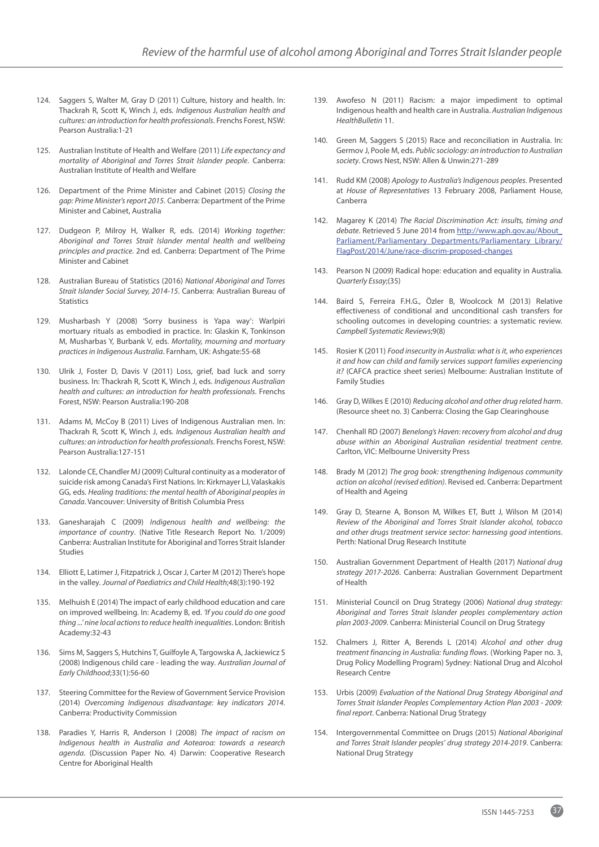- 124. Saggers S, Walter M, Gray D (2011) Culture, history and health. In: Thackrah R, Scott K, Winch J, eds. *Indigenous Australian health and cultures: an introduction for health professionals*. Frenchs Forest, NSW: Pearson Australia:1-21
- 125. Australian Institute of Health and Welfare (2011) *Life expectancy and mortality of Aboriginal and Torres Strait Islander people*. Canberra: Australian Institute of Health and Welfare
- 126. Department of the Prime Minister and Cabinet (2015) *Closing the gap: Prime Minister's report 2015*. Canberra: Department of the Prime Minister and Cabinet, Australia
- 127. Dudgeon P, Milroy H, Walker R, eds. (2014) *Working together: Aboriginal and Torres Strait Islander mental health and wellbeing principles and practice*. 2nd ed. Canberra: Department of The Prime Minister and Cabinet
- 128. Australian Bureau of Statistics (2016) *National Aboriginal and Torres Strait Islander Social Survey, 2014-15*. Canberra: Australian Bureau of Statistics
- 129. Musharbash Y (2008) 'Sorry business is Yapa way': Warlpiri mortuary rituals as embodied in practice. In: Glaskin K, Tonkinson M, Musharbas Y, Burbank V, eds. *Mortality, mourning and mortuary practices in Indigenous Australia*. Farnham, UK: Ashgate:55-68
- 130. Ulrik J, Foster D, Davis V (2011) Loss, grief, bad luck and sorry business. In: Thackrah R, Scott K, Winch J, eds. *Indigenous Australian health and cultures: an introduction for health professionals*. Frenchs Forest, NSW: Pearson Australia:190-208
- 131. Adams M, McCoy B (2011) Lives of Indigenous Australian men. In: Thackrah R, Scott K, Winch J, eds. *Indigenous Australian health and cultures: an introduction for health professionals*. Frenchs Forest, NSW: Pearson Australia:127-151
- 132. Lalonde CE, Chandler MJ (2009) Cultural continuity as a moderator of suicide risk among Canada's First Nations. In: Kirkmayer LJ, Valaskakis GG, eds. *Healing traditions: the mental health of Aboriginal peoples in Canada*. Vancouver: University of British Columbia Press
- 133. Ganesharajah C (2009) *Indigenous health and wellbeing: the importance of country*. (Native Title Research Report No. 1/2009) Canberra: Australian Institute for Aboriginal and Torres Strait Islander Studies
- 134. Elliott E, Latimer J, Fitzpatrick J, Oscar J, Carter M (2012) There's hope in the valley*. Journal of Paediatrics and Child Health*;48(3):190-192
- 135. Melhuish E (2014) The impact of early childhood education and care on improved wellbeing. In: Academy B, ed. *'If you could do one good thing ...' nine local actions to reduce health inequalities*. London: British Academy:32-43
- 136. Sims M, Saggers S, Hutchins T, Guilfoyle A, Targowska A, Jackiewicz S (2008) Indigenous child care - leading the way*. Australian Journal of Early Childhood*;33(1):56-60
- 137. Steering Committee for the Review of Government Service Provision (2014) *Overcoming Indigenous disadvantage: key indicators 2014*. Canberra: Productivity Commission
- 138. Paradies Y, Harris R, Anderson I (2008) *The impact of racism on Indigenous health in Australia and Aotearoa: towards a research agenda*. (Discussion Paper No. 4) Darwin: Cooperative Research Centre for Aboriginal Health
- 139. Awofeso N (2011) Racism: a major impediment to optimal Indigenous health and health care in Australia. *Australian Indigenous HealthBulletin* 11.
- 140. Green M, Saggers S (2015) Race and reconciliation in Australia. In: Germov J, Poole M, eds. *Public sociology: an introduction to Australian society*. Crows Nest, NSW: Allen & Unwin:271-289
- 141. Rudd KM (2008) *Apology to Australia's Indigenous peoples*. Presented at *House of Representatives* 13 February 2008, Parliament House, Canberra
- 142. Magarey K (2014) *The Racial Discrimination Act: insults, timing and debate*. Retrieved 5 June 2014 from http://www.aph.gov.au/About\_ Parliament/Parliamentary\_Departments/Parliamentary\_Library/ FlagPost/2014/June/race-discrim-proposed-changes
- 143. Pearson N (2009) Radical hope: education and equality in Australia*. Quarterly Essay*;(35)
- 144. Baird S, Ferreira F.H.G., Özler B, Woolcock M (2013) Relative effectiveness of conditional and unconditional cash transfers for schooling outcomes in developing countries: a systematic review*. Campbell Systematic Reviews*;9(8)
- 145. Rosier K (2011) *Food insecurity in Australia: what is it, who experiences it and how can child and family services support families experiencing it?* (CAFCA practice sheet series) Melbourne: Australian Institute of Family Studies
- 146. Gray D, Wilkes E (2010) *Reducing alcohol and other drug related harm*. (Resource sheet no. 3) Canberra: Closing the Gap Clearinghouse
- 147. Chenhall RD (2007) *Benelong's Haven: recovery from alcohol and drug abuse within an Aboriginal Australian residential treatment centre*. Carlton, VIC: Melbourne University Press
- 148. Brady M (2012) *The grog book: strengthening Indigenous community action on alcohol (revised edition)*. Revised ed. Canberra: Department of Health and Ageing
- 149. Gray D, Stearne A, Bonson M, Wilkes ET, Butt J, Wilson M (2014) *Review of the Aboriginal and Torres Strait Islander alcohol, tobacco and other drugs treatment service sector: harnessing good intentions*. Perth: National Drug Research Institute
- 150. Australian Government Department of Health (2017) *National drug strategy 2017-2026*. Canberra: Australian Government Department of Health
- 151. Ministerial Council on Drug Strategy (2006) *National drug strategy: Aboriginal and Torres Strait Islander peoples complementary action plan 2003-2009*. Canberra: Ministerial Council on Drug Strategy
- 152. Chalmers J, Ritter A, Berends L (2014) *Alcohol and other drug treatment financing in Australia: funding flows*. (Working Paper no. 3, Drug Policy Modelling Program) Sydney: National Drug and Alcohol Research Centre
- 153. Urbis (2009) *Evaluation of the National Drug Strategy Aboriginal and Torres Strait Islander Peoples Complementary Action Plan 2003 - 2009: final report*. Canberra: National Drug Strategy
- 154. Intergovernmental Committee on Drugs (2015) *National Aboriginal and Torres Strait Islander peoples' drug strategy 2014-2019*. Canberra: National Drug Strategy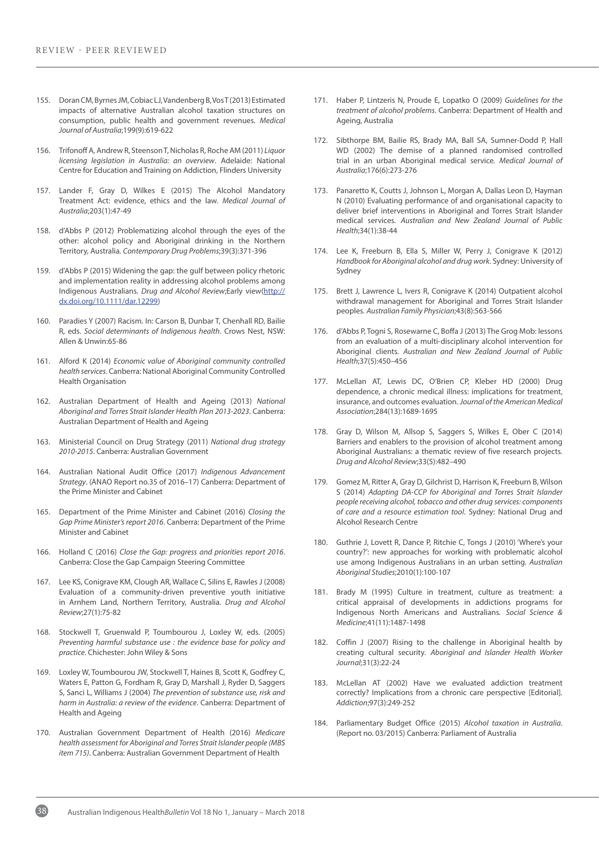- 155. Doran CM, Byrnes JM, Cobiac LJ, Vandenberg B, Vos T (2013) Estimated impacts of alternative Australian alcohol taxation structures on consumption, public health and government revenues*. Medical Journal of Australia*;199(9):619-622
- 156. Trifonoff A, Andrew R, Steenson T, Nicholas R, Roche AM (2011) *Liquor licensing legislation in Australia: an overview*. Adelaide: National Centre for Education and Training on Addiction, Flinders University
- 157. Lander F, Gray D, Wilkes E (2015) The Alcohol Mandatory Treatment Act: evidence, ethics and the law*. Medical Journal of Australia*;203(1):47-49
- 158. d'Abbs P (2012) Problematizing alcohol through the eyes of the other: alcohol policy and Aboriginal drinking in the Northern Territory, Australia*. Contemporary Drug Problems*;39(3):371-396
- 159. d'Abbs P (2015) Widening the gap: the gulf between policy rhetoric and implementation reality in addressing alcohol problems among Indigenous Australians*. Drug and Alcohol Review*;Early view(http:// dx.doi.org/10.1111/dar.12299)
- 160. Paradies Y (2007) Racism. In: Carson B, Dunbar T, Chenhall RD, Bailie R, eds. *Social determinants of Indigenous health*. Crows Nest, NSW: Allen & Unwin:65-86
- 161. Alford K (2014) *Economic value of Aboriginal community controlled health services*. Canberra: National Aboriginal Community Controlled Health Organisation
- 162. Australian Department of Health and Ageing (2013) *National Aboriginal and Torres Strait Islander Health Plan 2013-2023*. Canberra: Australian Department of Health and Ageing
- 163. Ministerial Council on Drug Strategy (2011) *National drug strategy 2010-2015*. Canberra: Australian Government
- 164. Australian National Audit Office (2017) *Indigenous Advancement Strategy*. (ANAO Report no.35 of 2016–17) Canberra: Department of the Prime Minister and Cabinet
- 165. Department of the Prime Minister and Cabinet (2016) *Closing the Gap Prime Minister's report 2016*. Canberra: Department of the Prime Minister and Cabinet
- 166. Holland C (2016) *Close the Gap: progress and priorities report 2016*. Canberra: Close the Gap Campaign Steering Committee
- 167. Lee KS, Conigrave KM, Clough AR, Wallace C, Silins E, Rawles J (2008) Evaluation of a community-driven preventive youth initiative in Arnhem Land, Northern Territory, Australia*. Drug and Alcohol Review*;27(1):75-82
- 168. Stockwell T, Gruenwald P, Toumbourou J, Loxley W, eds. (2005) *Preventing harmful substance use : the evidence base for policy and practice*. Chichester: John Wiley & Sons
- 169. Loxley W, Toumbourou JW, Stockwell T, Haines B, Scott K, Godfrey C, Waters E, Patton G, Fordham R, Gray D, Marshall J, Ryder D, Saggers S, Sanci L, Williams J (2004) *The prevention of substance use, risk and harm in Australia: a review of the evidence*. Canberra: Department of Health and Ageing
- 170. Australian Government Department of Health (2016) *Medicare health assessment for Aboriginal and Torres Strait Islander people (MBS item 715)*. Canberra: Australian Government Department of Health
- 171. Haber P, Lintzeris N, Proude E, Lopatko O (2009) *Guidelines for the treatment of alcohol problems*. Canberra: Department of Health and Ageing, Australia
- 172. Sibthorpe BM, Bailie RS, Brady MA, Ball SA, Sumner-Dodd P, Hall WD (2002) The demise of a planned randomised controlled trial in an urban Aboriginal medical service*. Medical Journal of Australia*;176(6):273-276
- 173. Panaretto K, Coutts J, Johnson L, Morgan A, Dallas Leon D, Hayman N (2010) Evaluating performance of and organisational capacity to deliver brief interventions in Aboriginal and Torres Strait Islander medical services*. Australian and New Zealand Journal of Public Health*;34(1):38-44
- 174. Lee K, Freeburn B, Ella S, Miller W, Perry J, Conigrave K (2012) *Handbook for Aboriginal alcohol and drug work*. Sydney: University of Sydney
- 175. Brett J, Lawrence L, Ivers R, Conigrave K (2014) Outpatient alcohol withdrawal management for Aboriginal and Torres Strait Islander peoples*. Australian Family Physician*;43(8):563-566
- 176. d'Abbs P, Togni S, Rosewarne C, Boffa J (2013) The Grog Mob: lessons from an evaluation of a multi-disciplinary alcohol intervention for Aboriginal clients*. Australian and New Zealand Journal of Public Health*;37(5):450–456
- 177. McLellan AT, Lewis DC, O'Brien CP, Kleber HD (2000) Drug dependence, a chronic medical illness: implications for treatment, insurance, and outcomes evaluation*. Journal of the American Medical Association*;284(13):1689-1695
- 178. Gray D, Wilson M, Allsop S, Saggers S, Wilkes E, Ober C (2014) Barriers and enablers to the provision of alcohol treatment among Aboriginal Australians: a thematic review of five research projects*. Drug and Alcohol Review*;33(5):482–490
- 179. Gomez M, Ritter A, Gray D, Gilchrist D, Harrison K, Freeburn B, Wilson S (2014) *Adapting DA-CCP for Aboriginal and Torres Strait Islander people receiving alcohol, tobacco and other drug services: components of care and a resource estimation tool*. Sydney: National Drug and Alcohol Research Centre
- 180. Guthrie J, Lovett R, Dance P, Ritchie C, Tongs J (2010) 'Where's your country?': new approaches for working with problematic alcohol use among Indigenous Australians in an urban setting*. Australian Aboriginal Studies*;2010(1):100-107
- 181. Brady M (1995) Culture in treatment, culture as treatment: a critical appraisal of developments in addictions programs for Indigenous North Americans and Australians*. Social Science & Medicine*;41(11):1487-1498
- 182. Coffin J (2007) Rising to the challenge in Aboriginal health by creating cultural security*. Aboriginal and Islander Health Worker Journal*;31(3):22-24
- 183. McLellan AT (2002) Have we evaluated addiction treatment correctly? Implications from a chronic care perspective [Editorial]*. Addiction*;97(3):249-252
- 184. Parliamentary Budget Office (2015) *Alcohol taxation in Australia*. (Report no. 03/2015) Canberra: Parliament of Australia

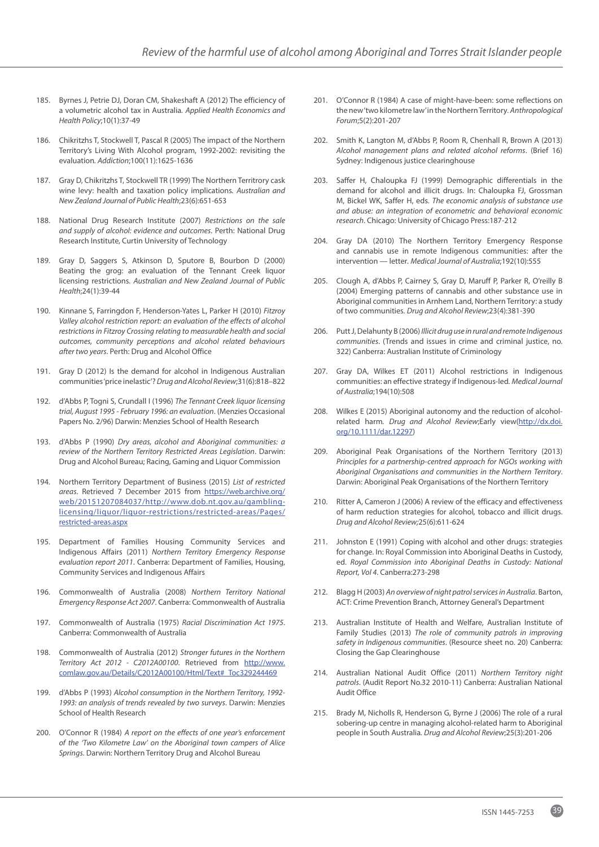- 185. Byrnes J, Petrie DJ, Doran CM, Shakeshaft A (2012) The efficiency of a volumetric alcohol tax in Australia*. Applied Health Economics and Health Policy*;10(1):37-49
- 186. Chikritzhs T, Stockwell T, Pascal R (2005) The impact of the Northern Territory's Living With Alcohol program, 1992-2002: revisiting the evaluation*. Addiction*;100(11):1625-1636
- 187. Gray D, Chikritzhs T, Stockwell TR (1999) The Northern Territrory cask wine levy: health and taxation policy implications*. Australian and New Zealand Journal of Public Health*;23(6):651-653
- 188. National Drug Research Institute (2007) *Restrictions on the sale and supply of alcohol: evidence and outcomes*. Perth: National Drug Research Institute, Curtin University of Technology
- 189. Gray D, Saggers S, Atkinson D, Sputore B, Bourbon D (2000) Beating the grog: an evaluation of the Tennant Creek liquor licensing restrictions*. Australian and New Zealand Journal of Public Health*;24(1):39-44
- 190. Kinnane S, Farringdon F, Henderson-Yates L, Parker H (2010) *Fitzroy Valley alcohol restriction report: an evaluation of the effects of alcohol restrictions in Fitzroy Crossing relating to measurable health and social outcomes, community perceptions and alcohol related behaviours after two years*. Perth: Drug and Alcohol Office
- 191. Gray D (2012) Is the demand for alcohol in Indigenous Australian communities 'price inelastic'? *Drug and Alcohol Review*;31(6):818–822
- 192. d'Abbs P, Togni S, Crundall I (1996) *The Tennant Creek liquor licensing trial, August 1995 - February 1996: an evaluation*. (Menzies Occasional Papers No. 2/96) Darwin: Menzies School of Health Research
- 193. d'Abbs P (1990) *Dry areas, alcohol and Aboriginal communities: a review of the Northern Territory Restricted Areas Legislation*. Darwin: Drug and Alcohol Bureau; Racing, Gaming and Liquor Commission
- 194. Northern Territory Department of Business (2015) *List of restricted areas*. Retrieved 7 December 2015 from https://web.archive.org/ web/20151207084037/http://www.dob.nt.gov.au/gamblinglicensing/liquor/liquor-restrictions/restricted-areas/Pages/ restricted-areas.aspx
- 195. Department of Families Housing Community Services and Indigenous Affairs (2011) *Northern Territory Emergency Response evaluation report 2011*. Canberra: Department of Families, Housing, Community Services and Indigenous Affairs
- 196. Commonwealth of Australia (2008) *Northern Territory National Emergency Response Act 2007*. Canberra: Commonwealth of Australia
- 197. Commonwealth of Australia (1975) *Racial Discrimination Act 1975*. Canberra: Commonwealth of Australia
- 198. Commonwealth of Australia (2012) *Stronger futures in the Northern Territory Act 2012 - C2012A00100*. Retrieved from http://www. comlaw.gov.au/Details/C2012A00100/Html/Text#\_Toc329244469
- 199. d'Abbs P (1993) *Alcohol consumption in the Northern Territory, 1992- 1993: an analysis of trends revealed by two surveys*. Darwin: Menzies School of Health Research
- 200. O'Connor R (1984) *A report on the effects of one year's enforcement of the 'Two Kilometre Law' on the Aboriginal town campers of Alice Springs*. Darwin: Northern Territory Drug and Alcohol Bureau
- 201. O'Connor R (1984) A case of might-have-been: some reflections on the new 'two kilometre law' in the Northern Territory*. Anthropological Forum*;5(2):201-207
- 202. Smith K, Langton M, d'Abbs P, Room R, Chenhall R, Brown A (2013) *Alcohol management plans and related alcohol reforms*. (Brief 16) Sydney: Indigenous justice clearinghouse
- 203. Saffer H, Chaloupka FJ (1999) Demographic differentials in the demand for alcohol and illicit drugs. In: Chaloupka FJ, Grossman M, Bickel WK, Saffer H, eds. *The economic analysis of substance use and abuse: an integration of econometric and behavioral economic research*. Chicago: University of Chicago Press:187-212
- 204. Gray DA (2010) The Northern Territory Emergency Response and cannabis use in remote Indigenous communities: after the intervention — letter*. Medical Journal of Australia*;192(10):555
- 205. Clough A, d'Abbs P, Cairney S, Gray D, Maruff P, Parker R, O'reilly B (2004) Emerging patterns of cannabis and other substance use in Aboriginal communities in Arnhem Land, Northern Territory: a study of two communities*. Drug and Alcohol Review*;23(4):381-390
- 206. Putt J, Delahunty B (2006) *Illicit drug use in rural and remote Indigenous communities*. (Trends and issues in crime and criminal justice, no. 322) Canberra: Australian Institute of Criminology
- 207. Gray DA, Wilkes ET (2011) Alcohol restrictions in Indigenous communities: an effective strategy if Indigenous-led*. Medical Journal of Australia*;194(10):508
- 208. Wilkes E (2015) Aboriginal autonomy and the reduction of alcoholrelated harm*. Drug and Alcohol Review*;Early view(http://dx.doi. org/10.1111/dar.12297)
- 209. Aboriginal Peak Organisations of the Northern Territory (2013) *Principles for a partnership-centred approach for NGOs working with Aboriginal Organisations and communities in the Northern Territory*. Darwin: Aboriginal Peak Organisations of the Northern Territory
- 210. Ritter A, Cameron J (2006) A review of the efficacy and effectiveness of harm reduction strategies for alcohol, tobacco and illicit drugs. *Drug and Alcohol Review;*25(6):611-624
- 211. Johnston E (1991) Coping with alcohol and other drugs: strategies for change. In: Royal Commission into Aboriginal Deaths in Custody, ed. *Royal Commission into Aboriginal Deaths in Custody: National Report, Vol 4*. Canberra:273-298
- 212. Blagg H (2003) *An overview of night patrol services in Australia*. Barton, ACT: Crime Prevention Branch, Attorney General's Department
- 213. Australian Institute of Health and Welfare, Australian Institute of Family Studies (2013) *The role of community patrols in improving safety in Indigenous communities*. (Resource sheet no. 20) Canberra: Closing the Gap Clearinghouse
- 214. Australian National Audit Office (2011) *Northern Territory night patrols*. (Audit Report No.32 2010-11) Canberra: Australian National Audit Office
- 215. Brady M, Nicholls R, Henderson G, Byrne J (2006) The role of a rural sobering-up centre in managing alcohol-related harm to Aboriginal people in South Australia*. Drug and Alcohol Review*;25(3):201-206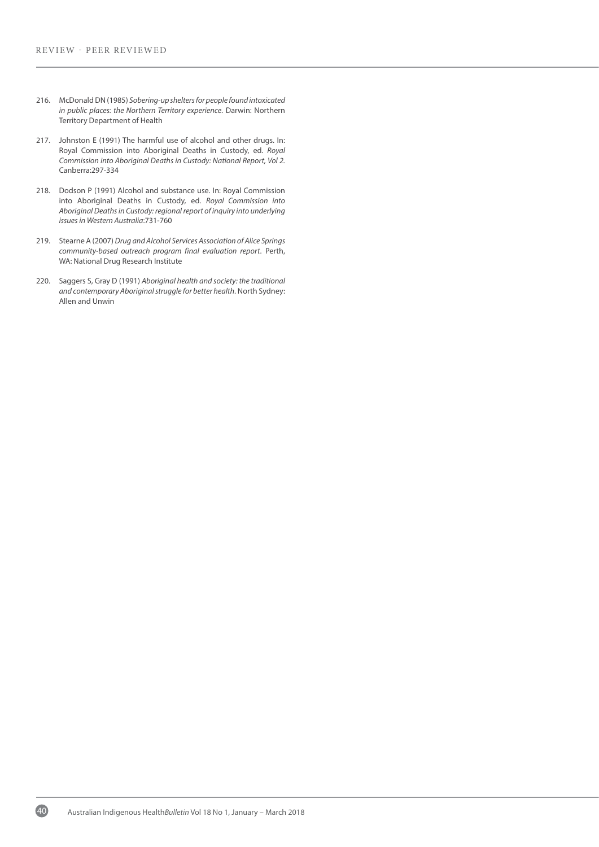- 216. McDonald DN (1985) *Sobering-up shelters for people found intoxicated in public places: the Northern Territory experience*. Darwin: Northern Territory Department of Health
- 217. Johnston E (1991) The harmful use of alcohol and other drugs. In: Royal Commission into Aboriginal Deaths in Custody, ed. *Royal Commission into Aboriginal Deaths in Custody: National Report, Vol 2.* Canberra:297-334
- 218. Dodson P (1991) Alcohol and substance use. In: Royal Commission into Aboriginal Deaths in Custody, ed. *Royal Commission into Aboriginal Deaths in Custody: regional report of inquiry into underlying issues in Western Australia*:731-760
- 219. Stearne A (2007) *Drug and Alcohol Services Association of Alice Springs community-based outreach program final evaluation report*. Perth, WA: National Drug Research Institute
- 220. Saggers S, Gray D (1991) *Aboriginal health and society: the traditional and contemporary Aboriginal struggle for better health*. North Sydney: Allen and Unwin

40